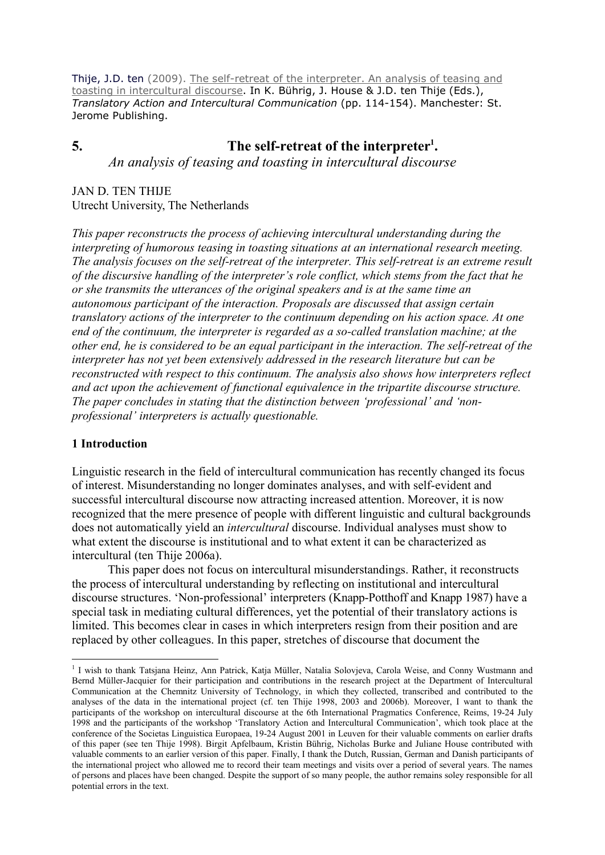Thije, J.D. ten (2009). The self-retreat of the interpreter. An analysis of teasing and toasting in intercultural discourse. In K. Bührig, J. House & J.D. ten Thije (Eds.), Translatory Action and Intercultural Communication (pp. 114-154). Manchester: St. Jerome Publishing.

# 5. The self-retreat of the interpreter<sup>1</sup>.

An analysis of teasing and toasting in intercultural discourse

## JAN D. TEN THIJE Utrecht University, The Netherlands

This paper reconstructs the process of achieving intercultural understanding during the interpreting of humorous teasing in toasting situations at an international research meeting. The analysis focuses on the self-retreat of the interpreter. This self-retreat is an extreme result of the discursive handling of the interpreter's role conflict, which stems from the fact that he or she transmits the utterances of the original speakers and is at the same time an autonomous participant of the interaction. Proposals are discussed that assign certain translatory actions of the interpreter to the continuum depending on his action space. At one end of the continuum, the interpreter is regarded as a so-called translation machine; at the other end, he is considered to be an equal participant in the interaction. The self-retreat of the interpreter has not yet been extensively addressed in the research literature but can be reconstructed with respect to this continuum. The analysis also shows how interpreters reflect and act upon the achievement of functional equivalence in the tripartite discourse structure. The paper concludes in stating that the distinction between 'professional' and 'nonprofessional' interpreters is actually questionable.

## 1 Introduction

 $\overline{a}$ 

Linguistic research in the field of intercultural communication has recently changed its focus of interest. Misunderstanding no longer dominates analyses, and with self-evident and successful intercultural discourse now attracting increased attention. Moreover, it is now recognized that the mere presence of people with different linguistic and cultural backgrounds does not automatically yield an intercultural discourse. Individual analyses must show to what extent the discourse is institutional and to what extent it can be characterized as intercultural (ten Thije 2006a).

 This paper does not focus on intercultural misunderstandings. Rather, it reconstructs the process of intercultural understanding by reflecting on institutional and intercultural discourse structures. 'Non-professional' interpreters (Knapp-Potthoff and Knapp 1987) have a special task in mediating cultural differences, yet the potential of their translatory actions is limited. This becomes clear in cases in which interpreters resign from their position and are replaced by other colleagues. In this paper, stretches of discourse that document the

<sup>&</sup>lt;sup>1</sup> I wish to thank Tatsjana Heinz, Ann Patrick, Katja Müller, Natalia Solovjeva, Carola Weise, and Conny Wustmann and Bernd Müller-Jacquier for their participation and contributions in the research project at the Department of Intercultural Communication at the Chemnitz University of Technology, in which they collected, transcribed and contributed to the analyses of the data in the international project (cf. ten Thije 1998, 2003 and 2006b). Moreover, I want to thank the participants of the workshop on intercultural discourse at the 6th International Pragmatics Conference, Reims, 19-24 July 1998 and the participants of the workshop 'Translatory Action and Intercultural Communication', which took place at the conference of the Societas Linguistica Europaea, 19-24 August 2001 in Leuven for their valuable comments on earlier drafts of this paper (see ten Thije 1998). Birgit Apfelbaum, Kristin Bührig, Nicholas Burke and Juliane House contributed with valuable comments to an earlier version of this paper. Finally, I thank the Dutch, Russian, German and Danish participants of the international project who allowed me to record their team meetings and visits over a period of several years. The names of persons and places have been changed. Despite the support of so many people, the author remains soley responsible for all potential errors in the text.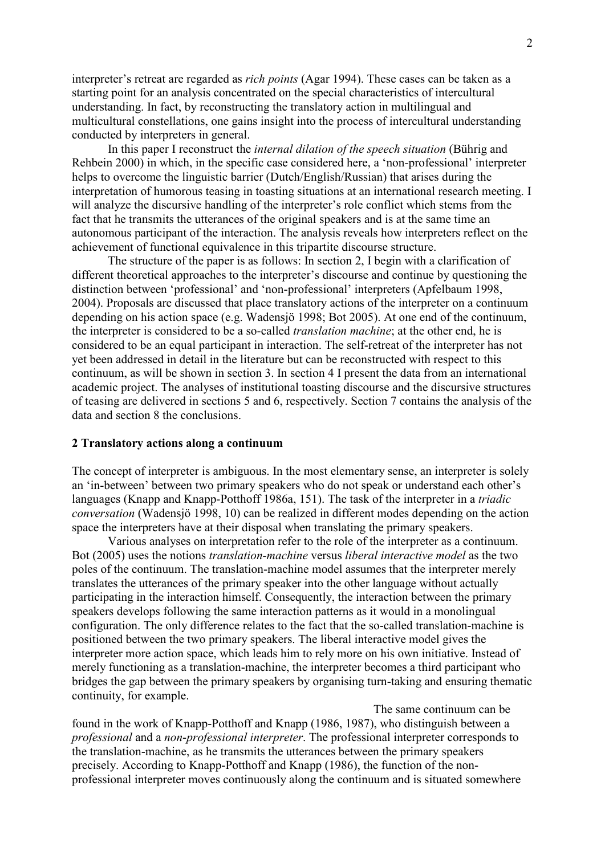interpreter's retreat are regarded as rich points (Agar 1994). These cases can be taken as a starting point for an analysis concentrated on the special characteristics of intercultural understanding. In fact, by reconstructing the translatory action in multilingual and multicultural constellations, one gains insight into the process of intercultural understanding conducted by interpreters in general.

 In this paper I reconstruct the internal dilation of the speech situation (Bührig and Rehbein 2000) in which, in the specific case considered here, a 'non-professional' interpreter helps to overcome the linguistic barrier (Dutch/English/Russian) that arises during the interpretation of humorous teasing in toasting situations at an international research meeting. I will analyze the discursive handling of the interpreter's role conflict which stems from the fact that he transmits the utterances of the original speakers and is at the same time an autonomous participant of the interaction. The analysis reveals how interpreters reflect on the achievement of functional equivalence in this tripartite discourse structure.

 The structure of the paper is as follows: In section 2, I begin with a clarification of different theoretical approaches to the interpreter's discourse and continue by questioning the distinction between 'professional' and 'non-professional' interpreters (Apfelbaum 1998, 2004). Proposals are discussed that place translatory actions of the interpreter on a continuum depending on his action space (e.g. Wadensjö 1998; Bot 2005). At one end of the continuum, the interpreter is considered to be a so-called translation machine; at the other end, he is considered to be an equal participant in interaction. The self-retreat of the interpreter has not yet been addressed in detail in the literature but can be reconstructed with respect to this continuum, as will be shown in section 3. In section 4 I present the data from an international academic project. The analyses of institutional toasting discourse and the discursive structures of teasing are delivered in sections 5 and 6, respectively. Section 7 contains the analysis of the data and section 8 the conclusions.

#### 2 Translatory actions along a continuum

The concept of interpreter is ambiguous. In the most elementary sense, an interpreter is solely an 'in-between' between two primary speakers who do not speak or understand each other's languages (Knapp and Knapp-Potthoff 1986a, 151). The task of the interpreter in a *triadic* conversation (Wadensjö 1998, 10) can be realized in different modes depending on the action space the interpreters have at their disposal when translating the primary speakers.

 Various analyses on interpretation refer to the role of the interpreter as a continuum. Bot (2005) uses the notions translation-machine versus liberal interactive model as the two poles of the continuum. The translation-machine model assumes that the interpreter merely translates the utterances of the primary speaker into the other language without actually participating in the interaction himself. Consequently, the interaction between the primary speakers develops following the same interaction patterns as it would in a monolingual configuration. The only difference relates to the fact that the so-called translation-machine is positioned between the two primary speakers. The liberal interactive model gives the interpreter more action space, which leads him to rely more on his own initiative. Instead of merely functioning as a translation-machine, the interpreter becomes a third participant who bridges the gap between the primary speakers by organising turn-taking and ensuring thematic continuity, for example.

The same continuum can be found in the work of Knapp-Potthoff and Knapp (1986, 1987), who distinguish between a professional and a non-professional interpreter. The professional interpreter corresponds to the translation-machine, as he transmits the utterances between the primary speakers precisely. According to Knapp-Potthoff and Knapp (1986), the function of the nonprofessional interpreter moves continuously along the continuum and is situated somewhere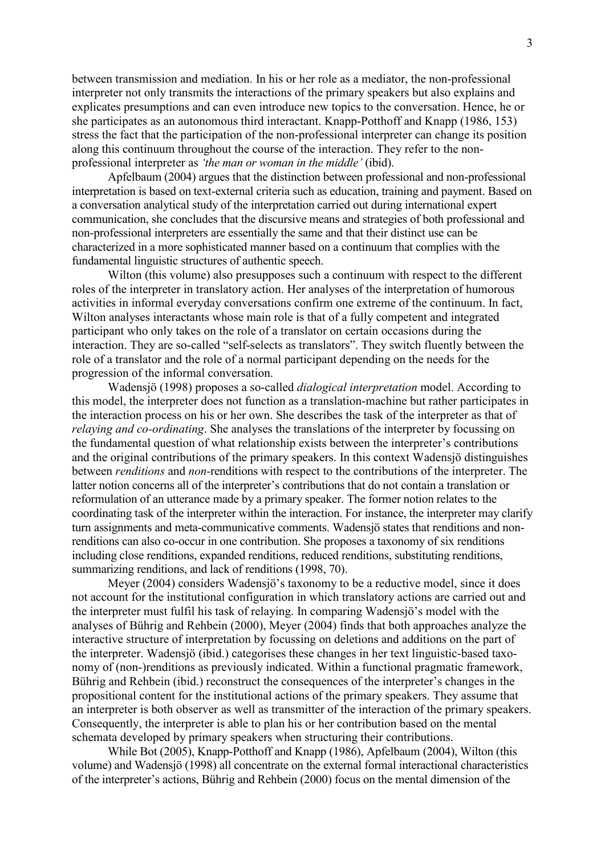between transmission and mediation. In his or her role as a mediator, the non-professional interpreter not only transmits the interactions of the primary speakers but also explains and explicates presumptions and can even introduce new topics to the conversation. Hence, he or she participates as an autonomous third interactant. Knapp-Potthoff and Knapp (1986, 153) stress the fact that the participation of the non-professional interpreter can change its position along this continuum throughout the course of the interaction. They refer to the nonprofessional interpreter as 'the man or woman in the middle' (ibid).

 Apfelbaum (2004) argues that the distinction between professional and non-professional interpretation is based on text-external criteria such as education, training and payment. Based on a conversation analytical study of the interpretation carried out during international expert communication, she concludes that the discursive means and strategies of both professional and non-professional interpreters are essentially the same and that their distinct use can be characterized in a more sophisticated manner based on a continuum that complies with the fundamental linguistic structures of authentic speech.

 Wilton (this volume) also presupposes such a continuum with respect to the different roles of the interpreter in translatory action. Her analyses of the interpretation of humorous activities in informal everyday conversations confirm one extreme of the continuum. In fact, Wilton analyses interactants whose main role is that of a fully competent and integrated participant who only takes on the role of a translator on certain occasions during the interaction. They are so-called "self-selects as translators". They switch fluently between the role of a translator and the role of a normal participant depending on the needs for the progression of the informal conversation.

 Wadensjö (1998) proposes a so-called dialogical interpretation model. According to this model, the interpreter does not function as a translation-machine but rather participates in the interaction process on his or her own. She describes the task of the interpreter as that of relaying and co-ordinating. She analyses the translations of the interpreter by focussing on the fundamental question of what relationship exists between the interpreter's contributions and the original contributions of the primary speakers. In this context Wadensjö distinguishes between renditions and non-renditions with respect to the contributions of the interpreter. The latter notion concerns all of the interpreter's contributions that do not contain a translation or reformulation of an utterance made by a primary speaker. The former notion relates to the coordinating task of the interpreter within the interaction. For instance, the interpreter may clarify turn assignments and meta-communicative comments. Wadensjö states that renditions and nonrenditions can also co-occur in one contribution. She proposes a taxonomy of six renditions including close renditions, expanded renditions, reduced renditions, substituting renditions, summarizing renditions, and lack of renditions (1998, 70).

 Meyer (2004) considers Wadensjö's taxonomy to be a reductive model, since it does not account for the institutional configuration in which translatory actions are carried out and the interpreter must fulfil his task of relaying. In comparing Wadensjö's model with the analyses of Bührig and Rehbein (2000), Meyer (2004) finds that both approaches analyze the interactive structure of interpretation by focussing on deletions and additions on the part of the interpreter. Wadensjö (ibid.) categorises these changes in her text linguistic-based taxonomy of (non-)renditions as previously indicated. Within a functional pragmatic framework, Bührig and Rehbein (ibid.) reconstruct the consequences of the interpreter's changes in the propositional content for the institutional actions of the primary speakers. They assume that an interpreter is both observer as well as transmitter of the interaction of the primary speakers. Consequently, the interpreter is able to plan his or her contribution based on the mental schemata developed by primary speakers when structuring their contributions.

 While Bot (2005), Knapp-Potthoff and Knapp (1986), Apfelbaum (2004), Wilton (this volume) and Wadensjö (1998) all concentrate on the external formal interactional characteristics of the interpreter's actions, Bührig and Rehbein (2000) focus on the mental dimension of the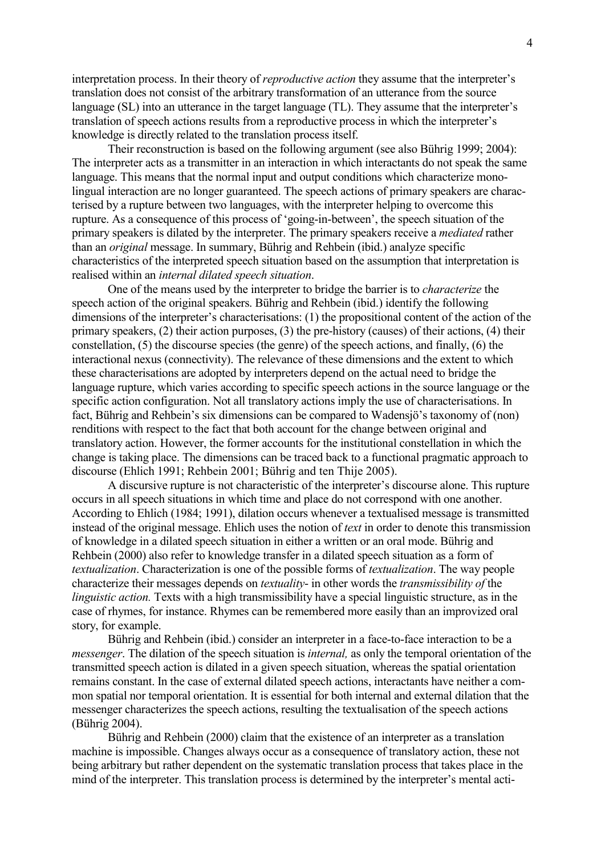interpretation process. In their theory of reproductive action they assume that the interpreter's translation does not consist of the arbitrary transformation of an utterance from the source language (SL) into an utterance in the target language (TL). They assume that the interpreter's translation of speech actions results from a reproductive process in which the interpreter's knowledge is directly related to the translation process itself.

 Their reconstruction is based on the following argument (see also Bührig 1999; 2004): The interpreter acts as a transmitter in an interaction in which interactants do not speak the same language. This means that the normal input and output conditions which characterize monolingual interaction are no longer guaranteed. The speech actions of primary speakers are characterised by a rupture between two languages, with the interpreter helping to overcome this rupture. As a consequence of this process of 'going-in-between', the speech situation of the primary speakers is dilated by the interpreter. The primary speakers receive a mediated rather than an original message. In summary, Bührig and Rehbein (ibid.) analyze specific characteristics of the interpreted speech situation based on the assumption that interpretation is realised within an internal dilated speech situation.

 One of the means used by the interpreter to bridge the barrier is to characterize the speech action of the original speakers. Bührig and Rehbein (ibid.) identify the following dimensions of the interpreter's characterisations: (1) the propositional content of the action of the primary speakers, (2) their action purposes, (3) the pre-history (causes) of their actions, (4) their constellation, (5) the discourse species (the genre) of the speech actions, and finally, (6) the interactional nexus (connectivity). The relevance of these dimensions and the extent to which these characterisations are adopted by interpreters depend on the actual need to bridge the language rupture, which varies according to specific speech actions in the source language or the specific action configuration. Not all translatory actions imply the use of characterisations. In fact, Bührig and Rehbein's six dimensions can be compared to Wadensjö's taxonomy of (non) renditions with respect to the fact that both account for the change between original and translatory action. However, the former accounts for the institutional constellation in which the change is taking place. The dimensions can be traced back to a functional pragmatic approach to discourse (Ehlich 1991; Rehbein 2001; Bührig and ten Thije 2005).

 A discursive rupture is not characteristic of the interpreter's discourse alone. This rupture occurs in all speech situations in which time and place do not correspond with one another. According to Ehlich (1984; 1991), dilation occurs whenever a textualised message is transmitted instead of the original message. Ehlich uses the notion of text in order to denote this transmission of knowledge in a dilated speech situation in either a written or an oral mode. Bührig and Rehbein (2000) also refer to knowledge transfer in a dilated speech situation as a form of textualization. Characterization is one of the possible forms of textualization. The way people characterize their messages depends on textuality- in other words the transmissibility of the linguistic action. Texts with a high transmissibility have a special linguistic structure, as in the case of rhymes, for instance. Rhymes can be remembered more easily than an improvized oral story, for example.

 Bührig and Rehbein (ibid.) consider an interpreter in a face-to-face interaction to be a messenger. The dilation of the speech situation is internal, as only the temporal orientation of the transmitted speech action is dilated in a given speech situation, whereas the spatial orientation remains constant. In the case of external dilated speech actions, interactants have neither a common spatial nor temporal orientation. It is essential for both internal and external dilation that the messenger characterizes the speech actions, resulting the textualisation of the speech actions (Bührig 2004).

 Bührig and Rehbein (2000) claim that the existence of an interpreter as a translation machine is impossible. Changes always occur as a consequence of translatory action, these not being arbitrary but rather dependent on the systematic translation process that takes place in the mind of the interpreter. This translation process is determined by the interpreter's mental acti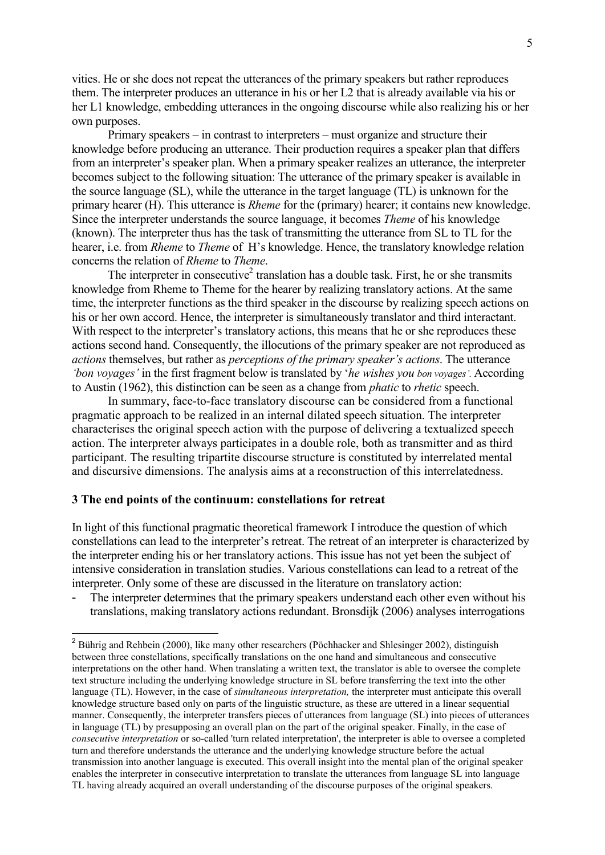vities. He or she does not repeat the utterances of the primary speakers but rather reproduces them. The interpreter produces an utterance in his or her L2 that is already available via his or her L1 knowledge, embedding utterances in the ongoing discourse while also realizing his or her own purposes.

 Primary speakers – in contrast to interpreters – must organize and structure their knowledge before producing an utterance. Their production requires a speaker plan that differs from an interpreter's speaker plan. When a primary speaker realizes an utterance, the interpreter becomes subject to the following situation: The utterance of the primary speaker is available in the source language (SL), while the utterance in the target language (TL) is unknown for the primary hearer (H). This utterance is Rheme for the (primary) hearer; it contains new knowledge. Since the interpreter understands the source language, it becomes Theme of his knowledge (known). The interpreter thus has the task of transmitting the utterance from SL to TL for the hearer, i.e. from *Rheme* to *Theme* of H's knowledge. Hence, the translatory knowledge relation concerns the relation of Rheme to Theme.

The interpreter in consecutive<sup>2</sup> translation has a double task. First, he or she transmits knowledge from Rheme to Theme for the hearer by realizing translatory actions. At the same time, the interpreter functions as the third speaker in the discourse by realizing speech actions on his or her own accord. Hence, the interpreter is simultaneously translator and third interactant. With respect to the interpreter's translatory actions, this means that he or she reproduces these actions second hand. Consequently, the illocutions of the primary speaker are not reproduced as actions themselves, but rather as perceptions of the primary speaker's actions. The utterance 'bon voyages' in the first fragment below is translated by 'he wishes you bon voyages'. According to Austin (1962), this distinction can be seen as a change from phatic to rhetic speech.

 In summary, face-to-face translatory discourse can be considered from a functional pragmatic approach to be realized in an internal dilated speech situation. The interpreter characterises the original speech action with the purpose of delivering a textualized speech action. The interpreter always participates in a double role, both as transmitter and as third participant. The resulting tripartite discourse structure is constituted by interrelated mental and discursive dimensions. The analysis aims at a reconstruction of this interrelatedness.

#### 3 The end points of the continuum: constellations for retreat

In light of this functional pragmatic theoretical framework I introduce the question of which constellations can lead to the interpreter's retreat. The retreat of an interpreter is characterized by the interpreter ending his or her translatory actions. This issue has not yet been the subject of intensive consideration in translation studies. Various constellations can lead to a retreat of the interpreter. Only some of these are discussed in the literature on translatory action:

The interpreter determines that the primary speakers understand each other even without his translations, making translatory actions redundant. Bronsdijk (2006) analyses interrogations

 2 Bührig and Rehbein (2000), like many other researchers (Pöchhacker and Shlesinger 2002), distinguish between three constellations, specifically translations on the one hand and simultaneous and consecutive interpretations on the other hand. When translating a written text, the translator is able to oversee the complete text structure including the underlying knowledge structure in SL before transferring the text into the other language (TL). However, in the case of simultaneous interpretation, the interpreter must anticipate this overall knowledge structure based only on parts of the linguistic structure, as these are uttered in a linear sequential manner. Consequently, the interpreter transfers pieces of utterances from language (SL) into pieces of utterances in language (TL) by presupposing an overall plan on the part of the original speaker. Finally, in the case of consecutive interpretation or so-called 'turn related interpretation', the interpreter is able to oversee a completed turn and therefore understands the utterance and the underlying knowledge structure before the actual transmission into another language is executed. This overall insight into the mental plan of the original speaker enables the interpreter in consecutive interpretation to translate the utterances from language SL into language TL having already acquired an overall understanding of the discourse purposes of the original speakers.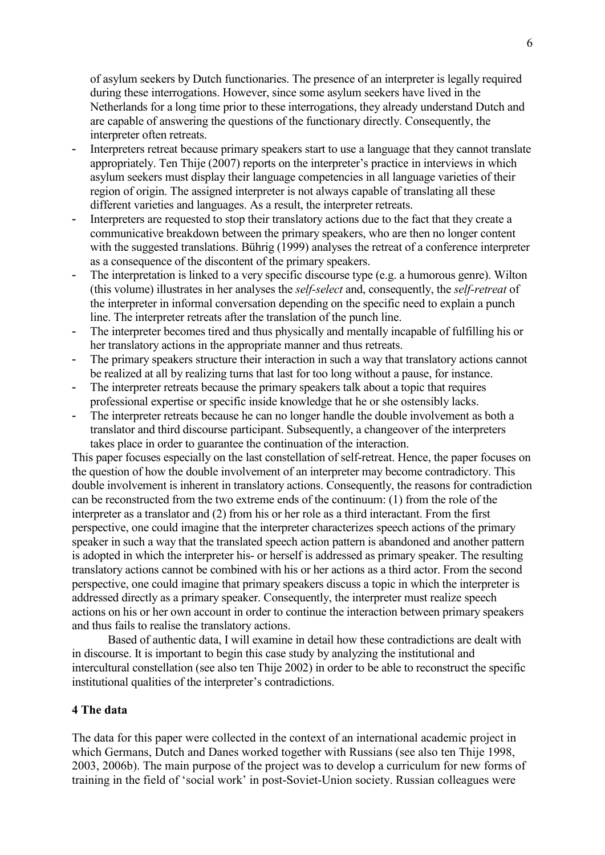of asylum seekers by Dutch functionaries. The presence of an interpreter is legally required during these interrogations. However, since some asylum seekers have lived in the Netherlands for a long time prior to these interrogations, they already understand Dutch and are capable of answering the questions of the functionary directly. Consequently, the interpreter often retreats.

- Interpreters retreat because primary speakers start to use a language that they cannot translate appropriately. Ten Thije (2007) reports on the interpreter's practice in interviews in which asylum seekers must display their language competencies in all language varieties of their region of origin. The assigned interpreter is not always capable of translating all these different varieties and languages. As a result, the interpreter retreats.
- Interpreters are requested to stop their translatory actions due to the fact that they create a communicative breakdown between the primary speakers, who are then no longer content with the suggested translations. Bührig (1999) analyses the retreat of a conference interpreter as a consequence of the discontent of the primary speakers.
- The interpretation is linked to a very specific discourse type (e.g. a humorous genre). Wilton (this volume) illustrates in her analyses the self-select and, consequently, the self-retreat of the interpreter in informal conversation depending on the specific need to explain a punch line. The interpreter retreats after the translation of the punch line.
- The interpreter becomes tired and thus physically and mentally incapable of fulfilling his or her translatory actions in the appropriate manner and thus retreats.
- The primary speakers structure their interaction in such a way that translatory actions cannot be realized at all by realizing turns that last for too long without a pause, for instance.
- The interpreter retreats because the primary speakers talk about a topic that requires professional expertise or specific inside knowledge that he or she ostensibly lacks.
- The interpreter retreats because he can no longer handle the double involvement as both a translator and third discourse participant. Subsequently, a changeover of the interpreters takes place in order to guarantee the continuation of the interaction.

This paper focuses especially on the last constellation of self-retreat. Hence, the paper focuses on the question of how the double involvement of an interpreter may become contradictory. This double involvement is inherent in translatory actions. Consequently, the reasons for contradiction can be reconstructed from the two extreme ends of the continuum: (1) from the role of the interpreter as a translator and (2) from his or her role as a third interactant. From the first perspective, one could imagine that the interpreter characterizes speech actions of the primary speaker in such a way that the translated speech action pattern is abandoned and another pattern is adopted in which the interpreter his- or herself is addressed as primary speaker. The resulting translatory actions cannot be combined with his or her actions as a third actor. From the second perspective, one could imagine that primary speakers discuss a topic in which the interpreter is addressed directly as a primary speaker. Consequently, the interpreter must realize speech actions on his or her own account in order to continue the interaction between primary speakers and thus fails to realise the translatory actions.

 Based of authentic data, I will examine in detail how these contradictions are dealt with in discourse. It is important to begin this case study by analyzing the institutional and intercultural constellation (see also ten Thije 2002) in order to be able to reconstruct the specific institutional qualities of the interpreter's contradictions.

### 4 The data

The data for this paper were collected in the context of an international academic project in which Germans, Dutch and Danes worked together with Russians (see also ten Thije 1998, 2003, 2006b). The main purpose of the project was to develop a curriculum for new forms of training in the field of 'social work' in post-Soviet-Union society. Russian colleagues were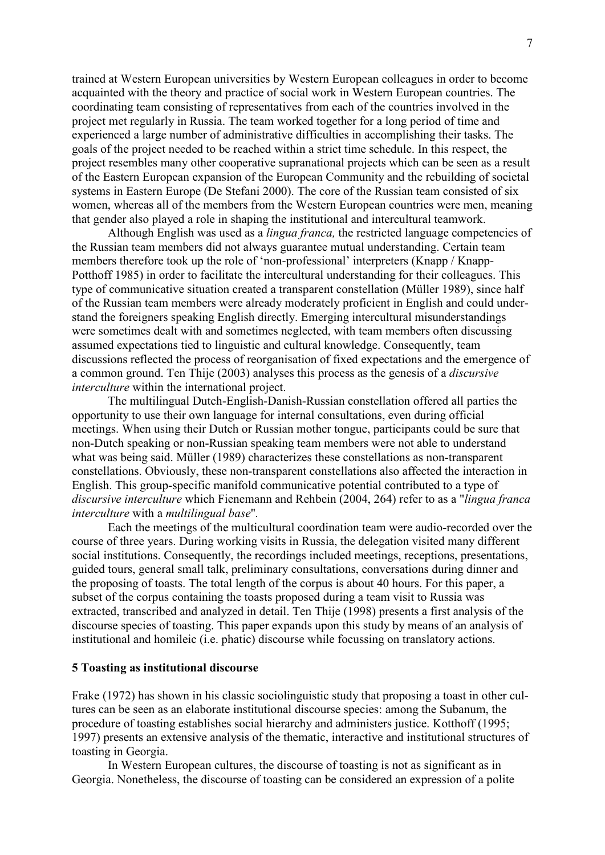trained at Western European universities by Western European colleagues in order to become acquainted with the theory and practice of social work in Western European countries. The coordinating team consisting of representatives from each of the countries involved in the project met regularly in Russia. The team worked together for a long period of time and experienced a large number of administrative difficulties in accomplishing their tasks. The goals of the project needed to be reached within a strict time schedule. In this respect, the project resembles many other cooperative supranational projects which can be seen as a result of the Eastern European expansion of the European Community and the rebuilding of societal systems in Eastern Europe (De Stefani 2000). The core of the Russian team consisted of six women, whereas all of the members from the Western European countries were men, meaning that gender also played a role in shaping the institutional and intercultural teamwork.

Although English was used as a *lingua franca*, the restricted language competencies of the Russian team members did not always guarantee mutual understanding. Certain team members therefore took up the role of 'non-professional' interpreters (Knapp / Knapp-Potthoff 1985) in order to facilitate the intercultural understanding for their colleagues. This type of communicative situation created a transparent constellation (Müller 1989), since half of the Russian team members were already moderately proficient in English and could understand the foreigners speaking English directly. Emerging intercultural misunderstandings were sometimes dealt with and sometimes neglected, with team members often discussing assumed expectations tied to linguistic and cultural knowledge. Consequently, team discussions reflected the process of reorganisation of fixed expectations and the emergence of a common ground. Ten Thije (2003) analyses this process as the genesis of a discursive interculture within the international project.

 The multilingual Dutch-English-Danish-Russian constellation offered all parties the opportunity to use their own language for internal consultations, even during official meetings. When using their Dutch or Russian mother tongue, participants could be sure that non-Dutch speaking or non-Russian speaking team members were not able to understand what was being said. Müller (1989) characterizes these constellations as non-transparent constellations. Obviously, these non-transparent constellations also affected the interaction in English. This group-specific manifold communicative potential contributed to a type of discursive interculture which Fienemann and Rehbein (2004, 264) refer to as a "lingua franca interculture with a multilingual base".

Each the meetings of the multicultural coordination team were audio-recorded over the course of three years. During working visits in Russia, the delegation visited many different social institutions. Consequently, the recordings included meetings, receptions, presentations, guided tours, general small talk, preliminary consultations, conversations during dinner and the proposing of toasts. The total length of the corpus is about 40 hours. For this paper, a subset of the corpus containing the toasts proposed during a team visit to Russia was extracted, transcribed and analyzed in detail. Ten Thije (1998) presents a first analysis of the discourse species of toasting. This paper expands upon this study by means of an analysis of institutional and homileic (i.e. phatic) discourse while focussing on translatory actions.

#### 5 Toasting as institutional discourse

Frake (1972) has shown in his classic sociolinguistic study that proposing a toast in other cultures can be seen as an elaborate institutional discourse species: among the Subanum, the procedure of toasting establishes social hierarchy and administers justice. Kotthoff (1995; 1997) presents an extensive analysis of the thematic, interactive and institutional structures of toasting in Georgia.

 In Western European cultures, the discourse of toasting is not as significant as in Georgia. Nonetheless, the discourse of toasting can be considered an expression of a polite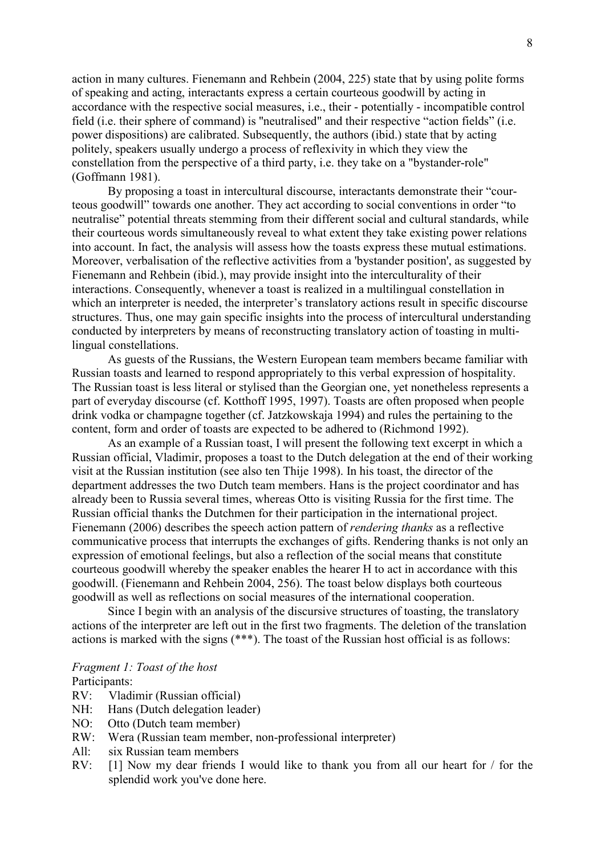action in many cultures. Fienemann and Rehbein (2004, 225) state that by using polite forms of speaking and acting, interactants express a certain courteous goodwill by acting in accordance with the respective social measures, i.e., their - potentially - incompatible control field (i.e. their sphere of command) is ''neutralised" and their respective "action fields" (i.e. power dispositions) are calibrated. Subsequently, the authors (ibid.) state that by acting politely, speakers usually undergo a process of reflexivity in which they view the constellation from the perspective of a third party, i.e. they take on a "bystander-role" (Goffmann 1981).

 By proposing a toast in intercultural discourse, interactants demonstrate their "courteous goodwill" towards one another. They act according to social conventions in order "to neutralise" potential threats stemming from their different social and cultural standards, while their courteous words simultaneously reveal to what extent they take existing power relations into account. In fact, the analysis will assess how the toasts express these mutual estimations. Moreover, verbalisation of the reflective activities from a 'bystander position', as suggested by Fienemann and Rehbein (ibid.), may provide insight into the interculturality of their interactions. Consequently, whenever a toast is realized in a multilingual constellation in which an interpreter is needed, the interpreter's translatory actions result in specific discourse structures. Thus, one may gain specific insights into the process of intercultural understanding conducted by interpreters by means of reconstructing translatory action of toasting in multilingual constellations.

 As guests of the Russians, the Western European team members became familiar with Russian toasts and learned to respond appropriately to this verbal expression of hospitality. The Russian toast is less literal or stylised than the Georgian one, yet nonetheless represents a part of everyday discourse (cf. Kotthoff 1995, 1997). Toasts are often proposed when people drink vodka or champagne together (cf. Jatzkowskaja 1994) and rules the pertaining to the content, form and order of toasts are expected to be adhered to (Richmond 1992).

 As an example of a Russian toast, I will present the following text excerpt in which a Russian official, Vladimir, proposes a toast to the Dutch delegation at the end of their working visit at the Russian institution (see also ten Thije 1998). In his toast, the director of the department addresses the two Dutch team members. Hans is the project coordinator and has already been to Russia several times, whereas Otto is visiting Russia for the first time. The Russian official thanks the Dutchmen for their participation in the international project. Fienemann (2006) describes the speech action pattern of *rendering thanks* as a reflective communicative process that interrupts the exchanges of gifts. Rendering thanks is not only an expression of emotional feelings, but also a reflection of the social means that constitute courteous goodwill whereby the speaker enables the hearer H to act in accordance with this goodwill. (Fienemann and Rehbein 2004, 256). The toast below displays both courteous goodwill as well as reflections on social measures of the international cooperation.

 Since I begin with an analysis of the discursive structures of toasting, the translatory actions of the interpreter are left out in the first two fragments. The deletion of the translation actions is marked with the signs (\*\*\*). The toast of the Russian host official is as follows:

#### Fragment 1: Toast of the host Participants:

- RV: Vladimir (Russian official)
- NH: Hans (Dutch delegation leader)
- NO: Otto (Dutch team member)
- RW: Wera (Russian team member, non-professional interpreter)
- All: six Russian team members
- RV: [1] Now my dear friends I would like to thank you from all our heart for / for the splendid work you've done here.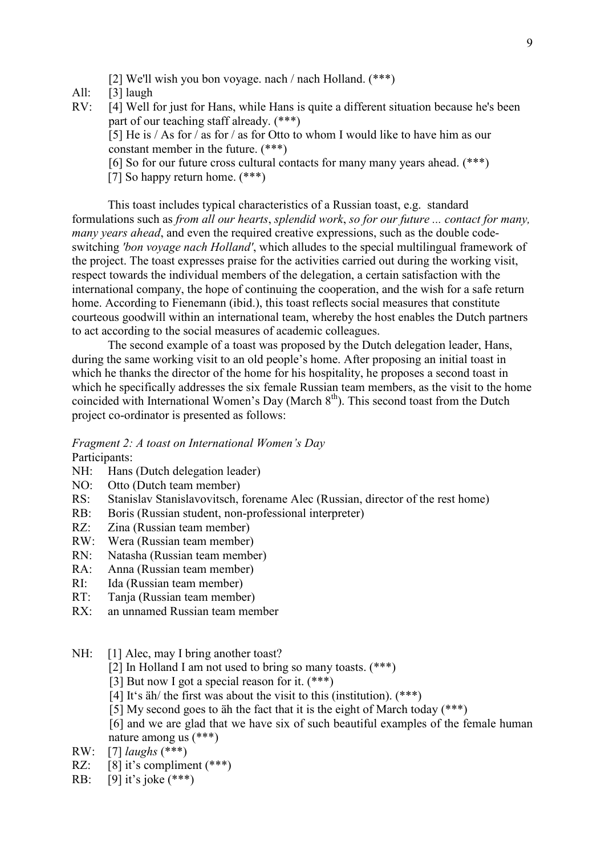- [2] We'll wish you bon voyage. nach / nach Holland. (\*\*\*)
- All: [3] laugh
- RV: [4] Well for just for Hans, while Hans is quite a different situation because he's been part of our teaching staff already. (\*\*\*) [5] He is / As for / as for / as for Otto to whom I would like to have him as our constant member in the future. (\*\*\*) [6] So for our future cross cultural contacts for many many years ahead. (\*\*\*) [7] So happy return home. (\*\*\*)

 This toast includes typical characteristics of a Russian toast, e.g. standard formulations such as from all our hearts, splendid work, so for our future ... contact for many, many years ahead, and even the required creative expressions, such as the double codeswitching 'bon voyage nach Holland', which alludes to the special multilingual framework of the project. The toast expresses praise for the activities carried out during the working visit, respect towards the individual members of the delegation, a certain satisfaction with the international company, the hope of continuing the cooperation, and the wish for a safe return home. According to Fienemann (ibid.), this toast reflects social measures that constitute courteous goodwill within an international team, whereby the host enables the Dutch partners to act according to the social measures of academic colleagues.

 The second example of a toast was proposed by the Dutch delegation leader, Hans, during the same working visit to an old people's home. After proposing an initial toast in which he thanks the director of the home for his hospitality, he proposes a second toast in which he specifically addresses the six female Russian team members, as the visit to the home coincided with International Women's Day (March 8<sup>th</sup>). This second toast from the Dutch project co-ordinator is presented as follows:

Fragment 2: A toast on International Women's Day Participants:

- NH: Hans (Dutch delegation leader)
- NO: Otto (Dutch team member)
- RS: Stanislav Stanislavovitsch, forename Alec (Russian, director of the rest home)
- RB: Boris (Russian student, non-professional interpreter)
- RZ: Zina (Russian team member)<br>RW: Wera (Russian team member)
- Wera (Russian team member)
- RN: Natasha (Russian team member)
- RA: Anna (Russian team member)
- RI: Ida (Russian team member)
- RT: Tanja (Russian team member)
- RX: an unnamed Russian team member
- NH: [1] Alec, may I bring another toast?
	- [2] In Holland I am not used to bring so many toasts. (\*\*\*)
	- [3] But now I got a special reason for it. (\*\*\*)
	- [4] It's  $\ddot{a}$ h/ the first was about the visit to this (institution). (\*\*\*)
	- [5] My second goes to äh the fact that it is the eight of March today (\*\*\*)
	- [6] and we are glad that we have six of such beautiful examples of the female human nature among us (\*\*\*)
- RW: [7] *laughs*  $(***)$
- RZ:  $\begin{bmatrix} 8 \end{bmatrix}$  it's compliment (\*\*\*)
- RB: [9] it's joke (\*\*\*)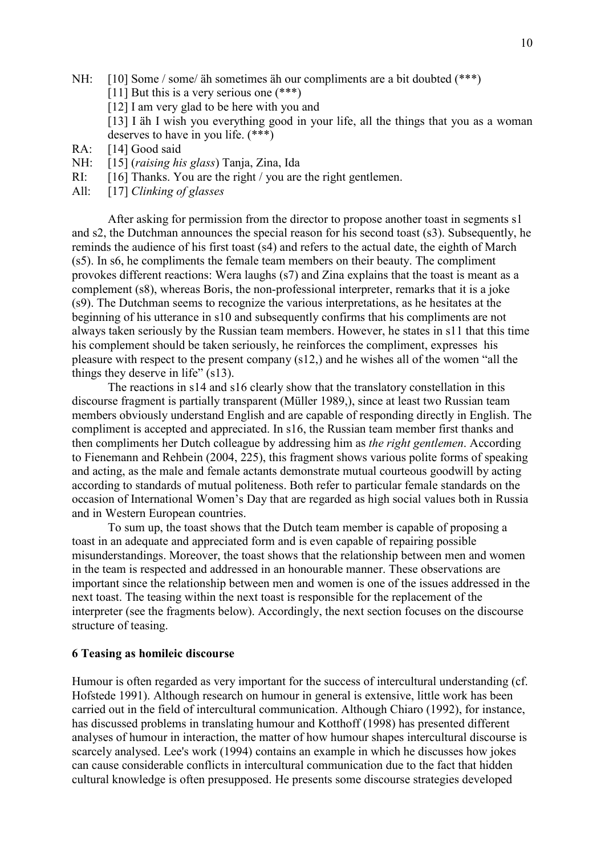- NH: [10] Some / some / äh sometimes äh our compliments are a bit doubted (\*\*\*)
	- [11] But this is a very serious one  $(***)$
	- [12] I am very glad to be here with you and
	- [13] I äh I wish you everything good in your life, all the things that you as a woman deserves to have in you life. (\*\*\*)
- RA: [14] Good said
- NH: [15] (raising his glass) Tanja, Zina, Ida
- RI: [16] Thanks. You are the right / you are the right gentlemen.
- All: [17] Clinking of glasses

After asking for permission from the director to propose another toast in segments s1 and s2, the Dutchman announces the special reason for his second toast (s3). Subsequently, he reminds the audience of his first toast (s4) and refers to the actual date, the eighth of March (s5). In s6, he compliments the female team members on their beauty. The compliment provokes different reactions: Wera laughs (s7) and Zina explains that the toast is meant as a complement (s8), whereas Boris, the non-professional interpreter, remarks that it is a joke (s9). The Dutchman seems to recognize the various interpretations, as he hesitates at the beginning of his utterance in s10 and subsequently confirms that his compliments are not always taken seriously by the Russian team members. However, he states in s11 that this time his complement should be taken seriously, he reinforces the compliment, expresses his pleasure with respect to the present company (s12,) and he wishes all of the women "all the things they deserve in life" (s13).

 The reactions in s14 and s16 clearly show that the translatory constellation in this discourse fragment is partially transparent (Müller 1989,), since at least two Russian team members obviously understand English and are capable of responding directly in English. The compliment is accepted and appreciated. In s16, the Russian team member first thanks and then compliments her Dutch colleague by addressing him as the right gentlemen. According to Fienemann and Rehbein (2004, 225), this fragment shows various polite forms of speaking and acting, as the male and female actants demonstrate mutual courteous goodwill by acting according to standards of mutual politeness. Both refer to particular female standards on the occasion of International Women's Day that are regarded as high social values both in Russia and in Western European countries.

 To sum up, the toast shows that the Dutch team member is capable of proposing a toast in an adequate and appreciated form and is even capable of repairing possible misunderstandings. Moreover, the toast shows that the relationship between men and women in the team is respected and addressed in an honourable manner. These observations are important since the relationship between men and women is one of the issues addressed in the next toast. The teasing within the next toast is responsible for the replacement of the interpreter (see the fragments below). Accordingly, the next section focuses on the discourse structure of teasing.

### 6 Teasing as homileic discourse

Humour is often regarded as very important for the success of intercultural understanding (cf. Hofstede 1991). Although research on humour in general is extensive, little work has been carried out in the field of intercultural communication. Although Chiaro (1992), for instance, has discussed problems in translating humour and Kotthoff (1998) has presented different analyses of humour in interaction, the matter of how humour shapes intercultural discourse is scarcely analysed. Lee's work (1994) contains an example in which he discusses how jokes can cause considerable conflicts in intercultural communication due to the fact that hidden cultural knowledge is often presupposed. He presents some discourse strategies developed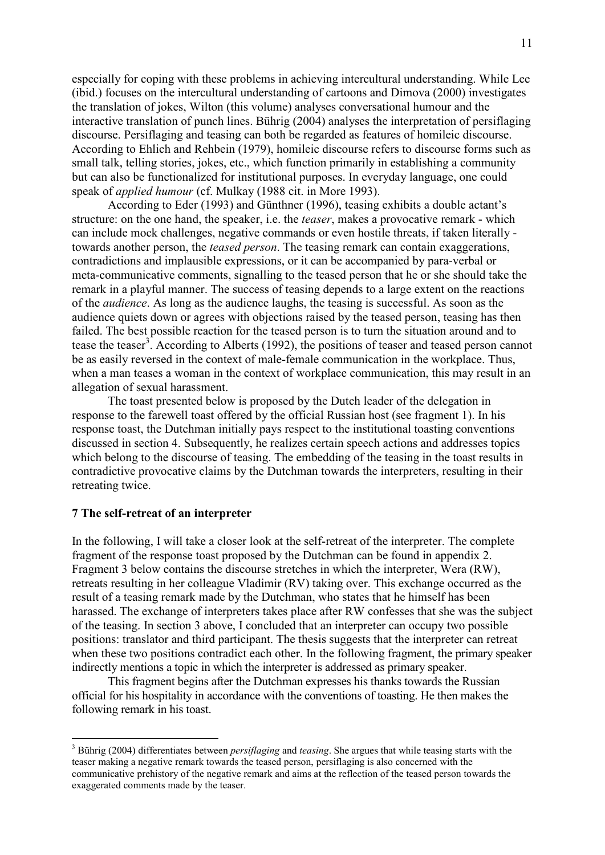especially for coping with these problems in achieving intercultural understanding. While Lee (ibid.) focuses on the intercultural understanding of cartoons and Dimova (2000) investigates the translation of jokes, Wilton (this volume) analyses conversational humour and the interactive translation of punch lines. Bührig (2004) analyses the interpretation of persiflaging discourse. Persiflaging and teasing can both be regarded as features of homileic discourse. According to Ehlich and Rehbein (1979), homileic discourse refers to discourse forms such as small talk, telling stories, jokes, etc., which function primarily in establishing a community but can also be functionalized for institutional purposes. In everyday language, one could speak of applied humour (cf. Mulkay (1988 cit. in More 1993).

 According to Eder (1993) and Günthner (1996), teasing exhibits a double actant's structure: on the one hand, the speaker, i.e. the *teaser*, makes a provocative remark - which can include mock challenges, negative commands or even hostile threats, if taken literally towards another person, the teased person. The teasing remark can contain exaggerations, contradictions and implausible expressions, or it can be accompanied by para-verbal or meta-communicative comments, signalling to the teased person that he or she should take the remark in a playful manner. The success of teasing depends to a large extent on the reactions of the audience. As long as the audience laughs, the teasing is successful. As soon as the audience quiets down or agrees with objections raised by the teased person, teasing has then failed. The best possible reaction for the teased person is to turn the situation around and to tease the teaser<sup>3</sup>. According to Alberts (1992), the positions of teaser and teased person cannot be as easily reversed in the context of male-female communication in the workplace. Thus, when a man teases a woman in the context of workplace communication, this may result in an allegation of sexual harassment.

 The toast presented below is proposed by the Dutch leader of the delegation in response to the farewell toast offered by the official Russian host (see fragment 1). In his response toast, the Dutchman initially pays respect to the institutional toasting conventions discussed in section 4. Subsequently, he realizes certain speech actions and addresses topics which belong to the discourse of teasing. The embedding of the teasing in the toast results in contradictive provocative claims by the Dutchman towards the interpreters, resulting in their retreating twice.

#### 7 The self-retreat of an interpreter

 $\overline{a}$ 

In the following, I will take a closer look at the self-retreat of the interpreter. The complete fragment of the response toast proposed by the Dutchman can be found in appendix 2. Fragment 3 below contains the discourse stretches in which the interpreter, Wera (RW), retreats resulting in her colleague Vladimir (RV) taking over. This exchange occurred as the result of a teasing remark made by the Dutchman, who states that he himself has been harassed. The exchange of interpreters takes place after RW confesses that she was the subject of the teasing. In section 3 above, I concluded that an interpreter can occupy two possible positions: translator and third participant. The thesis suggests that the interpreter can retreat when these two positions contradict each other. In the following fragment, the primary speaker indirectly mentions a topic in which the interpreter is addressed as primary speaker.

 This fragment begins after the Dutchman expresses his thanks towards the Russian official for his hospitality in accordance with the conventions of toasting. He then makes the following remark in his toast.

 $3$  Bührig (2004) differentiates between *persiflaging* and *teasing*. She argues that while teasing starts with the teaser making a negative remark towards the teased person, persiflaging is also concerned with the communicative prehistory of the negative remark and aims at the reflection of the teased person towards the exaggerated comments made by the teaser.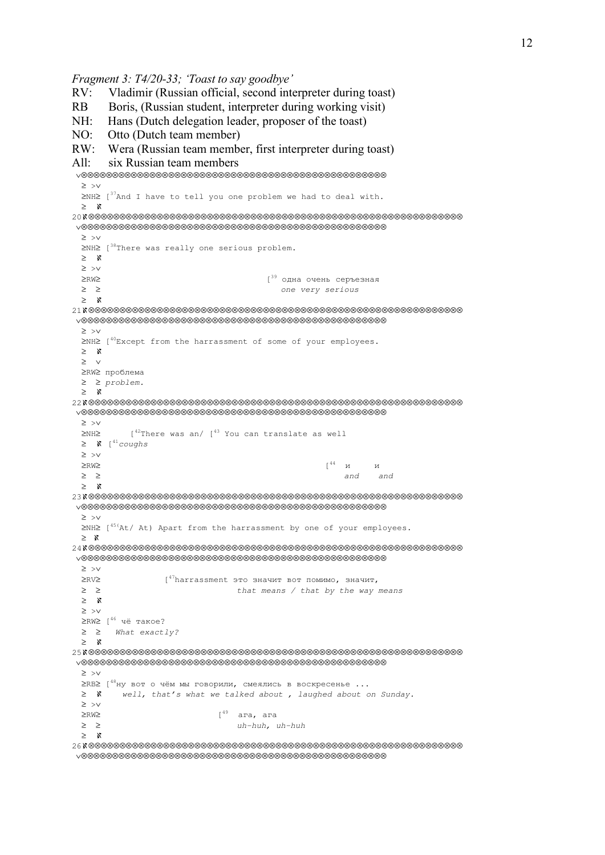```
Fragment 3: T4/20-33; 'Toast to say goodbye'
```

```
RV: Vladimir (Russian official, second interpreter during toast)
```

```
RB Boris, (Russian student, interpreter during working visit)
```

```
NH: Hans (Dutch delegation leader, proposer of the toast)
```

```
NO: Otto (Dutch team member)
```

```
RW: Wera (Russian team member, first interpreter during toast)
```

```
All: six Russian team members
```

```
 ∨⊗⊗⊗⊗⊗⊗⊗⊗⊗⊗⊗⊗⊗⊗⊗⊗⊗⊗⊗⊗⊗⊗⊗⊗⊗⊗⊗⊗⊗⊗⊗⊗⊗⊗⊗⊗⊗⊗⊗⊗⊗⊗⊗⊗⊗⊗⊗⊗⊗
  ≥ >∨ 
 ≥NH≥ [<sup>37</sup>And I have to tell you one problem we had to deal with.
  ≥ ℵ 
20ℵ⊗⊗⊗⊗⊗⊗⊗⊗⊗⊗⊗⊗⊗⊗⊗⊗⊗⊗⊗⊗⊗⊗⊗⊗⊗⊗⊗⊗⊗⊗⊗⊗⊗⊗⊗⊗⊗⊗⊗⊗⊗⊗⊗⊗⊗⊗⊗⊗⊗⊗⊗⊗⊗⊗⊗⊗⊗⊗⊗⊗ 
 ∨⊗⊗⊗⊗⊗⊗⊗⊗⊗⊗⊗⊗⊗⊗⊗⊗⊗⊗⊗⊗⊗⊗⊗⊗⊗⊗⊗⊗⊗⊗⊗⊗⊗⊗⊗⊗⊗⊗⊗⊗⊗⊗⊗⊗⊗⊗⊗⊗⊗
  ≥ >∨ 
 ≥NH≥ [<sup>38</sup>There was really one serious problem.
  ≥ ℵ 
  ≥ >∨ 
 ≥RW≥ [39 одна очень серъезная
  ≥ ≥ one very serious 
  ≥ ℵ 
21ℵ⊗⊗⊗⊗⊗⊗⊗⊗⊗⊗⊗⊗⊗⊗⊗⊗⊗⊗⊗⊗⊗⊗⊗⊗⊗⊗⊗⊗⊗⊗⊗⊗⊗⊗⊗⊗⊗⊗⊗⊗⊗⊗⊗⊗⊗⊗⊗⊗⊗⊗⊗⊗⊗⊗⊗⊗⊗⊗⊗⊗ 
 ∨⊗⊗⊗⊗⊗⊗⊗⊗⊗⊗⊗⊗⊗⊗⊗⊗⊗⊗⊗⊗⊗⊗⊗⊗⊗⊗⊗⊗⊗⊗⊗⊗⊗⊗⊗⊗⊗⊗⊗⊗⊗⊗⊗⊗⊗⊗⊗⊗⊗
  ≥ >∨ 
  ≥NH≥ [40Except from the harrassment of some of your employees. 
  ≥ ℵ 
  ≥ ∨ 
  ≥RW≥ проблема
  ≥ ≥ problem.
  ≥ ℵ 
22ℵ⊗⊗⊗⊗⊗⊗⊗⊗⊗⊗⊗⊗⊗⊗⊗⊗⊗⊗⊗⊗⊗⊗⊗⊗⊗⊗⊗⊗⊗⊗⊗⊗⊗⊗⊗⊗⊗⊗⊗⊗⊗⊗⊗⊗⊗⊗⊗⊗⊗⊗⊗⊗⊗⊗⊗⊗⊗⊗⊗⊗ 
 ∨⊗⊗⊗⊗⊗⊗⊗⊗⊗⊗⊗⊗⊗⊗⊗⊗⊗⊗⊗⊗⊗⊗⊗⊗⊗⊗⊗⊗⊗⊗⊗⊗⊗⊗⊗⊗⊗⊗⊗⊗⊗⊗⊗⊗⊗⊗⊗⊗⊗
  ≥ >∨ 
 \geqNH\geq [<sup>42</sup>There was an/ [<sup>43</sup> You can translate as well
 ≥ \mathbf{X} [<sup>41</sup>coughs
  ≥ >∨ 
≥RW≥ [<sup>44</sup> и и
 ≥ ≥ and and
  ≥ ℵ 
23ℵ⊗⊗⊗⊗⊗⊗⊗⊗⊗⊗⊗⊗⊗⊗⊗⊗⊗⊗⊗⊗⊗⊗⊗⊗⊗⊗⊗⊗⊗⊗⊗⊗⊗⊗⊗⊗⊗⊗⊗⊗⊗⊗⊗⊗⊗⊗⊗⊗⊗⊗⊗⊗⊗⊗⊗⊗⊗⊗⊗⊗ 
 ∨⊗⊗⊗⊗⊗⊗⊗⊗⊗⊗⊗⊗⊗⊗⊗⊗⊗⊗⊗⊗⊗⊗⊗⊗⊗⊗⊗⊗⊗⊗⊗⊗⊗⊗⊗⊗⊗⊗⊗⊗⊗⊗⊗⊗⊗⊗⊗⊗⊗
  ≥ >∨ 
 \geq NH\geq [<sup>45(</sup>At/ At) Apart from the harrassment by one of your employees.
  ≥ ℵ
24ℵ⊗⊗⊗⊗⊗⊗⊗⊗⊗⊗⊗⊗⊗⊗⊗⊗⊗⊗⊗⊗⊗⊗⊗⊗⊗⊗⊗⊗⊗⊗⊗⊗⊗⊗⊗⊗⊗⊗⊗⊗⊗⊗⊗⊗⊗⊗⊗⊗⊗⊗⊗⊗⊗⊗⊗⊗⊗⊗⊗⊗ 
 ∨⊗⊗⊗⊗⊗⊗⊗⊗⊗⊗⊗⊗⊗⊗⊗⊗⊗⊗⊗⊗⊗⊗⊗⊗⊗⊗⊗⊗⊗⊗⊗⊗⊗⊗⊗⊗⊗⊗⊗⊗⊗⊗⊗⊗⊗⊗⊗⊗⊗
  ≥ >∨ 
 \geqRV\geq [47harrassment это значит вот помимо, значит,
  ≥ ≥ that means / that by the way means
 ≥ ℵ 
 ≥ >∨ 
 ≥RW≥ [46 чё такое? 
 ≥ ≥ What exactly?
  ≥ ℵ 
25ℵ⊗⊗⊗⊗⊗⊗⊗⊗⊗⊗⊗⊗⊗⊗⊗⊗⊗⊗⊗⊗⊗⊗⊗⊗⊗⊗⊗⊗⊗⊗⊗⊗⊗⊗⊗⊗⊗⊗⊗⊗⊗⊗⊗⊗⊗⊗⊗⊗⊗⊗⊗⊗⊗⊗⊗⊗⊗⊗⊗⊗ 
 ∨⊗⊗⊗⊗⊗⊗⊗⊗⊗⊗⊗⊗⊗⊗⊗⊗⊗⊗⊗⊗⊗⊗⊗⊗⊗⊗⊗⊗⊗⊗⊗⊗⊗⊗⊗⊗⊗⊗⊗⊗⊗⊗⊗⊗⊗⊗⊗⊗⊗
  ≥ >∨ 
  ≥RB≥ [48ну вот о чём мы говорили, смеялись в воскресенье ... 
 ≥ K well, that's what we talked about , laughed about on Sunday.
  ≥ >∨ 
 \geqRW\geq \geqRW\geq ≥ ≥ uh-huh, uh-huh
  ≥ ℵ 
26ℵ⊗⊗⊗⊗⊗⊗⊗⊗⊗⊗⊗⊗⊗⊗⊗⊗⊗⊗⊗⊗⊗⊗⊗⊗⊗⊗⊗⊗⊗⊗⊗⊗⊗⊗⊗⊗⊗⊗⊗⊗⊗⊗⊗⊗⊗⊗⊗⊗⊗⊗⊗⊗⊗⊗⊗⊗⊗⊗⊗⊗ 
 ∨⊗⊗⊗⊗⊗⊗⊗⊗⊗⊗⊗⊗⊗⊗⊗⊗⊗⊗⊗⊗⊗⊗⊗⊗⊗⊗⊗⊗⊗⊗⊗⊗⊗⊗⊗⊗⊗⊗⊗⊗⊗⊗⊗⊗⊗⊗⊗⊗⊗
```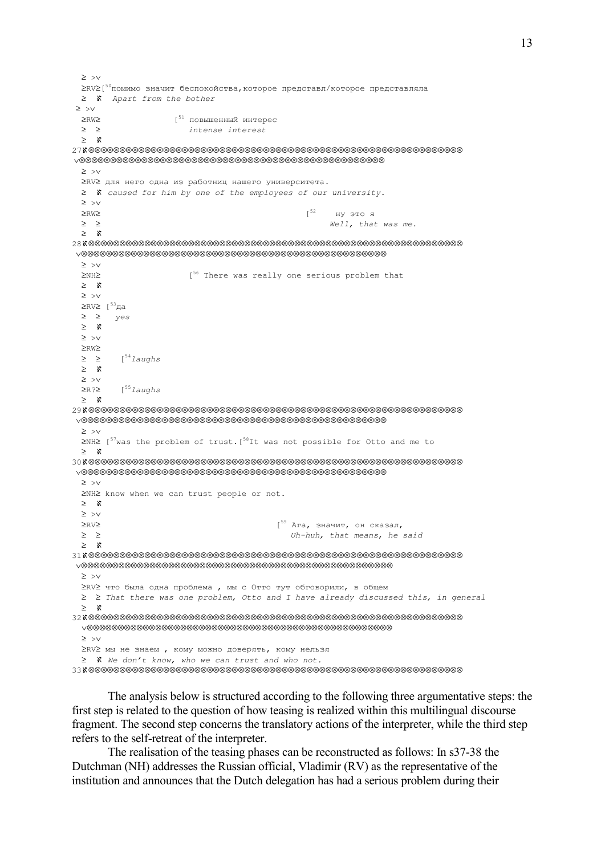```
 ≥ >∨ 
 ≥RV≥[
50помимо значит беспокойства,которое представл/которое представляла 
 ≥ N Apart from the bother
 ≥ >∨ 
 ≥RW≥ [51 повышенный интерес
  ≥ ≥ intense interest 
  ≥ ℵ 
27ℵ⊗⊗⊗⊗⊗⊗⊗⊗⊗⊗⊗⊗⊗⊗⊗⊗⊗⊗⊗⊗⊗⊗⊗⊗⊗⊗⊗⊗⊗⊗⊗⊗⊗⊗⊗⊗⊗⊗⊗⊗⊗⊗⊗⊗⊗⊗⊗⊗⊗⊗⊗⊗⊗⊗⊗⊗⊗⊗⊗⊗ 
 ∨⊗⊗⊗⊗⊗⊗⊗⊗⊗⊗⊗⊗⊗⊗⊗⊗⊗⊗⊗⊗⊗⊗⊗⊗⊗⊗⊗⊗⊗⊗⊗⊗⊗⊗⊗⊗⊗⊗⊗⊗⊗⊗⊗⊗⊗⊗⊗⊗⊗
  ≥ >∨ 
  ≥RV≥ для него одна из работниц нашего университета. 
  ≥ ℵ caused for him by one of the employees of our university. 
  ≥ >∨ 
 ≥RW≥ ну это я
  ≥ ≥ Well, that was me. 
  ≥ ℵ 
28ℵ⊗⊗⊗⊗⊗⊗⊗⊗⊗⊗⊗⊗⊗⊗⊗⊗⊗⊗⊗⊗⊗⊗⊗⊗⊗⊗⊗⊗⊗⊗⊗⊗⊗⊗⊗⊗⊗⊗⊗⊗⊗⊗⊗⊗⊗⊗⊗⊗⊗⊗⊗⊗⊗⊗⊗⊗⊗⊗⊗⊗ 
 ∨⊗⊗⊗⊗⊗⊗⊗⊗⊗⊗⊗⊗⊗⊗⊗⊗⊗⊗⊗⊗⊗⊗⊗⊗⊗⊗⊗⊗⊗⊗⊗⊗⊗⊗⊗⊗⊗⊗⊗⊗⊗⊗⊗⊗⊗⊗⊗⊗⊗
  ≥ >∨ 
  ≥NH≥ [56 There was really one serious problem that 
  ≥ ℵ 
  ≥ >∨ 
  ≥RV≥ [53да
  ≥ ≥ yes
  ≥ ℵ 
  ≥ >∨ 
  ≥RW≥ 
 ≥ ≥ [54] aughs
  ≥ ℵ 
  ≥ >∨ 
  ≥R?≥ [55laughs
  ≥ ℵ 
29ℵ⊗⊗⊗⊗⊗⊗⊗⊗⊗⊗⊗⊗⊗⊗⊗⊗⊗⊗⊗⊗⊗⊗⊗⊗⊗⊗⊗⊗⊗⊗⊗⊗⊗⊗⊗⊗⊗⊗⊗⊗⊗⊗⊗⊗⊗⊗⊗⊗⊗⊗⊗⊗⊗⊗⊗⊗⊗⊗⊗⊗ 
 ∨⊗⊗⊗⊗⊗⊗⊗⊗⊗⊗⊗⊗⊗⊗⊗⊗⊗⊗⊗⊗⊗⊗⊗⊗⊗⊗⊗⊗⊗⊗⊗⊗⊗⊗⊗⊗⊗⊗⊗⊗⊗⊗⊗⊗⊗⊗⊗⊗⊗
  ≥ >∨ 
 \geq NH\geq [<sup>57</sup>was the problem of trust.[<sup>58</sup>It was not possible for Otto and me to
  ≥ ℵ 
30ℵ⊗⊗⊗⊗⊗⊗⊗⊗⊗⊗⊗⊗⊗⊗⊗⊗⊗⊗⊗⊗⊗⊗⊗⊗⊗⊗⊗⊗⊗⊗⊗⊗⊗⊗⊗⊗⊗⊗⊗⊗⊗⊗⊗⊗⊗⊗⊗⊗⊗⊗⊗⊗⊗⊗⊗⊗⊗⊗⊗⊗ 
 ∨⊗⊗⊗⊗⊗⊗⊗⊗⊗⊗⊗⊗⊗⊗⊗⊗⊗⊗⊗⊗⊗⊗⊗⊗⊗⊗⊗⊗⊗⊗⊗⊗⊗⊗⊗⊗⊗⊗⊗⊗⊗⊗⊗⊗⊗⊗⊗⊗⊗
  ≥ >∨ 
  ≥NH≥ know when we can trust people or not. 
  ≥ ℵ 
  ≥ >∨ 
  ≥RV≥ [59 Ага, значит, он сказал, 
  ≥ ≥ Uh-huh, that means, he said 
  ≥ ℵ 
31ℵ⊗⊗⊗⊗⊗⊗⊗⊗⊗⊗⊗⊗⊗⊗⊗⊗⊗⊗⊗⊗⊗⊗⊗⊗⊗⊗⊗⊗⊗⊗⊗⊗⊗⊗⊗⊗⊗⊗⊗⊗⊗⊗⊗⊗⊗⊗⊗⊗⊗⊗⊗⊗⊗⊗⊗⊗⊗⊗⊗⊗ 
 ∨⊗⊗⊗⊗⊗⊗⊗⊗⊗⊗⊗⊗⊗⊗⊗⊗⊗⊗⊗⊗⊗⊗⊗⊗⊗⊗⊗⊗⊗⊗⊗⊗⊗⊗⊗⊗⊗⊗⊗⊗⊗⊗⊗⊗⊗⊗⊗⊗⊗⊗
  ≥ >∨ 
  ≥RV≥ что была одна проблема , мы с Отто тут обговорили, в общем
  ≥ ≥ That there was one problem, Otto and I have already discussed this, in general
  ≥ ℵ 
32ℵ⊗⊗⊗⊗⊗⊗⊗⊗⊗⊗⊗⊗⊗⊗⊗⊗⊗⊗⊗⊗⊗⊗⊗⊗⊗⊗⊗⊗⊗⊗⊗⊗⊗⊗⊗⊗⊗⊗⊗⊗⊗⊗⊗⊗⊗⊗⊗⊗⊗⊗⊗⊗⊗⊗⊗⊗⊗⊗⊗⊗ 
 ∨⊗⊗⊗⊗⊗⊗⊗⊗⊗⊗⊗⊗⊗⊗⊗⊗⊗⊗⊗⊗⊗⊗⊗⊗⊗⊗⊗⊗⊗⊗⊗⊗⊗⊗⊗⊗⊗⊗⊗⊗⊗⊗⊗⊗⊗⊗⊗⊗⊗
 ≥ >∨ 
 ≥RV≥ мы не знаем , кому можно доверять, кому нельзя
 ≥ ℵ We don't know, who we can trust and who not.
33ℵ⊗⊗⊗⊗⊗⊗⊗⊗⊗⊗⊗⊗⊗⊗⊗⊗⊗⊗⊗⊗⊗⊗⊗⊗⊗⊗⊗⊗⊗⊗⊗⊗⊗⊗⊗⊗⊗⊗⊗⊗⊗⊗⊗⊗⊗⊗⊗⊗⊗⊗⊗⊗⊗⊗⊗⊗⊗⊗⊗⊗
```
 The analysis below is structured according to the following three argumentative steps: the first step is related to the question of how teasing is realized within this multilingual discourse fragment. The second step concerns the translatory actions of the interpreter, while the third step refers to the self-retreat of the interpreter.

 The realisation of the teasing phases can be reconstructed as follows: In s37-38 the Dutchman (NH) addresses the Russian official, Vladimir (RV) as the representative of the institution and announces that the Dutch delegation has had a serious problem during their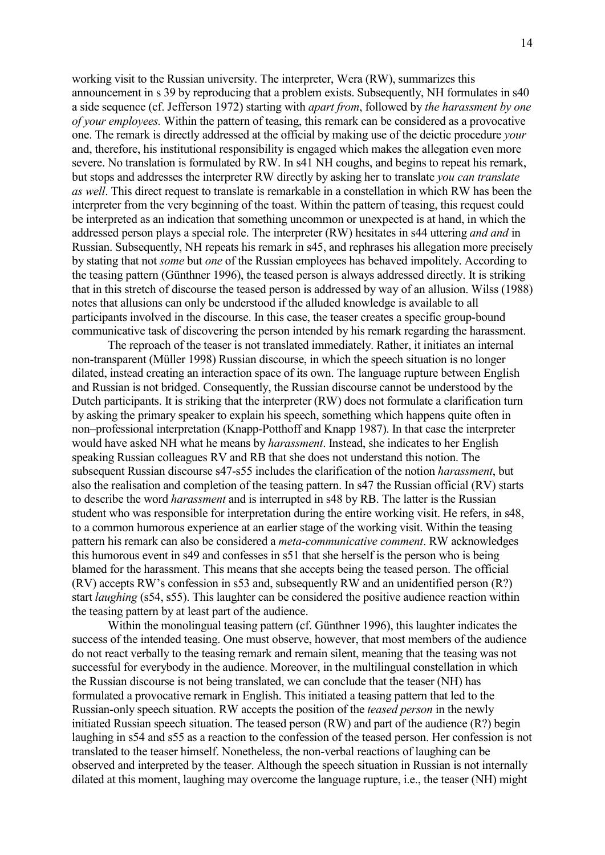working visit to the Russian university. The interpreter, Wera (RW), summarizes this announcement in s 39 by reproducing that a problem exists. Subsequently, NH formulates in s40 a side sequence (cf. Jefferson 1972) starting with apart from, followed by the harassment by one of your employees. Within the pattern of teasing, this remark can be considered as a provocative one. The remark is directly addressed at the official by making use of the deictic procedure your and, therefore, his institutional responsibility is engaged which makes the allegation even more severe. No translation is formulated by RW. In s41 NH coughs, and begins to repeat his remark, but stops and addresses the interpreter RW directly by asking her to translate you can translate as well. This direct request to translate is remarkable in a constellation in which RW has been the interpreter from the very beginning of the toast. Within the pattern of teasing, this request could be interpreted as an indication that something uncommon or unexpected is at hand, in which the addressed person plays a special role. The interpreter (RW) hesitates in s44 uttering and and in Russian. Subsequently, NH repeats his remark in s45, and rephrases his allegation more precisely by stating that not some but one of the Russian employees has behaved impolitely. According to the teasing pattern (Günthner 1996), the teased person is always addressed directly. It is striking that in this stretch of discourse the teased person is addressed by way of an allusion. Wilss (1988) notes that allusions can only be understood if the alluded knowledge is available to all participants involved in the discourse. In this case, the teaser creates a specific group-bound communicative task of discovering the person intended by his remark regarding the harassment.

 The reproach of the teaser is not translated immediately. Rather, it initiates an internal non-transparent (Müller 1998) Russian discourse, in which the speech situation is no longer dilated, instead creating an interaction space of its own. The language rupture between English and Russian is not bridged. Consequently, the Russian discourse cannot be understood by the Dutch participants. It is striking that the interpreter (RW) does not formulate a clarification turn by asking the primary speaker to explain his speech, something which happens quite often in non–professional interpretation (Knapp-Potthoff and Knapp 1987). In that case the interpreter would have asked NH what he means by harassment. Instead, she indicates to her English speaking Russian colleagues RV and RB that she does not understand this notion. The subsequent Russian discourse s47-s55 includes the clarification of the notion harassment, but also the realisation and completion of the teasing pattern. In s47 the Russian official (RV) starts to describe the word *harassment* and is interrupted in s48 by RB. The latter is the Russian student who was responsible for interpretation during the entire working visit. He refers, in s48, to a common humorous experience at an earlier stage of the working visit. Within the teasing pattern his remark can also be considered a meta-communicative comment. RW acknowledges this humorous event in s49 and confesses in s51 that she herself is the person who is being blamed for the harassment. This means that she accepts being the teased person. The official (RV) accepts RW's confession in s53 and, subsequently RW and an unidentified person (R?) start laughing (s54, s55). This laughter can be considered the positive audience reaction within the teasing pattern by at least part of the audience.

 Within the monolingual teasing pattern (cf. Günthner 1996), this laughter indicates the success of the intended teasing. One must observe, however, that most members of the audience do not react verbally to the teasing remark and remain silent, meaning that the teasing was not successful for everybody in the audience. Moreover, in the multilingual constellation in which the Russian discourse is not being translated, we can conclude that the teaser (NH) has formulated a provocative remark in English. This initiated a teasing pattern that led to the Russian-only speech situation. RW accepts the position of the teased person in the newly initiated Russian speech situation. The teased person (RW) and part of the audience (R?) begin laughing in s54 and s55 as a reaction to the confession of the teased person. Her confession is not translated to the teaser himself. Nonetheless, the non-verbal reactions of laughing can be observed and interpreted by the teaser. Although the speech situation in Russian is not internally dilated at this moment, laughing may overcome the language rupture, i.e., the teaser (NH) might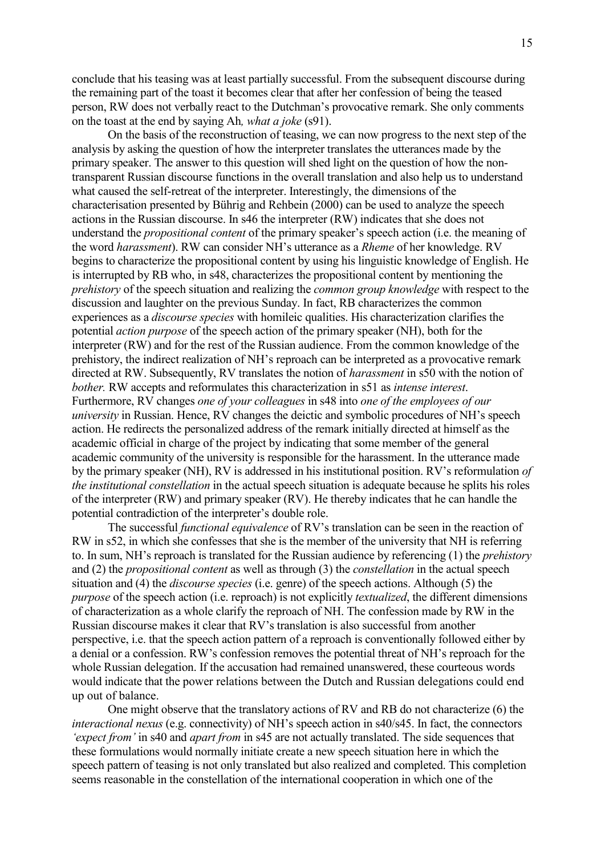conclude that his teasing was at least partially successful. From the subsequent discourse during the remaining part of the toast it becomes clear that after her confession of being the teased person, RW does not verbally react to the Dutchman's provocative remark. She only comments on the toast at the end by saying Ah, what a joke (s91).

 On the basis of the reconstruction of teasing, we can now progress to the next step of the analysis by asking the question of how the interpreter translates the utterances made by the primary speaker. The answer to this question will shed light on the question of how the nontransparent Russian discourse functions in the overall translation and also help us to understand what caused the self-retreat of the interpreter. Interestingly, the dimensions of the characterisation presented by Bührig and Rehbein (2000) can be used to analyze the speech actions in the Russian discourse. In s46 the interpreter (RW) indicates that she does not understand the propositional content of the primary speaker's speech action (i.e. the meaning of the word harassment). RW can consider NH's utterance as a Rheme of her knowledge. RV begins to characterize the propositional content by using his linguistic knowledge of English. He is interrupted by RB who, in s48, characterizes the propositional content by mentioning the prehistory of the speech situation and realizing the common group knowledge with respect to the discussion and laughter on the previous Sunday. In fact, RB characterizes the common experiences as a discourse species with homileic qualities. His characterization clarifies the potential action purpose of the speech action of the primary speaker (NH), both for the interpreter (RW) and for the rest of the Russian audience. From the common knowledge of the prehistory, the indirect realization of NH's reproach can be interpreted as a provocative remark directed at RW. Subsequently, RV translates the notion of *harassment* in s50 with the notion of bother. RW accepts and reformulates this characterization in s51 as intense interest. Furthermore, RV changes one of your colleagues in s48 into one of the employees of our university in Russian. Hence, RV changes the deictic and symbolic procedures of NH's speech action. He redirects the personalized address of the remark initially directed at himself as the academic official in charge of the project by indicating that some member of the general academic community of the university is responsible for the harassment. In the utterance made by the primary speaker (NH), RV is addressed in his institutional position. RV's reformulation of the institutional constellation in the actual speech situation is adequate because he splits his roles of the interpreter (RW) and primary speaker (RV). He thereby indicates that he can handle the potential contradiction of the interpreter's double role.

The successful *functional equivalence* of RV's translation can be seen in the reaction of RW in s52, in which she confesses that she is the member of the university that NH is referring to. In sum, NH's reproach is translated for the Russian audience by referencing (1) the prehistory and (2) the propositional content as well as through (3) the constellation in the actual speech situation and (4) the discourse species (i.e. genre) of the speech actions. Although (5) the purpose of the speech action (i.e. reproach) is not explicitly textualized, the different dimensions of characterization as a whole clarify the reproach of NH. The confession made by RW in the Russian discourse makes it clear that RV's translation is also successful from another perspective, i.e. that the speech action pattern of a reproach is conventionally followed either by a denial or a confession. RW's confession removes the potential threat of NH's reproach for the whole Russian delegation. If the accusation had remained unanswered, these courteous words would indicate that the power relations between the Dutch and Russian delegations could end up out of balance.

 One might observe that the translatory actions of RV and RB do not characterize (6) the interactional nexus (e.g. connectivity) of NH's speech action in s40/s45. In fact, the connectors 'expect from' in s40 and apart from in s45 are not actually translated. The side sequences that these formulations would normally initiate create a new speech situation here in which the speech pattern of teasing is not only translated but also realized and completed. This completion seems reasonable in the constellation of the international cooperation in which one of the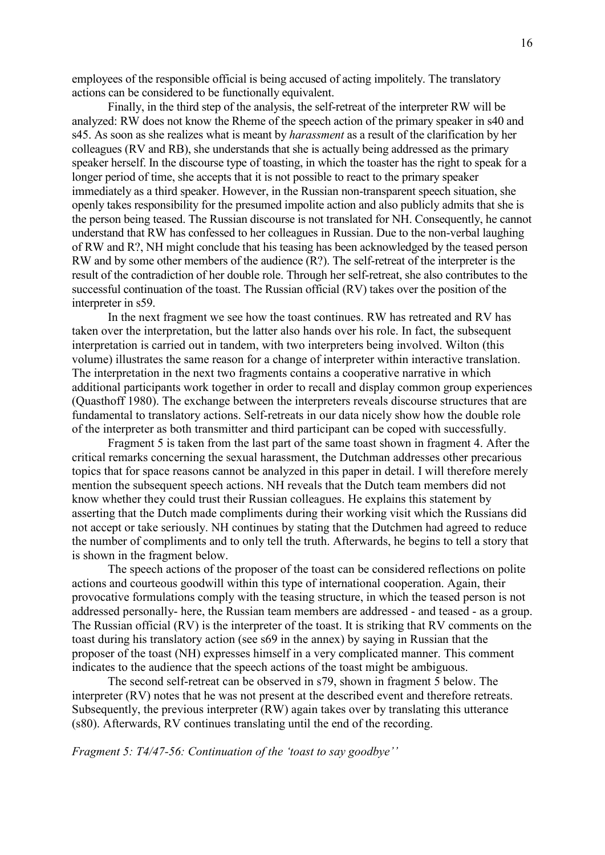employees of the responsible official is being accused of acting impolitely. The translatory actions can be considered to be functionally equivalent.

 Finally, in the third step of the analysis, the self-retreat of the interpreter RW will be analyzed: RW does not know the Rheme of the speech action of the primary speaker in s40 and s45. As soon as she realizes what is meant by harassment as a result of the clarification by her colleagues (RV and RB), she understands that she is actually being addressed as the primary speaker herself. In the discourse type of toasting, in which the toaster has the right to speak for a longer period of time, she accepts that it is not possible to react to the primary speaker immediately as a third speaker. However, in the Russian non-transparent speech situation, she openly takes responsibility for the presumed impolite action and also publicly admits that she is the person being teased. The Russian discourse is not translated for NH. Consequently, he cannot understand that RW has confessed to her colleagues in Russian. Due to the non-verbal laughing of RW and R?, NH might conclude that his teasing has been acknowledged by the teased person RW and by some other members of the audience (R?). The self-retreat of the interpreter is the result of the contradiction of her double role. Through her self-retreat, she also contributes to the successful continuation of the toast. The Russian official (RV) takes over the position of the interpreter in s59.

 In the next fragment we see how the toast continues. RW has retreated and RV has taken over the interpretation, but the latter also hands over his role. In fact, the subsequent interpretation is carried out in tandem, with two interpreters being involved. Wilton (this volume) illustrates the same reason for a change of interpreter within interactive translation. The interpretation in the next two fragments contains a cooperative narrative in which additional participants work together in order to recall and display common group experiences (Quasthoff 1980). The exchange between the interpreters reveals discourse structures that are fundamental to translatory actions. Self-retreats in our data nicely show how the double role of the interpreter as both transmitter and third participant can be coped with successfully.

 Fragment 5 is taken from the last part of the same toast shown in fragment 4. After the critical remarks concerning the sexual harassment, the Dutchman addresses other precarious topics that for space reasons cannot be analyzed in this paper in detail. I will therefore merely mention the subsequent speech actions. NH reveals that the Dutch team members did not know whether they could trust their Russian colleagues. He explains this statement by asserting that the Dutch made compliments during their working visit which the Russians did not accept or take seriously. NH continues by stating that the Dutchmen had agreed to reduce the number of compliments and to only tell the truth. Afterwards, he begins to tell a story that is shown in the fragment below.

 The speech actions of the proposer of the toast can be considered reflections on polite actions and courteous goodwill within this type of international cooperation. Again, their provocative formulations comply with the teasing structure, in which the teased person is not addressed personally- here, the Russian team members are addressed - and teased - as a group. The Russian official (RV) is the interpreter of the toast. It is striking that RV comments on the toast during his translatory action (see s69 in the annex) by saying in Russian that the proposer of the toast (NH) expresses himself in a very complicated manner. This comment indicates to the audience that the speech actions of the toast might be ambiguous.

 The second self-retreat can be observed in s79, shown in fragment 5 below. The interpreter (RV) notes that he was not present at the described event and therefore retreats. Subsequently, the previous interpreter (RW) again takes over by translating this utterance (s80). Afterwards, RV continues translating until the end of the recording.

Fragment 5: T4/47-56: Continuation of the 'toast to say goodbye''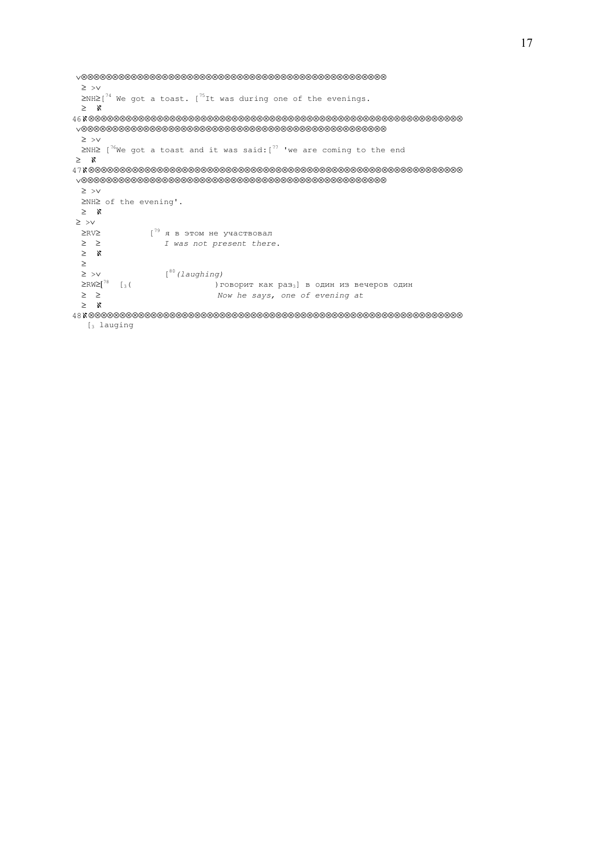```
 ∨⊗⊗⊗⊗⊗⊗⊗⊗⊗⊗⊗⊗⊗⊗⊗⊗⊗⊗⊗⊗⊗⊗⊗⊗⊗⊗⊗⊗⊗⊗⊗⊗⊗⊗⊗⊗⊗⊗⊗⊗⊗⊗⊗⊗⊗⊗⊗⊗⊗
  ≥ >∨ 
\geq NH\geq[<sup>74</sup> We got a toast. [<sup>75</sup>It was during one of the evenings.
  ≥ ℵ 
46ℵ⊗⊗⊗⊗⊗⊗⊗⊗⊗⊗⊗⊗⊗⊗⊗⊗⊗⊗⊗⊗⊗⊗⊗⊗⊗⊗⊗⊗⊗⊗⊗⊗⊗⊗⊗⊗⊗⊗⊗⊗⊗⊗⊗⊗⊗⊗⊗⊗⊗⊗⊗⊗⊗⊗⊗⊗⊗⊗⊗⊗ 
 ∨⊗⊗⊗⊗⊗⊗⊗⊗⊗⊗⊗⊗⊗⊗⊗⊗⊗⊗⊗⊗⊗⊗⊗⊗⊗⊗⊗⊗⊗⊗⊗⊗⊗⊗⊗⊗⊗⊗⊗⊗⊗⊗⊗⊗⊗⊗⊗⊗⊗
  ≥ >∨ 
 ≥NH≥ [{}^{76}We got a toast and it was said: [{}^{77} 'we are coming to the end
 ≥ ℵ 
47ℵ⊗⊗⊗⊗⊗⊗⊗⊗⊗⊗⊗⊗⊗⊗⊗⊗⊗⊗⊗⊗⊗⊗⊗⊗⊗⊗⊗⊗⊗⊗⊗⊗⊗⊗⊗⊗⊗⊗⊗⊗⊗⊗⊗⊗⊗⊗⊗⊗⊗⊗⊗⊗⊗⊗⊗⊗⊗⊗⊗⊗ 
 ∨⊗⊗⊗⊗⊗⊗⊗⊗⊗⊗⊗⊗⊗⊗⊗⊗⊗⊗⊗⊗⊗⊗⊗⊗⊗⊗⊗⊗⊗⊗⊗⊗⊗⊗⊗⊗⊗⊗⊗⊗⊗⊗⊗⊗⊗⊗⊗⊗⊗
  ≥ >∨ 
  ≥NH≥ of the evening'. 
  ≥ ℵ 
 ≥ >∨ 
 ≥RV≥ [<sup>79</sup> я в этом не участвовал
  ≥ ≥ I was not present there. 
  ≥ ℵ 
 ≥<br>≥ >∨
 ≥ > ∨ [80 (laughing)<br>≥RW≥[^{78} [3(≥RW≥[<sup>78</sup> [3( )говорит как раз<sub>3</sub>] в один из вечеров один ≥ ≥
                            Now he says, one of evening at
  ≥ ℵ 
48ℵ⊗⊗⊗⊗⊗⊗⊗⊗⊗⊗⊗⊗⊗⊗⊗⊗⊗⊗⊗⊗⊗⊗⊗⊗⊗⊗⊗⊗⊗⊗⊗⊗⊗⊗⊗⊗⊗⊗⊗⊗⊗⊗⊗⊗⊗⊗⊗⊗⊗⊗⊗⊗⊗⊗⊗⊗⊗⊗⊗⊗ 
   [3 lauging
```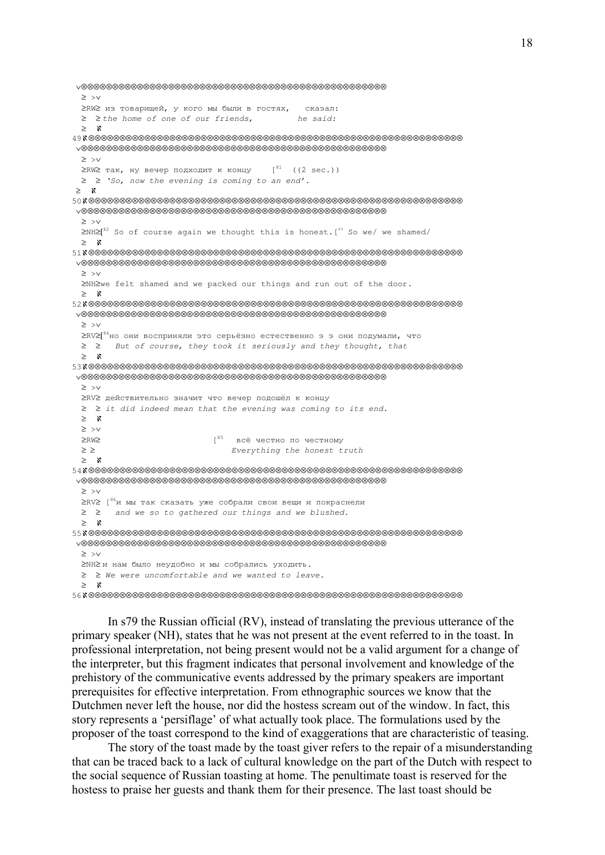```
 ∨⊗⊗⊗⊗⊗⊗⊗⊗⊗⊗⊗⊗⊗⊗⊗⊗⊗⊗⊗⊗⊗⊗⊗⊗⊗⊗⊗⊗⊗⊗⊗⊗⊗⊗⊗⊗⊗⊗⊗⊗⊗⊗⊗⊗⊗⊗⊗⊗⊗
  ≥ >∨ 
  ≥RW≥ из товарищей, у кого мы были в гостях, скаэал: 
 ≥ ≥ the home of one of our friends, he said:
  ≥ ℵ 
49ℵ⊗⊗⊗⊗⊗⊗⊗⊗⊗⊗⊗⊗⊗⊗⊗⊗⊗⊗⊗⊗⊗⊗⊗⊗⊗⊗⊗⊗⊗⊗⊗⊗⊗⊗⊗⊗⊗⊗⊗⊗⊗⊗⊗⊗⊗⊗⊗⊗⊗⊗⊗⊗⊗⊗⊗⊗⊗⊗⊗⊗ 
 ∨⊗⊗⊗⊗⊗⊗⊗⊗⊗⊗⊗⊗⊗⊗⊗⊗⊗⊗⊗⊗⊗⊗⊗⊗⊗⊗⊗⊗⊗⊗⊗⊗⊗⊗⊗⊗⊗⊗⊗⊗⊗⊗⊗⊗⊗⊗⊗⊗⊗
  ≥ >∨ 
 ≥RW≥ так, ну вечер подходит к концу [81 ((2 sec.))
  ≥ ≥ 'So, now the evening is coming to an end'.
 ≥ ℵ 
50ℵ⊗⊗⊗⊗⊗⊗⊗⊗⊗⊗⊗⊗⊗⊗⊗⊗⊗⊗⊗⊗⊗⊗⊗⊗⊗⊗⊗⊗⊗⊗⊗⊗⊗⊗⊗⊗⊗⊗⊗⊗⊗⊗⊗⊗⊗⊗⊗⊗⊗⊗⊗⊗⊗⊗⊗⊗⊗⊗⊗⊗ 
 ∨⊗⊗⊗⊗⊗⊗⊗⊗⊗⊗⊗⊗⊗⊗⊗⊗⊗⊗⊗⊗⊗⊗⊗⊗⊗⊗⊗⊗⊗⊗⊗⊗⊗⊗⊗⊗⊗⊗⊗⊗⊗⊗⊗⊗⊗⊗⊗⊗⊗
  ≥ >∨ 
 \Sigma NH\Sigma<sup>82</sup> So of course again we thought this is honest.<sup>[83</sup> So we/ we shamed/
  ≥ ℵ 
51ℵ⊗⊗⊗⊗⊗⊗⊗⊗⊗⊗⊗⊗⊗⊗⊗⊗⊗⊗⊗⊗⊗⊗⊗⊗⊗⊗⊗⊗⊗⊗⊗⊗⊗⊗⊗⊗⊗⊗⊗⊗⊗⊗⊗⊗⊗⊗⊗⊗⊗⊗⊗⊗⊗⊗⊗⊗⊗⊗⊗⊗ 
 ∨⊗⊗⊗⊗⊗⊗⊗⊗⊗⊗⊗⊗⊗⊗⊗⊗⊗⊗⊗⊗⊗⊗⊗⊗⊗⊗⊗⊗⊗⊗⊗⊗⊗⊗⊗⊗⊗⊗⊗⊗⊗⊗⊗⊗⊗⊗⊗⊗⊗
  ≥ >∨ 
  ≥NH≥we felt shamed and we packed our things and run out of the door. 
  ≥ ℵ 
52ℵ⊗⊗⊗⊗⊗⊗⊗⊗⊗⊗⊗⊗⊗⊗⊗⊗⊗⊗⊗⊗⊗⊗⊗⊗⊗⊗⊗⊗⊗⊗⊗⊗⊗⊗⊗⊗⊗⊗⊗⊗⊗⊗⊗⊗⊗⊗⊗⊗⊗⊗⊗⊗⊗⊗⊗⊗⊗⊗⊗⊗ 
 ∨⊗⊗⊗⊗⊗⊗⊗⊗⊗⊗⊗⊗⊗⊗⊗⊗⊗⊗⊗⊗⊗⊗⊗⊗⊗⊗⊗⊗⊗⊗⊗⊗⊗⊗⊗⊗⊗⊗⊗⊗⊗⊗⊗⊗⊗⊗⊗⊗⊗
  ≥ >∨ 
  ≥RV≥[84но они восприняли это серьёзно естественно э э они подумали, что 
  ≥ ≥ But of course, they took it seriously and they thought, that 
  ≥ ℵ 
53ℵ⊗⊗⊗⊗⊗⊗⊗⊗⊗⊗⊗⊗⊗⊗⊗⊗⊗⊗⊗⊗⊗⊗⊗⊗⊗⊗⊗⊗⊗⊗⊗⊗⊗⊗⊗⊗⊗⊗⊗⊗⊗⊗⊗⊗⊗⊗⊗⊗⊗⊗⊗⊗⊗⊗⊗⊗⊗⊗⊗⊗ 
 ∨⊗⊗⊗⊗⊗⊗⊗⊗⊗⊗⊗⊗⊗⊗⊗⊗⊗⊗⊗⊗⊗⊗⊗⊗⊗⊗⊗⊗⊗⊗⊗⊗⊗⊗⊗⊗⊗⊗⊗⊗⊗⊗⊗⊗⊗⊗⊗⊗⊗
  ≥ >∨ 
  ≥RV≥ действительно значит что вечер подошёл к концу 
  ≥ ≥ it did indeed mean that the evening was coming to its end. 
  ≥ ℵ 
  ≥ >∨
  ≥RW≥ [85всё честно по честному 
  ≥ ≥ Everything the honest truth 
  ≥ ℵ 
54ℵ⊗⊗⊗⊗⊗⊗⊗⊗⊗⊗⊗⊗⊗⊗⊗⊗⊗⊗⊗⊗⊗⊗⊗⊗⊗⊗⊗⊗⊗⊗⊗⊗⊗⊗⊗⊗⊗⊗⊗⊗⊗⊗⊗⊗⊗⊗⊗⊗⊗⊗⊗⊗⊗⊗⊗⊗⊗⊗⊗⊗ 
 ∨⊗⊗⊗⊗⊗⊗⊗⊗⊗⊗⊗⊗⊗⊗⊗⊗⊗⊗⊗⊗⊗⊗⊗⊗⊗⊗⊗⊗⊗⊗⊗⊗⊗⊗⊗⊗⊗⊗⊗⊗⊗⊗⊗⊗⊗⊗⊗⊗⊗
  ≥ >∨ 
 ≥RV≥ 1^{86}и мы так сказать уже собрали свои вещи и покраснели
  ≥ ≥ and we so to gathered our things and we blushed. 
  ≥ ℵ 
55ℵ⊗⊗⊗⊗⊗⊗⊗⊗⊗⊗⊗⊗⊗⊗⊗⊗⊗⊗⊗⊗⊗⊗⊗⊗⊗⊗⊗⊗⊗⊗⊗⊗⊗⊗⊗⊗⊗⊗⊗⊗⊗⊗⊗⊗⊗⊗⊗⊗⊗⊗⊗⊗⊗⊗⊗⊗⊗⊗⊗⊗ 
 ∨⊗⊗⊗⊗⊗⊗⊗⊗⊗⊗⊗⊗⊗⊗⊗⊗⊗⊗⊗⊗⊗⊗⊗⊗⊗⊗⊗⊗⊗⊗⊗⊗⊗⊗⊗⊗⊗⊗⊗⊗⊗⊗⊗⊗⊗⊗⊗⊗⊗
  ≥ >∨ 
  ≥NH≥ и нам было неудобно и мы собрались уходить.
  ≥ ≥ We were uncomfortable and we wanted to leave.
  ≥ ℵ 
56ℵ⊗⊗⊗⊗⊗⊗⊗⊗⊗⊗⊗⊗⊗⊗⊗⊗⊗⊗⊗⊗⊗⊗⊗⊗⊗⊗⊗⊗⊗⊗⊗⊗⊗⊗⊗⊗⊗⊗⊗⊗⊗⊗⊗⊗⊗⊗⊗⊗⊗⊗⊗⊗⊗⊗⊗⊗⊗⊗⊗⊗
```
 In s79 the Russian official (RV), instead of translating the previous utterance of the primary speaker (NH), states that he was not present at the event referred to in the toast. In professional interpretation, not being present would not be a valid argument for a change of the interpreter, but this fragment indicates that personal involvement and knowledge of the prehistory of the communicative events addressed by the primary speakers are important prerequisites for effective interpretation. From ethnographic sources we know that the Dutchmen never left the house, nor did the hostess scream out of the window. In fact, this story represents a 'persiflage' of what actually took place. The formulations used by the proposer of the toast correspond to the kind of exaggerations that are characteristic of teasing.

 The story of the toast made by the toast giver refers to the repair of a misunderstanding that can be traced back to a lack of cultural knowledge on the part of the Dutch with respect to the social sequence of Russian toasting at home. The penultimate toast is reserved for the hostess to praise her guests and thank them for their presence. The last toast should be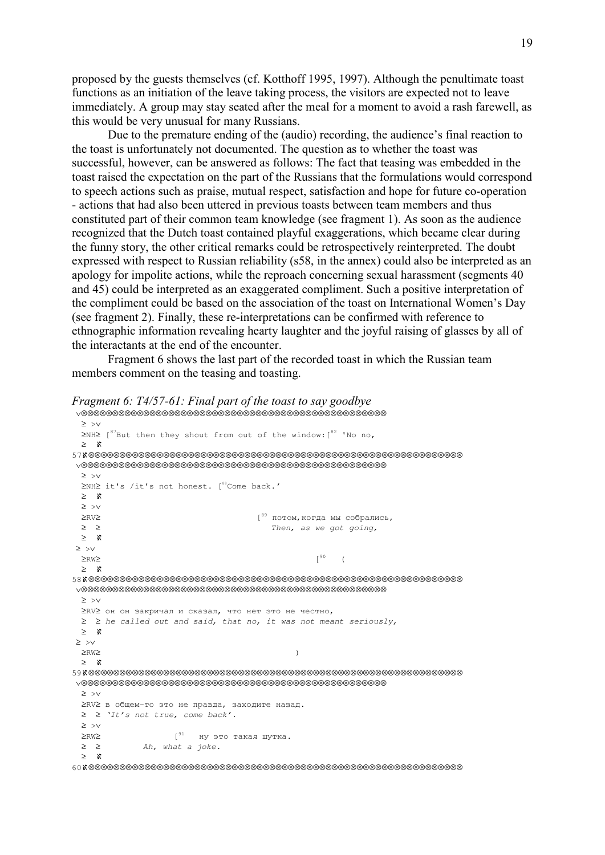proposed by the guests themselves (cf. Kotthoff 1995, 1997). Although the penultimate toast functions as an initiation of the leave taking process, the visitors are expected not to leave immediately. A group may stay seated after the meal for a moment to avoid a rash farewell, as this would be very unusual for many Russians.

 Due to the premature ending of the (audio) recording, the audience's final reaction to the toast is unfortunately not documented. The question as to whether the toast was successful, however, can be answered as follows: The fact that teasing was embedded in the toast raised the expectation on the part of the Russians that the formulations would correspond to speech actions such as praise, mutual respect, satisfaction and hope for future co-operation - actions that had also been uttered in previous toasts between team members and thus constituted part of their common team knowledge (see fragment 1). As soon as the audience recognized that the Dutch toast contained playful exaggerations, which became clear during the funny story, the other critical remarks could be retrospectively reinterpreted. The doubt expressed with respect to Russian reliability (s58, in the annex) could also be interpreted as an apology for impolite actions, while the reproach concerning sexual harassment (segments 40 and 45) could be interpreted as an exaggerated compliment. Such a positive interpretation of the compliment could be based on the association of the toast on International Women's Day (see fragment 2). Finally, these re-interpretations can be confirmed with reference to ethnographic information revealing hearty laughter and the joyful raising of glasses by all of the interactants at the end of the encounter.

 Fragment 6 shows the last part of the recorded toast in which the Russian team members comment on the teasing and toasting.

```
 ∨⊗⊗⊗⊗⊗⊗⊗⊗⊗⊗⊗⊗⊗⊗⊗⊗⊗⊗⊗⊗⊗⊗⊗⊗⊗⊗⊗⊗⊗⊗⊗⊗⊗⊗⊗⊗⊗⊗⊗⊗⊗⊗⊗⊗⊗⊗⊗⊗⊗
  ≥ >∨ 
 ≥NH≥ [<sup>87</sup>But then they shout from out of the window: [82 'No no,
  ≥ ℵ 
57ℵ⊗⊗⊗⊗⊗⊗⊗⊗⊗⊗⊗⊗⊗⊗⊗⊗⊗⊗⊗⊗⊗⊗⊗⊗⊗⊗⊗⊗⊗⊗⊗⊗⊗⊗⊗⊗⊗⊗⊗⊗⊗⊗⊗⊗⊗⊗⊗⊗⊗⊗⊗⊗⊗⊗⊗⊗⊗⊗⊗⊗ 
 ∨⊗⊗⊗⊗⊗⊗⊗⊗⊗⊗⊗⊗⊗⊗⊗⊗⊗⊗⊗⊗⊗⊗⊗⊗⊗⊗⊗⊗⊗⊗⊗⊗⊗⊗⊗⊗⊗⊗⊗⊗⊗⊗⊗⊗⊗⊗⊗⊗⊗
  ≥ >∨ 
 ≥NH≥ it's /it's not honest. [<sup>88</sup>Come back.'
  ≥ ℵ 
  ≥ >∨ 
  ≥RV≥ [89 потом,когда мы собрались, 
  ≥ ≥ Then, as we got going,
  ≥ ℵ 
 ≥ >∨ 
\geqRW\geq (
  ≥ ℵ 
58ℵ⊗⊗⊗⊗⊗⊗⊗⊗⊗⊗⊗⊗⊗⊗⊗⊗⊗⊗⊗⊗⊗⊗⊗⊗⊗⊗⊗⊗⊗⊗⊗⊗⊗⊗⊗⊗⊗⊗⊗⊗⊗⊗⊗⊗⊗⊗⊗⊗⊗⊗⊗⊗⊗⊗⊗⊗⊗⊗⊗⊗ 
 ∨⊗⊗⊗⊗⊗⊗⊗⊗⊗⊗⊗⊗⊗⊗⊗⊗⊗⊗⊗⊗⊗⊗⊗⊗⊗⊗⊗⊗⊗⊗⊗⊗⊗⊗⊗⊗⊗⊗⊗⊗⊗⊗⊗⊗⊗⊗⊗⊗⊗
  ≥ >∨ 
  ≥RV≥ он он закричал и сказал, что нет это не честно, 
 \geq \geq he called out and said, that no, it was not meant seriously,
  ≥ ℵ 
 ≥ >∨ 
\geqRW\geq ≥ ℵ 
59ℵ⊗⊗⊗⊗⊗⊗⊗⊗⊗⊗⊗⊗⊗⊗⊗⊗⊗⊗⊗⊗⊗⊗⊗⊗⊗⊗⊗⊗⊗⊗⊗⊗⊗⊗⊗⊗⊗⊗⊗⊗⊗⊗⊗⊗⊗⊗⊗⊗⊗⊗⊗⊗⊗⊗⊗⊗⊗⊗⊗⊗
 ∨⊗⊗⊗⊗⊗⊗⊗⊗⊗⊗⊗⊗⊗⊗⊗⊗⊗⊗⊗⊗⊗⊗⊗⊗⊗⊗⊗⊗⊗⊗⊗⊗⊗⊗⊗⊗⊗⊗⊗⊗⊗⊗⊗⊗⊗⊗⊗⊗⊗
  ≥ >∨ 
  ≥RV≥ в общем-то это не правда, заходите назад. 
  ≥ ≥ 'It's not true, come back'.
  ≥ >∨ 
 ≥RW≥ [<sup>91</sup> ну это такая шутка.
 \geq \geq Ah, what a joke.
  ≥ ℵ 
60ℵ⊗⊗⊗⊗⊗⊗⊗⊗⊗⊗⊗⊗⊗⊗⊗⊗⊗⊗⊗⊗⊗⊗⊗⊗⊗⊗⊗⊗⊗⊗⊗⊗⊗⊗⊗⊗⊗⊗⊗⊗⊗⊗⊗⊗⊗⊗⊗⊗⊗⊗⊗⊗⊗⊗⊗⊗⊗⊗⊗⊗
```
Fragment 6: T4/57-61: Final part of the toast to say goodbye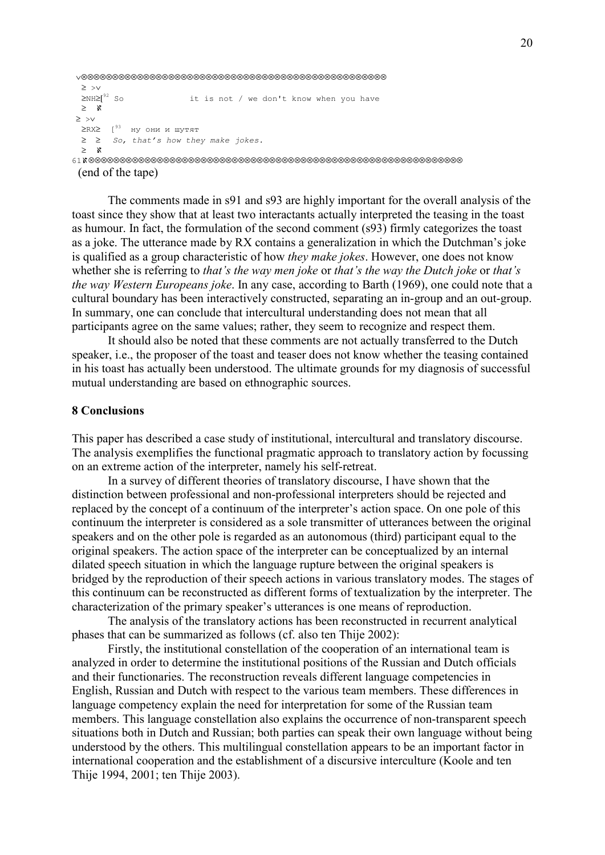```
 ∨⊗⊗⊗⊗⊗⊗⊗⊗⊗⊗⊗⊗⊗⊗⊗⊗⊗⊗⊗⊗⊗⊗⊗⊗⊗⊗⊗⊗⊗⊗⊗⊗⊗⊗⊗⊗⊗⊗⊗⊗⊗⊗⊗⊗⊗⊗⊗⊗⊗
 ≥ >∨<br>≥NH≥[<sup>92</sup> So
                       it is not / we don't know when you have
  ≥ ℵ 
 ≥ >∨ 
  ≥RX≥ [93 ну они и шутят 
  ≥ ≥ So, that's how they make jokes. 
  ≥ ℵ 
61ℵ⊗⊗⊗⊗⊗⊗⊗⊗⊗⊗⊗⊗⊗⊗⊗⊗⊗⊗⊗⊗⊗⊗⊗⊗⊗⊗⊗⊗⊗⊗⊗⊗⊗⊗⊗⊗⊗⊗⊗⊗⊗⊗⊗⊗⊗⊗⊗⊗⊗⊗⊗⊗⊗⊗⊗⊗⊗⊗⊗⊗
```
(end of the tape)

The comments made in s91 and s93 are highly important for the overall analysis of the toast since they show that at least two interactants actually interpreted the teasing in the toast as humour. In fact, the formulation of the second comment (s93) firmly categorizes the toast as a joke. The utterance made by RX contains a generalization in which the Dutchman's joke is qualified as a group characteristic of how they make jokes. However, one does not know whether she is referring to that's the way men joke or that's the way the Dutch joke or that's the way Western Europeans joke. In any case, according to Barth (1969), one could note that a cultural boundary has been interactively constructed, separating an in-group and an out-group. In summary, one can conclude that intercultural understanding does not mean that all participants agree on the same values; rather, they seem to recognize and respect them.

 It should also be noted that these comments are not actually transferred to the Dutch speaker, i.e., the proposer of the toast and teaser does not know whether the teasing contained in his toast has actually been understood. The ultimate grounds for my diagnosis of successful mutual understanding are based on ethnographic sources.

### 8 Conclusions

This paper has described a case study of institutional, intercultural and translatory discourse. The analysis exemplifies the functional pragmatic approach to translatory action by focussing on an extreme action of the interpreter, namely his self-retreat.

 In a survey of different theories of translatory discourse, I have shown that the distinction between professional and non-professional interpreters should be rejected and replaced by the concept of a continuum of the interpreter's action space. On one pole of this continuum the interpreter is considered as a sole transmitter of utterances between the original speakers and on the other pole is regarded as an autonomous (third) participant equal to the original speakers. The action space of the interpreter can be conceptualized by an internal dilated speech situation in which the language rupture between the original speakers is bridged by the reproduction of their speech actions in various translatory modes. The stages of this continuum can be reconstructed as different forms of textualization by the interpreter. The characterization of the primary speaker's utterances is one means of reproduction.

 The analysis of the translatory actions has been reconstructed in recurrent analytical phases that can be summarized as follows (cf. also ten Thije 2002):

 Firstly, the institutional constellation of the cooperation of an international team is analyzed in order to determine the institutional positions of the Russian and Dutch officials and their functionaries. The reconstruction reveals different language competencies in English, Russian and Dutch with respect to the various team members. These differences in language competency explain the need for interpretation for some of the Russian team members. This language constellation also explains the occurrence of non-transparent speech situations both in Dutch and Russian; both parties can speak their own language without being understood by the others. This multilingual constellation appears to be an important factor in international cooperation and the establishment of a discursive interculture (Koole and ten Thije 1994, 2001; ten Thije 2003).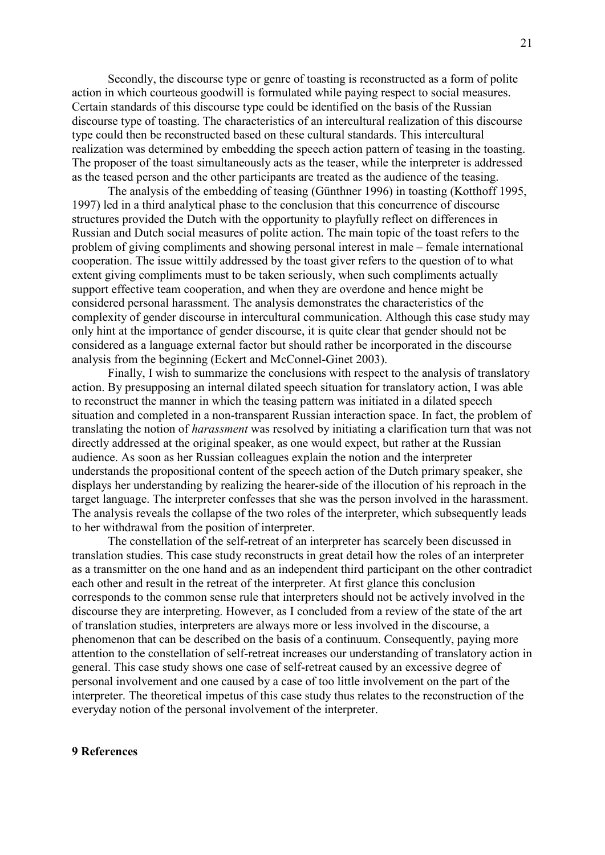Secondly, the discourse type or genre of toasting is reconstructed as a form of polite action in which courteous goodwill is formulated while paying respect to social measures. Certain standards of this discourse type could be identified on the basis of the Russian discourse type of toasting. The characteristics of an intercultural realization of this discourse type could then be reconstructed based on these cultural standards. This intercultural realization was determined by embedding the speech action pattern of teasing in the toasting. The proposer of the toast simultaneously acts as the teaser, while the interpreter is addressed as the teased person and the other participants are treated as the audience of the teasing.

 The analysis of the embedding of teasing (Günthner 1996) in toasting (Kotthoff 1995, 1997) led in a third analytical phase to the conclusion that this concurrence of discourse structures provided the Dutch with the opportunity to playfully reflect on differences in Russian and Dutch social measures of polite action. The main topic of the toast refers to the problem of giving compliments and showing personal interest in male – female international cooperation. The issue wittily addressed by the toast giver refers to the question of to what extent giving compliments must to be taken seriously, when such compliments actually support effective team cooperation, and when they are overdone and hence might be considered personal harassment. The analysis demonstrates the characteristics of the complexity of gender discourse in intercultural communication. Although this case study may only hint at the importance of gender discourse, it is quite clear that gender should not be considered as a language external factor but should rather be incorporated in the discourse analysis from the beginning (Eckert and McConnel-Ginet 2003).

 Finally, I wish to summarize the conclusions with respect to the analysis of translatory action. By presupposing an internal dilated speech situation for translatory action, I was able to reconstruct the manner in which the teasing pattern was initiated in a dilated speech situation and completed in a non-transparent Russian interaction space. In fact, the problem of translating the notion of harassment was resolved by initiating a clarification turn that was not directly addressed at the original speaker, as one would expect, but rather at the Russian audience. As soon as her Russian colleagues explain the notion and the interpreter understands the propositional content of the speech action of the Dutch primary speaker, she displays her understanding by realizing the hearer-side of the illocution of his reproach in the target language. The interpreter confesses that she was the person involved in the harassment. The analysis reveals the collapse of the two roles of the interpreter, which subsequently leads to her withdrawal from the position of interpreter.

 The constellation of the self-retreat of an interpreter has scarcely been discussed in translation studies. This case study reconstructs in great detail how the roles of an interpreter as a transmitter on the one hand and as an independent third participant on the other contradict each other and result in the retreat of the interpreter. At first glance this conclusion corresponds to the common sense rule that interpreters should not be actively involved in the discourse they are interpreting. However, as I concluded from a review of the state of the art of translation studies, interpreters are always more or less involved in the discourse, a phenomenon that can be described on the basis of a continuum. Consequently, paying more attention to the constellation of self-retreat increases our understanding of translatory action in general. This case study shows one case of self-retreat caused by an excessive degree of personal involvement and one caused by a case of too little involvement on the part of the interpreter. The theoretical impetus of this case study thus relates to the reconstruction of the everyday notion of the personal involvement of the interpreter.

### 9 References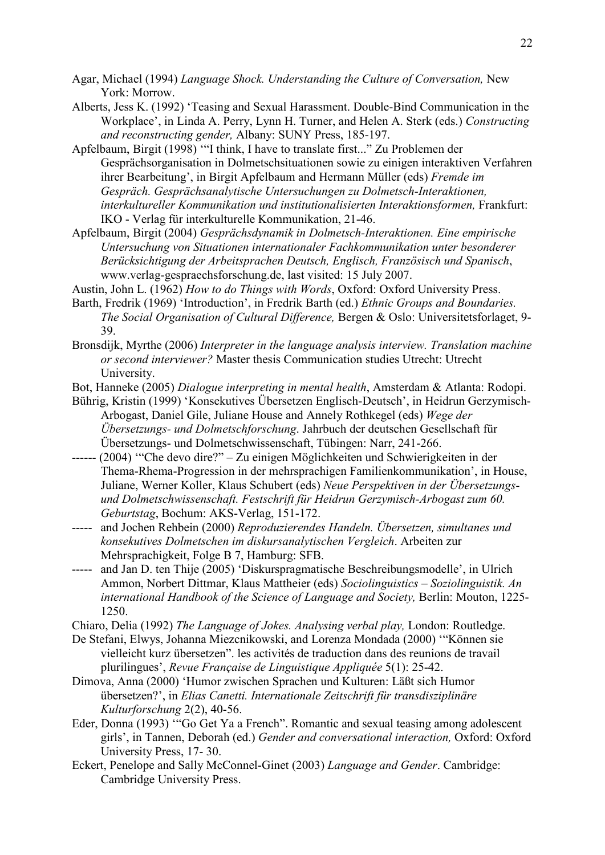- Agar, Michael (1994) Language Shock. Understanding the Culture of Conversation, New York: Morrow.
- Alberts, Jess K. (1992) 'Teasing and Sexual Harassment. Double-Bind Communication in the Workplace', in Linda A. Perry, Lynn H. Turner, and Helen A. Sterk (eds.) Constructing and reconstructing gender, Albany: SUNY Press, 185-197.
- Apfelbaum, Birgit (1998) '"I think, I have to translate first..." Zu Problemen der Gesprächsorganisation in Dolmetschsituationen sowie zu einigen interaktiven Verfahren ihrer Bearbeitung', in Birgit Apfelbaum and Hermann Müller (eds) Fremde im Gespräch. Gesprächsanalytische Untersuchungen zu Dolmetsch-Interaktionen, interkultureller Kommunikation und institutionalisierten Interaktionsformen, Frankfurt: IKO - Verlag für interkulturelle Kommunikation, 21-46.
- Apfelbaum, Birgit (2004) Gesprächsdynamik in Dolmetsch-Interaktionen. Eine empirische Untersuchung von Situationen internationaler Fachkommunikation unter besonderer Berücksichtigung der Arbeitsprachen Deutsch, Englisch, Französisch und Spanisch, www.verlag-gespraechsforschung.de, last visited: 15 July 2007.
- Austin, John L. (1962) How to do Things with Words, Oxford: Oxford University Press.
- Barth, Fredrik (1969) 'Introduction', in Fredrik Barth (ed.) Ethnic Groups and Boundaries. The Social Organisation of Cultural Difference, Bergen & Oslo: Universitetsforlaget, 9- 39.
- Bronsdijk, Myrthe (2006) Interpreter in the language analysis interview. Translation machine or second interviewer? Master thesis Communication studies Utrecht: Utrecht **University**
- Bot, Hanneke (2005) Dialogue interpreting in mental health, Amsterdam & Atlanta: Rodopi.
- Bührig, Kristin (1999) 'Konsekutives Übersetzen Englisch-Deutsch', in Heidrun Gerzymisch-Arbogast, Daniel Gile, Juliane House and Annely Rothkegel (eds) Wege der Übersetzungs- und Dolmetschforschung. Jahrbuch der deutschen Gesellschaft für Übersetzungs- und Dolmetschwissenschaft, Tübingen: Narr, 241-266.
- ------ (2004) '"Che devo dire?" Zu einigen Möglichkeiten und Schwierigkeiten in der Thema-Rhema-Progression in der mehrsprachigen Familienkommunikation', in House, Juliane, Werner Koller, Klaus Schubert (eds) Neue Perspektiven in der Übersetzungsund Dolmetschwissenschaft. Festschrift für Heidrun Gerzymisch-Arbogast zum 60. Geburtstag, Bochum: AKS-Verlag, 151-172.
- ----- and Jochen Rehbein (2000) Reproduzierendes Handeln. Übersetzen, simultanes und konsekutives Dolmetschen im diskursanalytischen Vergleich. Arbeiten zur Mehrsprachigkeit, Folge B 7, Hamburg: SFB.
- ----- and Jan D. ten Thije (2005) 'Diskurspragmatische Beschreibungsmodelle', in Ulrich Ammon, Norbert Dittmar, Klaus Mattheier (eds) Sociolinguistics – Soziolinguistik. An international Handbook of the Science of Language and Society, Berlin: Mouton, 1225- 1250.
- Chiaro, Delia (1992) The Language of Jokes. Analysing verbal play, London: Routledge.
- De Stefani, Elwys, Johanna Miezcnikowski, and Lorenza Mondada (2000) '"Können sie vielleicht kurz übersetzen". les activités de traduction dans des reunions de travail plurilingues', Revue Française de Linguistique Appliquée 5(1): 25-42.
- Dimova, Anna (2000) 'Humor zwischen Sprachen und Kulturen: Läßt sich Humor übersetzen?', in Elias Canetti. Internationale Zeitschrift für transdisziplinäre Kulturforschung 2(2), 40-56.
- Eder, Donna (1993) '"Go Get Ya a French". Romantic and sexual teasing among adolescent girls', in Tannen, Deborah (ed.) Gender and conversational interaction, Oxford: Oxford University Press, 17- 30.
- Eckert, Penelope and Sally McConnel-Ginet (2003) Language and Gender. Cambridge: Cambridge University Press.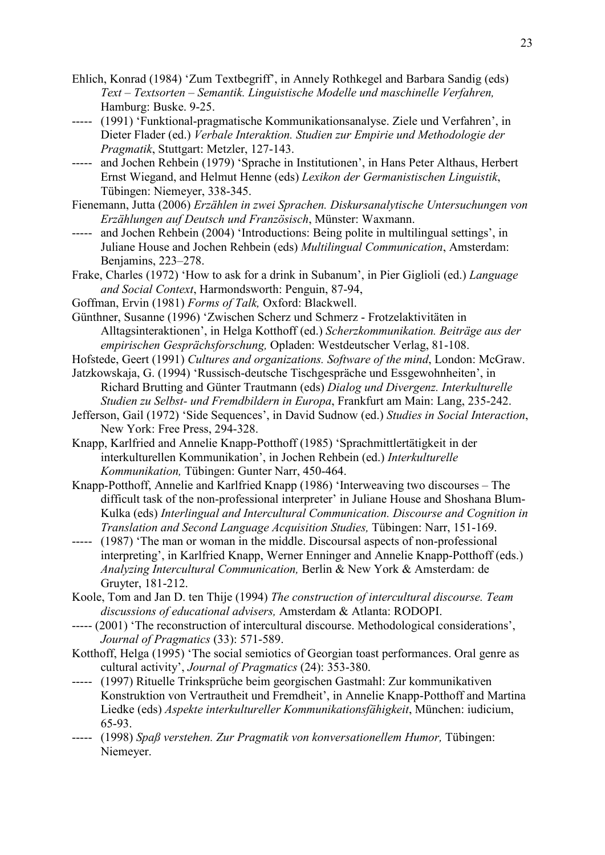- Ehlich, Konrad (1984) 'Zum Textbegriff', in Annely Rothkegel and Barbara Sandig (eds) Text – Textsorten – Semantik. Linguistische Modelle und maschinelle Verfahren, Hamburg: Buske. 9-25.
- ----- (1991) 'Funktional-pragmatische Kommunikationsanalyse. Ziele und Verfahren', in Dieter Flader (ed.) Verbale Interaktion. Studien zur Empirie und Methodologie der Pragmatik, Stuttgart: Metzler, 127-143.
- ----- and Jochen Rehbein (1979) 'Sprache in Institutionen', in Hans Peter Althaus, Herbert Ernst Wiegand, and Helmut Henne (eds) Lexikon der Germanistischen Linguistik, Tübingen: Niemeyer, 338-345.
- Fienemann, Jutta (2006) Erzählen in zwei Sprachen. Diskursanalytische Untersuchungen von Erzählungen auf Deutsch und Französisch, Münster: Waxmann.
- ----- and Jochen Rehbein (2004) 'Introductions: Being polite in multilingual settings', in Juliane House and Jochen Rehbein (eds) Multilingual Communication, Amsterdam: Benjamins, 223–278.
- Frake, Charles (1972) 'How to ask for a drink in Subanum', in Pier Giglioli (ed.) Language and Social Context, Harmondsworth: Penguin, 87-94,
- Goffman, Ervin (1981) Forms of Talk, Oxford: Blackwell.
- Günthner, Susanne (1996) 'Zwischen Scherz und Schmerz Frotzelaktivitäten in Alltagsinteraktionen', in Helga Kotthoff (ed.) Scherzkommunikation. Beiträge aus der empirischen Gesprächsforschung, Opladen: Westdeutscher Verlag, 81-108.
- Hofstede, Geert (1991) Cultures and organizations. Software of the mind, London: McGraw.
- Jatzkowskaja, G. (1994) 'Russisch-deutsche Tischgespräche und Essgewohnheiten', in Richard Brutting and Günter Trautmann (eds) Dialog und Divergenz. Interkulturelle Studien zu Selbst- und Fremdbildern in Europa, Frankfurt am Main: Lang, 235-242.
- Jefferson, Gail (1972) 'Side Sequences', in David Sudnow (ed.) Studies in Social Interaction, New York: Free Press, 294-328.
- Knapp, Karlfried and Annelie Knapp-Potthoff (1985) 'Sprachmittlertätigkeit in der interkulturellen Kommunikation', in Jochen Rehbein (ed.) Interkulturelle Kommunikation, Tübingen: Gunter Narr, 450-464.
- Knapp-Potthoff, Annelie and Karlfried Knapp (1986) 'Interweaving two discourses The difficult task of the non-professional interpreter' in Juliane House and Shoshana Blum-Kulka (eds) Interlingual and Intercultural Communication. Discourse and Cognition in Translation and Second Language Acquisition Studies, Tübingen: Narr, 151-169.
- ----- (1987) 'The man or woman in the middle. Discoursal aspects of non-professional interpreting', in Karlfried Knapp, Werner Enninger and Annelie Knapp-Potthoff (eds.) Analyzing Intercultural Communication, Berlin & New York & Amsterdam: de Gruyter, 181-212.
- Koole, Tom and Jan D. ten Thije (1994) The construction of intercultural discourse. Team discussions of educational advisers, Amsterdam & Atlanta: RODOPI.
- ----- (2001) 'The reconstruction of intercultural discourse. Methodological considerations', Journal of Pragmatics (33): 571-589.
- Kotthoff, Helga (1995) 'The social semiotics of Georgian toast performances. Oral genre as cultural activity', Journal of Pragmatics (24): 353-380.
- ----- (1997) Rituelle Trinksprüche beim georgischen Gastmahl: Zur kommunikativen Konstruktion von Vertrautheit und Fremdheit', in Annelie Knapp-Potthoff and Martina Liedke (eds) Aspekte interkultureller Kommunikationsfähigkeit, München: iudicium, 65-93.
- ----- (1998) Spaß verstehen. Zur Pragmatik von konversationellem Humor, Tübingen: Niemeyer.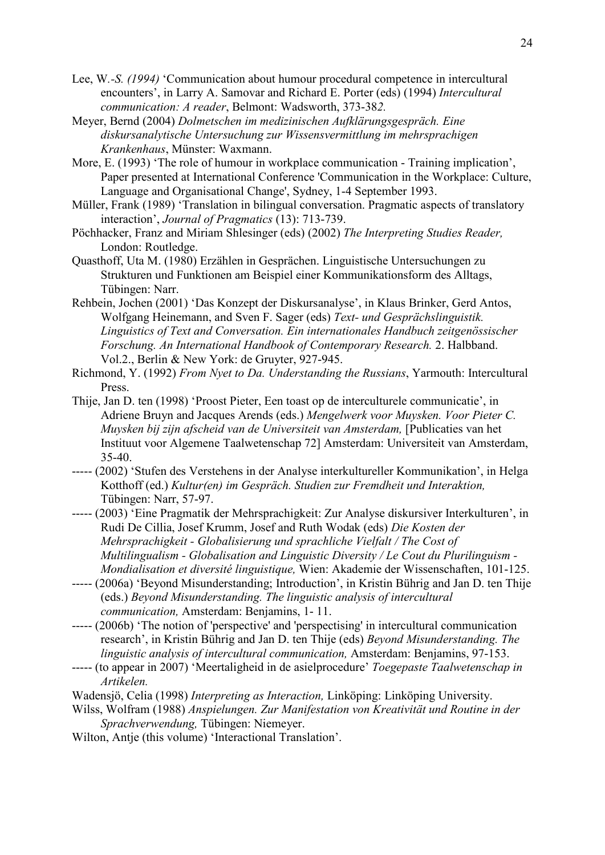- Lee, W.-S. (1994) 'Communication about humour procedural competence in intercultural encounters', in Larry A. Samovar and Richard E. Porter (eds) (1994) Intercultural communication: A reader, Belmont: Wadsworth, 373-382.
- Meyer, Bernd (2004) Dolmetschen im medizinischen Aufklärungsgespräch. Eine diskursanalytische Untersuchung zur Wissensvermittlung im mehrsprachigen Krankenhaus, Münster: Waxmann.
- More, E. (1993) 'The role of humour in workplace communication Training implication', Paper presented at International Conference 'Communication in the Workplace: Culture, Language and Organisational Change', Sydney, 1-4 September 1993.
- Müller, Frank (1989) 'Translation in bilingual conversation. Pragmatic aspects of translatory interaction', Journal of Pragmatics (13): 713-739.
- Pöchhacker, Franz and Miriam Shlesinger (eds) (2002) The Interpreting Studies Reader, London: Routledge.
- Quasthoff, Uta M. (1980) Erzählen in Gesprächen. Linguistische Untersuchungen zu Strukturen und Funktionen am Beispiel einer Kommunikationsform des Alltags, Tübingen: Narr.
- Rehbein, Jochen (2001) 'Das Konzept der Diskursanalyse', in Klaus Brinker, Gerd Antos, Wolfgang Heinemann, and Sven F. Sager (eds) Text- und Gesprächslinguistik. Linguistics of Text and Conversation. Ein internationales Handbuch zeitgenössischer Forschung. An International Handbook of Contemporary Research. 2. Halbband. Vol.2., Berlin & New York: de Gruyter, 927-945.
- Richmond, Y. (1992) From Nyet to Da. Understanding the Russians, Yarmouth: Intercultural Press.
- Thije, Jan D. ten (1998) 'Proost Pieter, Een toast op de interculturele communicatie', in Adriene Bruyn and Jacques Arends (eds.) Mengelwerk voor Muysken. Voor Pieter C. Muysken bij zijn afscheid van de Universiteit van Amsterdam, [Publicaties van het Instituut voor Algemene Taalwetenschap 72] Amsterdam: Universiteit van Amsterdam, 35-40.
- ----- (2002) 'Stufen des Verstehens in der Analyse interkultureller Kommunikation', in Helga Kotthoff (ed.) Kultur(en) im Gespräch. Studien zur Fremdheit und Interaktion, Tübingen: Narr, 57-97.
- ----- (2003) 'Eine Pragmatik der Mehrsprachigkeit: Zur Analyse diskursiver Interkulturen', in Rudi De Cillia, Josef Krumm, Josef and Ruth Wodak (eds) Die Kosten der Mehrsprachigkeit - Globalisierung und sprachliche Vielfalt / The Cost of Multilingualism - Globalisation and Linguistic Diversity / Le Cout du Plurilinguism - Mondialisation et diversité linguistique, Wien: Akademie der Wissenschaften, 101-125.
- ----- (2006a) 'Beyond Misunderstanding; Introduction', in Kristin Bührig and Jan D. ten Thije (eds.) Beyond Misunderstanding. The linguistic analysis of intercultural communication, Amsterdam: Benjamins, 1- 11.
- ----- (2006b) 'The notion of 'perspective' and 'perspectising' in intercultural communication research', in Kristin Bührig and Jan D. ten Thije (eds) Beyond Misunderstanding. The linguistic analysis of intercultural communication, Amsterdam: Benjamins, 97-153.
- ----- (to appear in 2007) 'Meertaligheid in de asielprocedure' Toegepaste Taalwetenschap in Artikelen.
- Wadensjö, Celia (1998) Interpreting as Interaction, Linköping: Linköping University.
- Wilss, Wolfram (1988) Anspielungen. Zur Manifestation von Kreativität und Routine in der Sprachverwendung, Tübingen: Niemeyer.
- Wilton, Antje (this volume) 'Interactional Translation'.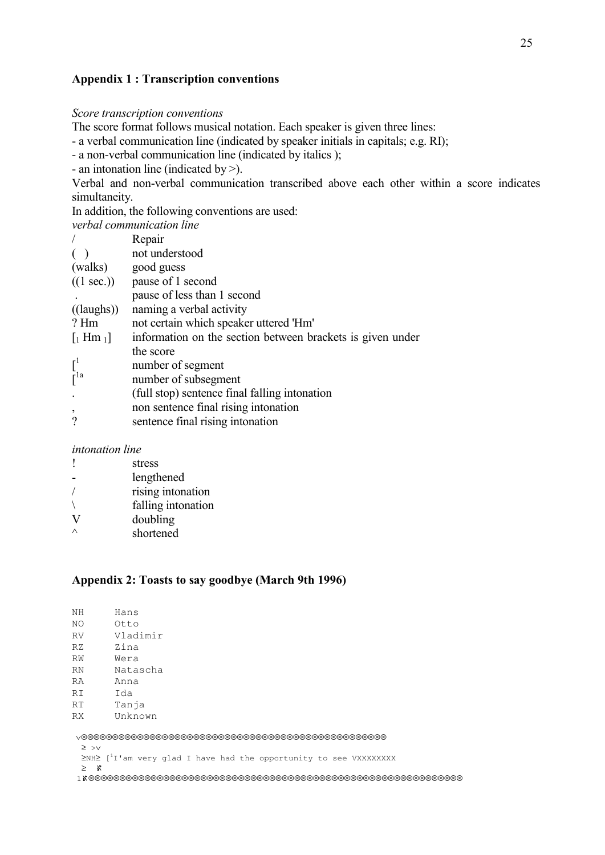## Appendix 1 : Transcription conventions

#### Score transcription conventions

The score format follows musical notation. Each speaker is given three lines:

- a verbal communication line (indicated by speaker initials in capitals; e.g. RI);

- a non-verbal communication line (indicated by italics );

- an intonation line (indicated by >).

Verbal and non-verbal communication transcribed above each other within a score indicates simultaneity.

In addition, the following conventions are used:

| verbal communication line                                  |  |  |  |  |  |  |  |  |
|------------------------------------------------------------|--|--|--|--|--|--|--|--|
| Repair                                                     |  |  |  |  |  |  |  |  |
| not understood                                             |  |  |  |  |  |  |  |  |
| (walks) good guess                                         |  |  |  |  |  |  |  |  |
| $((1 sec.))$ pause of 1 second                             |  |  |  |  |  |  |  |  |
| pause of less than 1 second                                |  |  |  |  |  |  |  |  |
| naming a verbal activity                                   |  |  |  |  |  |  |  |  |
| not certain which speaker uttered 'Hm'                     |  |  |  |  |  |  |  |  |
| information on the section between brackets is given under |  |  |  |  |  |  |  |  |
| the score                                                  |  |  |  |  |  |  |  |  |
| number of segment                                          |  |  |  |  |  |  |  |  |
| number of subsegment                                       |  |  |  |  |  |  |  |  |
| (full stop) sentence final falling intonation              |  |  |  |  |  |  |  |  |
| non sentence final rising intonation                       |  |  |  |  |  |  |  |  |
| sentence final rising intonation                           |  |  |  |  |  |  |  |  |
|                                                            |  |  |  |  |  |  |  |  |

#### intonation line

| stress             |
|--------------------|
| lengthened         |
| rising intonation  |
| falling intonation |
| doubling           |
| shortened          |

### Appendix 2: Toasts to say goodbye (March 9th 1996)

| NH.                                                                                                                                                                                                                                                                                                                                                                                                                                                                                                                                                    | Hans     |  |  |  |  |  |  |
|--------------------------------------------------------------------------------------------------------------------------------------------------------------------------------------------------------------------------------------------------------------------------------------------------------------------------------------------------------------------------------------------------------------------------------------------------------------------------------------------------------------------------------------------------------|----------|--|--|--|--|--|--|
| NΟ                                                                                                                                                                                                                                                                                                                                                                                                                                                                                                                                                     | Otto     |  |  |  |  |  |  |
| <b>RV</b>                                                                                                                                                                                                                                                                                                                                                                                                                                                                                                                                              | Vladimir |  |  |  |  |  |  |
| RZ                                                                                                                                                                                                                                                                                                                                                                                                                                                                                                                                                     | Zina     |  |  |  |  |  |  |
| RW                                                                                                                                                                                                                                                                                                                                                                                                                                                                                                                                                     | Wera     |  |  |  |  |  |  |
| RN                                                                                                                                                                                                                                                                                                                                                                                                                                                                                                                                                     | Natascha |  |  |  |  |  |  |
| RA                                                                                                                                                                                                                                                                                                                                                                                                                                                                                                                                                     | Anna     |  |  |  |  |  |  |
| RI                                                                                                                                                                                                                                                                                                                                                                                                                                                                                                                                                     | Ida      |  |  |  |  |  |  |
| RT                                                                                                                                                                                                                                                                                                                                                                                                                                                                                                                                                     | Tanja    |  |  |  |  |  |  |
| RX.                                                                                                                                                                                                                                                                                                                                                                                                                                                                                                                                                    | Unknown  |  |  |  |  |  |  |
| $\verb {\lor} \oslash{\otimes} \oslash{\otimes} \oslash{\otimes} \oslash{\otimes} \oslash{\otimes} \oslash{\otimes} \oslash{\otimes} \oslash{\otimes} \oslash{\otimes} \oslash{\otimes} \oslash{\otimes} \oslash{\otimes} \oslash{\otimes} \oslash{\otimes} \oslash{\otimes} \oslash{\otimes} \oslash{\otimes} \oslash{\otimes} \oslash{\otimes} \oslash{\otimes} \oslash{\otimes} \oslash{\otimes} \oslash{\otimes} \oslash{\otimes} \oslash{\otimes} \oslash{\otimes} \oslash{\otimes} \oslash{\otimes} \oslash{\otimes} \oslash{\otimes} \oslash{\$ |          |  |  |  |  |  |  |
| $\geq$ >v                                                                                                                                                                                                                                                                                                                                                                                                                                                                                                                                              |          |  |  |  |  |  |  |
| $\geq N$ H $\geq$ [ <sup>1</sup> I'am very glad I have had the opportunity to see VXXXXXXXX                                                                                                                                                                                                                                                                                                                                                                                                                                                            |          |  |  |  |  |  |  |

≥ ℵ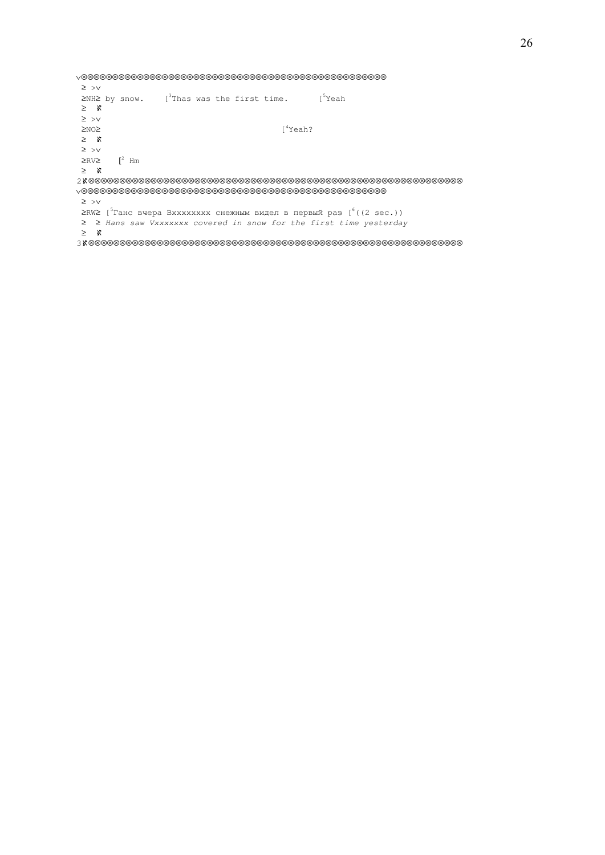∨⊗⊗⊗⊗⊗⊗⊗⊗⊗⊗⊗⊗⊗⊗⊗⊗⊗⊗⊗⊗⊗⊗⊗⊗⊗⊗⊗⊗⊗⊗⊗⊗⊗⊗⊗⊗⊗⊗⊗⊗⊗⊗⊗⊗⊗⊗⊗⊗⊗ ≥ >∨ ≥NH≥ by snow. [<sup>3</sup>Thas was the first time. [<sup>5</sup>Yeah ≥ ℵ ≥ >∨<br>≥NO≥  $[4$ Yeah? ≥ ℵ ≥ >∨  $\geq$ RV $\geq$   $\qquad$   $\uparrow$ <sup>2</sup> Hm ≥ ℵ 2ℵ⊗⊗⊗⊗⊗⊗⊗⊗⊗⊗⊗⊗⊗⊗⊗⊗⊗⊗⊗⊗⊗⊗⊗⊗⊗⊗⊗⊗⊗⊗⊗⊗⊗⊗⊗⊗⊗⊗⊗⊗⊗⊗⊗⊗⊗⊗⊗⊗⊗⊗⊗⊗⊗⊗⊗⊗⊗⊗⊗⊗ ∨⊗⊗⊗⊗⊗⊗⊗⊗⊗⊗⊗⊗⊗⊗⊗⊗⊗⊗⊗⊗⊗⊗⊗⊗⊗⊗⊗⊗⊗⊗⊗⊗⊗⊗⊗⊗⊗⊗⊗⊗⊗⊗⊗⊗⊗⊗⊗⊗⊗ ≥ >∨ ≥RW≥ [<sup>5</sup>Ганс вчера Вхххххххх снежным видел в первый раз [<sup>6</sup>((2 sec.)) ≥ ≥ Hans saw Vxxxxxxx covered in snow for the first time yesterday ≥ ℵ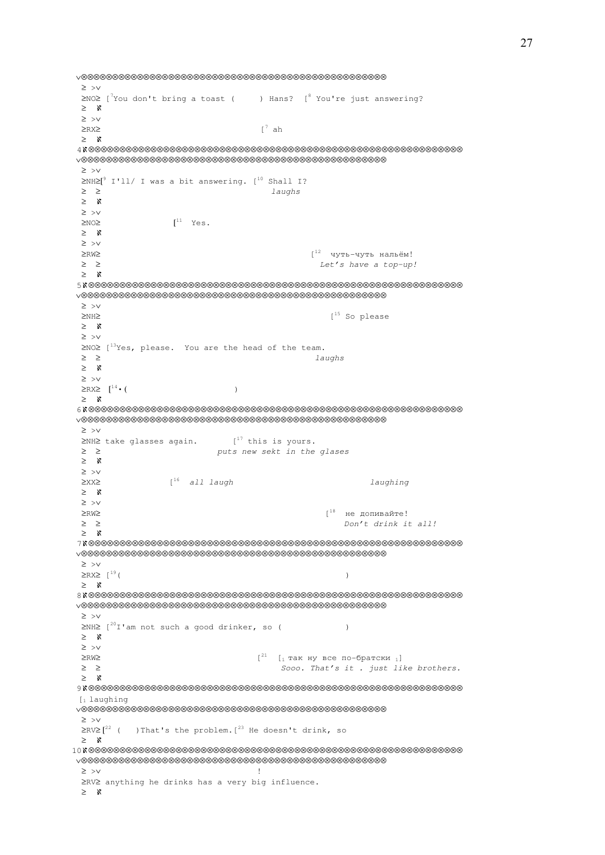∨⊗⊗⊗⊗⊗⊗⊗⊗⊗⊗⊗⊗⊗⊗⊗⊗⊗⊗⊗⊗⊗⊗⊗⊗⊗⊗⊗⊗⊗⊗⊗⊗⊗⊗⊗⊗⊗⊗⊗⊗⊗⊗⊗⊗⊗⊗⊗⊗⊗ ≥ >∨ ≥NO≥ [<sup>7</sup>You don't bring a toast ( ) Hans? [<sup>8</sup> You're just answering? ≥ ℵ ≥ >∨  $≥$ RX $≥$  [<sup>7</sup> ah ≥ ℵ 4ℵ⊗⊗⊗⊗⊗⊗⊗⊗⊗⊗⊗⊗⊗⊗⊗⊗⊗⊗⊗⊗⊗⊗⊗⊗⊗⊗⊗⊗⊗⊗⊗⊗⊗⊗⊗⊗⊗⊗⊗⊗⊗⊗⊗⊗⊗⊗⊗⊗⊗⊗⊗⊗⊗⊗⊗⊗⊗⊗⊗⊗ ∨⊗⊗⊗⊗⊗⊗⊗⊗⊗⊗⊗⊗⊗⊗⊗⊗⊗⊗⊗⊗⊗⊗⊗⊗⊗⊗⊗⊗⊗⊗⊗⊗⊗⊗⊗⊗⊗⊗⊗⊗⊗⊗⊗⊗⊗⊗⊗⊗⊗ ≥ >∨  $\geq$ NH $\geq$ <sup>9</sup> I'll/ I was a bit answering. [<sup>10</sup> Shall I? ≥ ≥ laughs ≥ ℵ ≥ >∨  $>$ NO $>$  $I^{11}$  Yes. ≥ ℵ ≥ >∨  $≥RW≥$   $[12$  чуть-чуть нальём!  $\geq$   $\geq$   $\geq$  ≥ ℵ 5ℵ⊗⊗⊗⊗⊗⊗⊗⊗⊗⊗⊗⊗⊗⊗⊗⊗⊗⊗⊗⊗⊗⊗⊗⊗⊗⊗⊗⊗⊗⊗⊗⊗⊗⊗⊗⊗⊗⊗⊗⊗⊗⊗⊗⊗⊗⊗⊗⊗⊗⊗⊗⊗⊗⊗⊗⊗⊗⊗⊗⊗ ∨⊗⊗⊗⊗⊗⊗⊗⊗⊗⊗⊗⊗⊗⊗⊗⊗⊗⊗⊗⊗⊗⊗⊗⊗⊗⊗⊗⊗⊗⊗⊗⊗⊗⊗⊗⊗⊗⊗⊗⊗⊗⊗⊗⊗⊗⊗⊗⊗⊗ ≥ >∨ ≥NH≥ [<sup>15</sup> So please ≥ ℵ ≥ >∨ ≥NO≥ [<sup>13</sup>Yes, please. You are the head of the team. ≥ ≥ laughs ≥ ℵ ≥ >∨  $\geq$ RX≥  $\left[$ <sup>14</sup> • ( ) ≥ ℵ 6ℵ⊗⊗⊗⊗⊗⊗⊗⊗⊗⊗⊗⊗⊗⊗⊗⊗⊗⊗⊗⊗⊗⊗⊗⊗⊗⊗⊗⊗⊗⊗⊗⊗⊗⊗⊗⊗⊗⊗⊗⊗⊗⊗⊗⊗⊗⊗⊗⊗⊗⊗⊗⊗⊗⊗⊗⊗⊗⊗⊗⊗ ∨⊗⊗⊗⊗⊗⊗⊗⊗⊗⊗⊗⊗⊗⊗⊗⊗⊗⊗⊗⊗⊗⊗⊗⊗⊗⊗⊗⊗⊗⊗⊗⊗⊗⊗⊗⊗⊗⊗⊗⊗⊗⊗⊗⊗⊗⊗⊗⊗⊗ ≥ >∨  $\geq$ NH $\geq$  take glasses again.  $[17]$  this is yours. ≥ ≥ puts new sekt in the glases ≥ ℵ ≥ >∨ ≥XX≥ [<sup>16</sup> all laugh laughing ≥ ℵ ≥ >∨  $\mathsf{e}^{\mathsf{18}}$ не допивайте!  $≥ ≥$   $>$  ≥ ℵ 7ℵ⊗⊗⊗⊗⊗⊗⊗⊗⊗⊗⊗⊗⊗⊗⊗⊗⊗⊗⊗⊗⊗⊗⊗⊗⊗⊗⊗⊗⊗⊗⊗⊗⊗⊗⊗⊗⊗⊗⊗⊗⊗⊗⊗⊗⊗⊗⊗⊗⊗⊗⊗⊗⊗⊗⊗⊗⊗⊗⊗⊗ ∨⊗⊗⊗⊗⊗⊗⊗⊗⊗⊗⊗⊗⊗⊗⊗⊗⊗⊗⊗⊗⊗⊗⊗⊗⊗⊗⊗⊗⊗⊗⊗⊗⊗⊗⊗⊗⊗⊗⊗⊗⊗⊗⊗⊗⊗⊗⊗⊗⊗ ≥ >∨  $\begin{picture}(100,10) \put(0,0){\line(1,0){10}} \put(10,0){\line(1,0){10}} \put(10,0){\line(1,0){10}} \put(10,0){\line(1,0){10}} \put(10,0){\line(1,0){10}} \put(10,0){\line(1,0){10}} \put(10,0){\line(1,0){10}} \put(10,0){\line(1,0){10}} \put(10,0){\line(1,0){10}} \put(10,0){\line(1,0){10}} \put(10,0){\line(1,0){10}} \put(10,0){\line($  ≥ ℵ 8ℵ⊗⊗⊗⊗⊗⊗⊗⊗⊗⊗⊗⊗⊗⊗⊗⊗⊗⊗⊗⊗⊗⊗⊗⊗⊗⊗⊗⊗⊗⊗⊗⊗⊗⊗⊗⊗⊗⊗⊗⊗⊗⊗⊗⊗⊗⊗⊗⊗⊗⊗⊗⊗⊗⊗⊗⊗⊗⊗⊗⊗ ∨⊗⊗⊗⊗⊗⊗⊗⊗⊗⊗⊗⊗⊗⊗⊗⊗⊗⊗⊗⊗⊗⊗⊗⊗⊗⊗⊗⊗⊗⊗⊗⊗⊗⊗⊗⊗⊗⊗⊗⊗⊗⊗⊗⊗⊗⊗⊗⊗⊗ ≥ >∨  $\geq N$ H $\geq$  [<sup>20</sup>I'am not such a good drinker, so () ≥ ℵ ≥ >∨  $≥RW≥$   $[21$   $[1$  так ну все по-братски 1] ≥ ≥ Sooo. That's it . just like brothers. ≥ ℵ 9ℵ⊗⊗⊗⊗⊗⊗⊗⊗⊗⊗⊗⊗⊗⊗⊗⊗⊗⊗⊗⊗⊗⊗⊗⊗⊗⊗⊗⊗⊗⊗⊗⊗⊗⊗⊗⊗⊗⊗⊗⊗⊗⊗⊗⊗⊗⊗⊗⊗⊗⊗⊗⊗⊗⊗⊗⊗⊗⊗⊗⊗  $[1]$  laughing ∨⊗⊗⊗⊗⊗⊗⊗⊗⊗⊗⊗⊗⊗⊗⊗⊗⊗⊗⊗⊗⊗⊗⊗⊗⊗⊗⊗⊗⊗⊗⊗⊗⊗⊗⊗⊗⊗⊗⊗⊗⊗⊗⊗⊗⊗⊗⊗⊗⊗ ≥ >∨  $\geq$ RV $\geq$  [<sup>22</sup> ( ) That's the problem. [<sup>23</sup> He doesn't drink, so ≥ ℵ 10ℵ⊗⊗⊗⊗⊗⊗⊗⊗⊗⊗⊗⊗⊗⊗⊗⊗⊗⊗⊗⊗⊗⊗⊗⊗⊗⊗⊗⊗⊗⊗⊗⊗⊗⊗⊗⊗⊗⊗⊗⊗⊗⊗⊗⊗⊗⊗⊗⊗⊗⊗⊗⊗⊗⊗⊗⊗⊗⊗⊗⊗ ∨⊗⊗⊗⊗⊗⊗⊗⊗⊗⊗⊗⊗⊗⊗⊗⊗⊗⊗⊗⊗⊗⊗⊗⊗⊗⊗⊗⊗⊗⊗⊗⊗⊗⊗⊗⊗⊗⊗⊗⊗⊗⊗⊗⊗⊗⊗⊗⊗⊗ ≥ >∨ ! ≥RV≥ anything he drinks has a very big influence. ≥ ℵ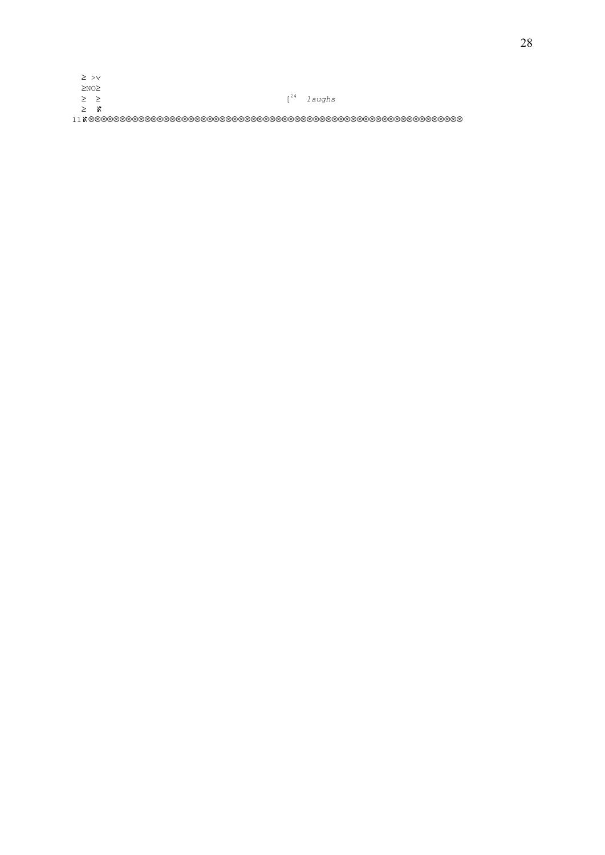| v | I<br>۰, |
|---|---------|

| $>$ $>$ $\vee$ |  |  |  |  |  |                 |
|----------------|--|--|--|--|--|-----------------|
| $>$ N $\cap$   |  |  |  |  |  |                 |
| $>$ >          |  |  |  |  |  | $I^{24}$ laughs |
| > x            |  |  |  |  |  |                 |
|                |  |  |  |  |  |                 |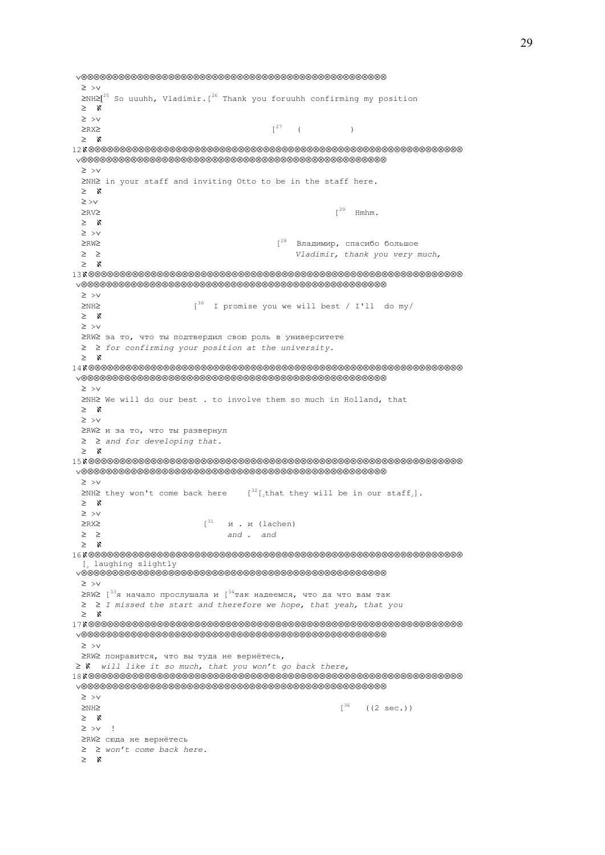∨⊗⊗⊗⊗⊗⊗⊗⊗⊗⊗⊗⊗⊗⊗⊗⊗⊗⊗⊗⊗⊗⊗⊗⊗⊗⊗⊗⊗⊗⊗⊗⊗⊗⊗⊗⊗⊗⊗⊗⊗⊗⊗⊗⊗⊗⊗⊗⊗⊗ ≥ >∨ ≥NH≥[<sup>25</sup> So uuuhh, Vladimir.[<sup>26</sup> Thank you foruuhh confirming my position ≥ ℵ ≥ >∨  $\geq$ RX $\geq$  ( ) ≥ ℵ 12ℵ⊗⊗⊗⊗⊗⊗⊗⊗⊗⊗⊗⊗⊗⊗⊗⊗⊗⊗⊗⊗⊗⊗⊗⊗⊗⊗⊗⊗⊗⊗⊗⊗⊗⊗⊗⊗⊗⊗⊗⊗⊗⊗⊗⊗⊗⊗⊗⊗⊗⊗⊗⊗⊗⊗⊗⊗⊗⊗⊗⊗ ∨⊗⊗⊗⊗⊗⊗⊗⊗⊗⊗⊗⊗⊗⊗⊗⊗⊗⊗⊗⊗⊗⊗⊗⊗⊗⊗⊗⊗⊗⊗⊗⊗⊗⊗⊗⊗⊗⊗⊗⊗⊗⊗⊗⊗⊗⊗⊗⊗⊗ ≥ >∨ ≥NH≥ in your staff and inviting Otto to be in the staff here. ≥ ℵ ≥ >∨  $>RV>$  ≥ ℵ ≥ >∨ ≥RW≥ [<sup>28</sup> Владимир, спасибо большое ≥ ≥ Vladimir, thank you very much, ≥ ℵ 13ℵ⊗⊗⊗⊗⊗⊗⊗⊗⊗⊗⊗⊗⊗⊗⊗⊗⊗⊗⊗⊗⊗⊗⊗⊗⊗⊗⊗⊗⊗⊗⊗⊗⊗⊗⊗⊗⊗⊗⊗⊗⊗⊗⊗⊗⊗⊗⊗⊗⊗⊗⊗⊗⊗⊗⊗⊗⊗⊗⊗⊗ ∨⊗⊗⊗⊗⊗⊗⊗⊗⊗⊗⊗⊗⊗⊗⊗⊗⊗⊗⊗⊗⊗⊗⊗⊗⊗⊗⊗⊗⊗⊗⊗⊗⊗⊗⊗⊗⊗⊗⊗⊗⊗⊗⊗⊗⊗⊗⊗⊗⊗ ≥ >∨ ≥NH≥ [<sup>30</sup> I promise you we will best / I'll do my/ ≥ ℵ ≥ >∨ ≥RW≥ за то, что ты подтвердил свою роль в университете ≥ ≥ for confirming your position at the university. ≥ ℵ 14ℵ⊗⊗⊗⊗⊗⊗⊗⊗⊗⊗⊗⊗⊗⊗⊗⊗⊗⊗⊗⊗⊗⊗⊗⊗⊗⊗⊗⊗⊗⊗⊗⊗⊗⊗⊗⊗⊗⊗⊗⊗⊗⊗⊗⊗⊗⊗⊗⊗⊗⊗⊗⊗⊗⊗⊗⊗⊗⊗⊗⊗ ∨⊗⊗⊗⊗⊗⊗⊗⊗⊗⊗⊗⊗⊗⊗⊗⊗⊗⊗⊗⊗⊗⊗⊗⊗⊗⊗⊗⊗⊗⊗⊗⊗⊗⊗⊗⊗⊗⊗⊗⊗⊗⊗⊗⊗⊗⊗⊗⊗⊗ ≥ >∨ ≥NH≥ We will do our best . to involve them so much in Holland, that ≥ ℵ ≥ >∨ ≥RW≥ и за то, что ты развернул ≥ ≥ and for developing that. ≥ ℵ 15ℵ⊗⊗⊗⊗⊗⊗⊗⊗⊗⊗⊗⊗⊗⊗⊗⊗⊗⊗⊗⊗⊗⊗⊗⊗⊗⊗⊗⊗⊗⊗⊗⊗⊗⊗⊗⊗⊗⊗⊗⊗⊗⊗⊗⊗⊗⊗⊗⊗⊗⊗⊗⊗⊗⊗⊗⊗⊗⊗⊗⊗ ∨⊗⊗⊗⊗⊗⊗⊗⊗⊗⊗⊗⊗⊗⊗⊗⊗⊗⊗⊗⊗⊗⊗⊗⊗⊗⊗⊗⊗⊗⊗⊗⊗⊗⊗⊗⊗⊗⊗⊗⊗⊗⊗⊗⊗⊗⊗⊗⊗⊗ ≥ >∨ ≥NH≥ they won't come back here  $[32]$ , that they will be in our staff,]. ≥ ℵ ≥ >∨  $≥$ RX≥  $[$ <sup>31</sup> и. и (lachen)  $\geq$   $\geq$  and . and . and ≥ ℵ 16ℵ⊗⊗⊗⊗⊗⊗⊗⊗⊗⊗⊗⊗⊗⊗⊗⊗⊗⊗⊗⊗⊗⊗⊗⊗⊗⊗⊗⊗⊗⊗⊗⊗⊗⊗⊗⊗⊗⊗⊗⊗⊗⊗⊗⊗⊗⊗⊗⊗⊗⊗⊗⊗⊗⊗⊗⊗⊗⊗⊗⊗ [2 laughing slightly ∨⊗⊗⊗⊗⊗⊗⊗⊗⊗⊗⊗⊗⊗⊗⊗⊗⊗⊗⊗⊗⊗⊗⊗⊗⊗⊗⊗⊗⊗⊗⊗⊗⊗⊗⊗⊗⊗⊗⊗⊗⊗⊗⊗⊗⊗⊗⊗⊗⊗ ≥ >∨  $\geq$ RW $\geq$  [<sup>33</sup>я начало прослушала и [<sup>34</sup>так надеемся, что да что вам так ≥ ≥ I missed the start and therefore we hope, that yeah, that you ≥ ℵ 17ℵ⊗⊗⊗⊗⊗⊗⊗⊗⊗⊗⊗⊗⊗⊗⊗⊗⊗⊗⊗⊗⊗⊗⊗⊗⊗⊗⊗⊗⊗⊗⊗⊗⊗⊗⊗⊗⊗⊗⊗⊗⊗⊗⊗⊗⊗⊗⊗⊗⊗⊗⊗⊗⊗⊗⊗⊗⊗⊗⊗⊗ ∨⊗⊗⊗⊗⊗⊗⊗⊗⊗⊗⊗⊗⊗⊗⊗⊗⊗⊗⊗⊗⊗⊗⊗⊗⊗⊗⊗⊗⊗⊗⊗⊗⊗⊗⊗⊗⊗⊗⊗⊗⊗⊗⊗⊗⊗⊗⊗⊗⊗ ≥ >∨ ≥RW≥ понравится, что вы туда не вернётесь, ≥ *N* will like it so much, that you won't go back there, 18ℵ⊗⊗⊗⊗⊗⊗⊗⊗⊗⊗⊗⊗⊗⊗⊗⊗⊗⊗⊗⊗⊗⊗⊗⊗⊗⊗⊗⊗⊗⊗⊗⊗⊗⊗⊗⊗⊗⊗⊗⊗⊗⊗⊗⊗⊗⊗⊗⊗⊗⊗⊗⊗⊗⊗⊗⊗⊗⊗⊗⊗ ∨⊗⊗⊗⊗⊗⊗⊗⊗⊗⊗⊗⊗⊗⊗⊗⊗⊗⊗⊗⊗⊗⊗⊗⊗⊗⊗⊗⊗⊗⊗⊗⊗⊗⊗⊗⊗⊗⊗⊗⊗⊗⊗⊗⊗⊗⊗⊗⊗⊗ ≥ >∨  $\geq N$ H $\geq$  ((2 sec.)) ≥ ℵ ≥ >∨ ! ≥RW≥ сюда не вернётесь ≥ ≥ won't come back here. ≥ ℵ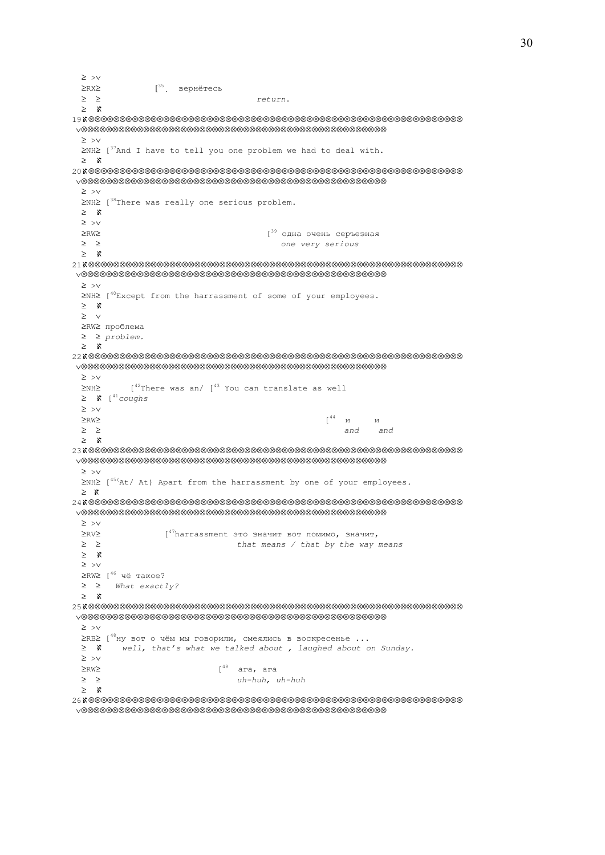≥ >∨  $≥$ RX≥  $[$ <sup>35</sup>. вернётесь ≥ ≥ return. ≥ ℵ 19ℵ⊗⊗⊗⊗⊗⊗⊗⊗⊗⊗⊗⊗⊗⊗⊗⊗⊗⊗⊗⊗⊗⊗⊗⊗⊗⊗⊗⊗⊗⊗⊗⊗⊗⊗⊗⊗⊗⊗⊗⊗⊗⊗⊗⊗⊗⊗⊗⊗⊗⊗⊗⊗⊗⊗⊗⊗⊗⊗⊗⊗ ∨⊗⊗⊗⊗⊗⊗⊗⊗⊗⊗⊗⊗⊗⊗⊗⊗⊗⊗⊗⊗⊗⊗⊗⊗⊗⊗⊗⊗⊗⊗⊗⊗⊗⊗⊗⊗⊗⊗⊗⊗⊗⊗⊗⊗⊗⊗⊗⊗⊗ ≥ >∨ ≥NH≥ [<sup>37</sup>And I have to tell you one problem we had to deal with. ≥ ℵ 20ℵ⊗⊗⊗⊗⊗⊗⊗⊗⊗⊗⊗⊗⊗⊗⊗⊗⊗⊗⊗⊗⊗⊗⊗⊗⊗⊗⊗⊗⊗⊗⊗⊗⊗⊗⊗⊗⊗⊗⊗⊗⊗⊗⊗⊗⊗⊗⊗⊗⊗⊗⊗⊗⊗⊗⊗⊗⊗⊗⊗⊗ ∨⊗⊗⊗⊗⊗⊗⊗⊗⊗⊗⊗⊗⊗⊗⊗⊗⊗⊗⊗⊗⊗⊗⊗⊗⊗⊗⊗⊗⊗⊗⊗⊗⊗⊗⊗⊗⊗⊗⊗⊗⊗⊗⊗⊗⊗⊗⊗⊗⊗ ≥ >∨ ≥NH≥ [<sup>38</sup>There was really one serious problem. ≥ ℵ ≥ >∨ ≥RW≥ [<sup>39</sup> одна очень серъезная ≥ ≥ one very serious ≥ ℵ 21ℵ⊗⊗⊗⊗⊗⊗⊗⊗⊗⊗⊗⊗⊗⊗⊗⊗⊗⊗⊗⊗⊗⊗⊗⊗⊗⊗⊗⊗⊗⊗⊗⊗⊗⊗⊗⊗⊗⊗⊗⊗⊗⊗⊗⊗⊗⊗⊗⊗⊗⊗⊗⊗⊗⊗⊗⊗⊗⊗⊗⊗ ∨⊗⊗⊗⊗⊗⊗⊗⊗⊗⊗⊗⊗⊗⊗⊗⊗⊗⊗⊗⊗⊗⊗⊗⊗⊗⊗⊗⊗⊗⊗⊗⊗⊗⊗⊗⊗⊗⊗⊗⊗⊗⊗⊗⊗⊗⊗⊗⊗⊗ ≥ >∨ ≥NH≥ [<sup>40</sup>Except from the harrassment of some of your employees. ≥ ℵ ≥ ∨ ≥RW≥ проблема ≥ ≥ problem. ≥ ℵ 22ℵ⊗⊗⊗⊗⊗⊗⊗⊗⊗⊗⊗⊗⊗⊗⊗⊗⊗⊗⊗⊗⊗⊗⊗⊗⊗⊗⊗⊗⊗⊗⊗⊗⊗⊗⊗⊗⊗⊗⊗⊗⊗⊗⊗⊗⊗⊗⊗⊗⊗⊗⊗⊗⊗⊗⊗⊗⊗⊗⊗⊗ ∨⊗⊗⊗⊗⊗⊗⊗⊗⊗⊗⊗⊗⊗⊗⊗⊗⊗⊗⊗⊗⊗⊗⊗⊗⊗⊗⊗⊗⊗⊗⊗⊗⊗⊗⊗⊗⊗⊗⊗⊗⊗⊗⊗⊗⊗⊗⊗⊗⊗ ≥ >∨  $\geq$ NH $\geq$  [<sup>42</sup>There was an/ [<sup>43</sup> You can translate as well  $\geq$   $\aleph$   $\left[ \begin{array}{cc} 41 & \text{coudhs} \\ \text{coudhs} \end{array} \right]$  ≥ >∨  $≥RW≥$  [<sup>44</sup> и и ≥ ≥ and and ≥ ℵ 23ℵ⊗⊗⊗⊗⊗⊗⊗⊗⊗⊗⊗⊗⊗⊗⊗⊗⊗⊗⊗⊗⊗⊗⊗⊗⊗⊗⊗⊗⊗⊗⊗⊗⊗⊗⊗⊗⊗⊗⊗⊗⊗⊗⊗⊗⊗⊗⊗⊗⊗⊗⊗⊗⊗⊗⊗⊗⊗⊗⊗⊗ ∨⊗⊗⊗⊗⊗⊗⊗⊗⊗⊗⊗⊗⊗⊗⊗⊗⊗⊗⊗⊗⊗⊗⊗⊗⊗⊗⊗⊗⊗⊗⊗⊗⊗⊗⊗⊗⊗⊗⊗⊗⊗⊗⊗⊗⊗⊗⊗⊗⊗ ≥ >∨ ≥NH≥ [45(At/ At) Apart from the harrassment by one of your employees. ≥ ℵ 24ℵ⊗⊗⊗⊗⊗⊗⊗⊗⊗⊗⊗⊗⊗⊗⊗⊗⊗⊗⊗⊗⊗⊗⊗⊗⊗⊗⊗⊗⊗⊗⊗⊗⊗⊗⊗⊗⊗⊗⊗⊗⊗⊗⊗⊗⊗⊗⊗⊗⊗⊗⊗⊗⊗⊗⊗⊗⊗⊗⊗⊗ ∨⊗⊗⊗⊗⊗⊗⊗⊗⊗⊗⊗⊗⊗⊗⊗⊗⊗⊗⊗⊗⊗⊗⊗⊗⊗⊗⊗⊗⊗⊗⊗⊗⊗⊗⊗⊗⊗⊗⊗⊗⊗⊗⊗⊗⊗⊗⊗⊗⊗ ≥ >∨  $\geq$ RV≥ [<sup>47</sup>harrassment это значит вот помимо, значит,<br>  $\geq$  ≥ 2 that means  $\ell$  that by the way means ≥ ℵ ≥ >∨ ≥RW≥ [<sup>46</sup> чё такое?  $>$  > What exactly? ≥ ℵ 25ℵ⊗⊗⊗⊗⊗⊗⊗⊗⊗⊗⊗⊗⊗⊗⊗⊗⊗⊗⊗⊗⊗⊗⊗⊗⊗⊗⊗⊗⊗⊗⊗⊗⊗⊗⊗⊗⊗⊗⊗⊗⊗⊗⊗⊗⊗⊗⊗⊗⊗⊗⊗⊗⊗⊗⊗⊗⊗⊗⊗⊗ ∨⊗⊗⊗⊗⊗⊗⊗⊗⊗⊗⊗⊗⊗⊗⊗⊗⊗⊗⊗⊗⊗⊗⊗⊗⊗⊗⊗⊗⊗⊗⊗⊗⊗⊗⊗⊗⊗⊗⊗⊗⊗⊗⊗⊗⊗⊗⊗⊗⊗ ≥ >∨  $≥$ RB≥ [<sup>48</sup>ну вот о чём мы говорили, смеялись в воскресенье ...<br>
≥ Х *well, that's what we talked about, laughed about c* well, that's what we talked about, laughed about on Sunday. ≥ >∨  $≥RW≥$  [<sup>49</sup> ага, ага ≥ ≥ uh-huh, uh-huh ≥ ℵ 26ℵ⊗⊗⊗⊗⊗⊗⊗⊗⊗⊗⊗⊗⊗⊗⊗⊗⊗⊗⊗⊗⊗⊗⊗⊗⊗⊗⊗⊗⊗⊗⊗⊗⊗⊗⊗⊗⊗⊗⊗⊗⊗⊗⊗⊗⊗⊗⊗⊗⊗⊗⊗⊗⊗⊗⊗⊗⊗⊗⊗⊗

∨⊗⊗⊗⊗⊗⊗⊗⊗⊗⊗⊗⊗⊗⊗⊗⊗⊗⊗⊗⊗⊗⊗⊗⊗⊗⊗⊗⊗⊗⊗⊗⊗⊗⊗⊗⊗⊗⊗⊗⊗⊗⊗⊗⊗⊗⊗⊗⊗⊗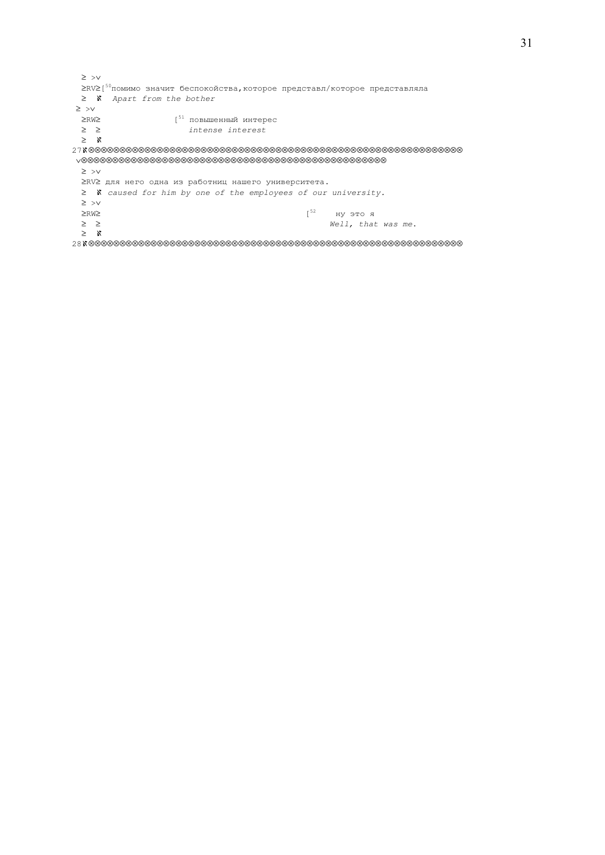≥ >∨ ≥RV≥[ <sup>50</sup>помимо значит беспокойства,которое представл/которое представляла ≥ ℵ Apart from the bother ≥ >∨  $≥RW≥$ <br>  $≥$  ≥  $≤$   $intenser$ intense interest ≥ ℵ 27ℵ⊗⊗⊗⊗⊗⊗⊗⊗⊗⊗⊗⊗⊗⊗⊗⊗⊗⊗⊗⊗⊗⊗⊗⊗⊗⊗⊗⊗⊗⊗⊗⊗⊗⊗⊗⊗⊗⊗⊗⊗⊗⊗⊗⊗⊗⊗⊗⊗⊗⊗⊗⊗⊗⊗⊗⊗⊗⊗⊗⊗ ∨⊗⊗⊗⊗⊗⊗⊗⊗⊗⊗⊗⊗⊗⊗⊗⊗⊗⊗⊗⊗⊗⊗⊗⊗⊗⊗⊗⊗⊗⊗⊗⊗⊗⊗⊗⊗⊗⊗⊗⊗⊗⊗⊗⊗⊗⊗⊗⊗⊗ ≥ >∨ ≥RV≥ для него одна из работниц нашего университета. ≥ ℵ caused for him by one of the employees of our university. ≥ >∨  $≥RW≥$  ну это я ≥ ≥ Well, that was me. ≥ ℵ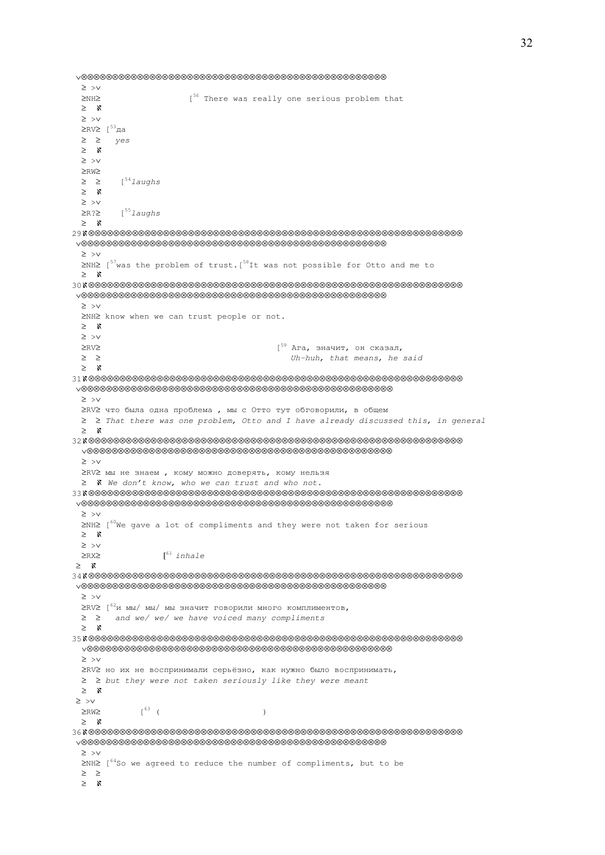```
 ∨⊗⊗⊗⊗⊗⊗⊗⊗⊗⊗⊗⊗⊗⊗⊗⊗⊗⊗⊗⊗⊗⊗⊗⊗⊗⊗⊗⊗⊗⊗⊗⊗⊗⊗⊗⊗⊗⊗⊗⊗⊗⊗⊗⊗⊗⊗⊗⊗⊗
  ≥ >∨ 
  ≥NH≥ [56 There was really one serious problem that 
  ≥ ℵ 
  ≥ >∨ 
  ≥RV≥ [53да
  ≥ ≥ yes
  ≥ ℵ 
  ≥ >∨ 
  ≥RW≥ 
 ≥ ≥ [54] aughs
  ≥ ℵ 
  ≥ >∨ 
  ≥R?≥ [55laughs
  ≥ ℵ 
29ℵ⊗⊗⊗⊗⊗⊗⊗⊗⊗⊗⊗⊗⊗⊗⊗⊗⊗⊗⊗⊗⊗⊗⊗⊗⊗⊗⊗⊗⊗⊗⊗⊗⊗⊗⊗⊗⊗⊗⊗⊗⊗⊗⊗⊗⊗⊗⊗⊗⊗⊗⊗⊗⊗⊗⊗⊗⊗⊗⊗⊗ 
 ∨⊗⊗⊗⊗⊗⊗⊗⊗⊗⊗⊗⊗⊗⊗⊗⊗⊗⊗⊗⊗⊗⊗⊗⊗⊗⊗⊗⊗⊗⊗⊗⊗⊗⊗⊗⊗⊗⊗⊗⊗⊗⊗⊗⊗⊗⊗⊗⊗⊗
  ≥ >∨ 
 \geq NH\geq [57was the problem of trust.[58It was not possible for Otto and me to
  ≥ ℵ 
30ℵ⊗⊗⊗⊗⊗⊗⊗⊗⊗⊗⊗⊗⊗⊗⊗⊗⊗⊗⊗⊗⊗⊗⊗⊗⊗⊗⊗⊗⊗⊗⊗⊗⊗⊗⊗⊗⊗⊗⊗⊗⊗⊗⊗⊗⊗⊗⊗⊗⊗⊗⊗⊗⊗⊗⊗⊗⊗⊗⊗⊗ 
 ∨⊗⊗⊗⊗⊗⊗⊗⊗⊗⊗⊗⊗⊗⊗⊗⊗⊗⊗⊗⊗⊗⊗⊗⊗⊗⊗⊗⊗⊗⊗⊗⊗⊗⊗⊗⊗⊗⊗⊗⊗⊗⊗⊗⊗⊗⊗⊗⊗⊗
  ≥ >∨ 
  ≥NH≥ know when we can trust people or not. 
  ≥ ℵ 
  ≥ >∨ 
 ≥RV≥ [59 Ага, значит, он сказал,
  ≥ ≥ Uh-huh, that means, he said 
  ≥ ℵ 
31ℵ⊗⊗⊗⊗⊗⊗⊗⊗⊗⊗⊗⊗⊗⊗⊗⊗⊗⊗⊗⊗⊗⊗⊗⊗⊗⊗⊗⊗⊗⊗⊗⊗⊗⊗⊗⊗⊗⊗⊗⊗⊗⊗⊗⊗⊗⊗⊗⊗⊗⊗⊗⊗⊗⊗⊗⊗⊗⊗⊗⊗ 
 ∨⊗⊗⊗⊗⊗⊗⊗⊗⊗⊗⊗⊗⊗⊗⊗⊗⊗⊗⊗⊗⊗⊗⊗⊗⊗⊗⊗⊗⊗⊗⊗⊗⊗⊗⊗⊗⊗⊗⊗⊗⊗⊗⊗⊗⊗⊗⊗⊗⊗⊗
  ≥ >∨ 
  ≥RV≥ что была одна проблема , мы с Отто тут обговорили, в общем
  ≥ ≥ That there was one problem, Otto and I have already discussed this, in general
  ≥ ℵ 
32ℵ⊗⊗⊗⊗⊗⊗⊗⊗⊗⊗⊗⊗⊗⊗⊗⊗⊗⊗⊗⊗⊗⊗⊗⊗⊗⊗⊗⊗⊗⊗⊗⊗⊗⊗⊗⊗⊗⊗⊗⊗⊗⊗⊗⊗⊗⊗⊗⊗⊗⊗⊗⊗⊗⊗⊗⊗⊗⊗⊗⊗ 
 ∨⊗⊗⊗⊗⊗⊗⊗⊗⊗⊗⊗⊗⊗⊗⊗⊗⊗⊗⊗⊗⊗⊗⊗⊗⊗⊗⊗⊗⊗⊗⊗⊗⊗⊗⊗⊗⊗⊗⊗⊗⊗⊗⊗⊗⊗⊗⊗⊗⊗
 ≥ >∨ 
 ≥RV≥ мы не знаем , кому можно доверять, кому нельзя
 ≥ ℵ We don't know, who we can trust and who not.
33ℵ⊗⊗⊗⊗⊗⊗⊗⊗⊗⊗⊗⊗⊗⊗⊗⊗⊗⊗⊗⊗⊗⊗⊗⊗⊗⊗⊗⊗⊗⊗⊗⊗⊗⊗⊗⊗⊗⊗⊗⊗⊗⊗⊗⊗⊗⊗⊗⊗⊗⊗⊗⊗⊗⊗⊗⊗⊗⊗⊗⊗ 
 ∨⊗⊗⊗⊗⊗⊗⊗⊗⊗⊗⊗⊗⊗⊗⊗⊗⊗⊗⊗⊗⊗⊗⊗⊗⊗⊗⊗⊗⊗⊗⊗⊗⊗⊗⊗⊗⊗⊗⊗⊗⊗⊗⊗⊗⊗⊗⊗⊗⊗⊗
  ≥ >∨ 
 ≥NH≥ [<sup>60</sup>We gave a lot of compliments and they were not taken for serious
  ≥ ℵ 
  ≥ >∨ 
 \geqRX\geq [<sup>61</sup> inhale
 ≥ ℵ 
34ℵ⊗⊗⊗⊗⊗⊗⊗⊗⊗⊗⊗⊗⊗⊗⊗⊗⊗⊗⊗⊗⊗⊗⊗⊗⊗⊗⊗⊗⊗⊗⊗⊗⊗⊗⊗⊗⊗⊗⊗⊗⊗⊗⊗⊗⊗⊗⊗⊗⊗⊗⊗⊗⊗⊗⊗⊗⊗⊗⊗⊗ 
 ∨⊗⊗⊗⊗⊗⊗⊗⊗⊗⊗⊗⊗⊗⊗⊗⊗⊗⊗⊗⊗⊗⊗⊗⊗⊗⊗⊗⊗⊗⊗⊗⊗⊗⊗⊗⊗⊗⊗⊗⊗⊗⊗⊗⊗⊗⊗⊗⊗⊗
  ≥ >∨ 
 2RV<sup>62</sup>и мы/ мы/ мы значит говорили много комплиментов.
  ≥ ≥ and we/ we/ we have voiced many compliments 
  ≥ ℵ 
35ℵ⊗⊗⊗⊗⊗⊗⊗⊗⊗⊗⊗⊗⊗⊗⊗⊗⊗⊗⊗⊗⊗⊗⊗⊗⊗⊗⊗⊗⊗⊗⊗⊗⊗⊗⊗⊗⊗⊗⊗⊗⊗⊗⊗⊗⊗⊗⊗⊗⊗⊗⊗⊗⊗⊗⊗⊗⊗⊗⊗⊗ 
 ∨⊗⊗⊗⊗⊗⊗⊗⊗⊗⊗⊗⊗⊗⊗⊗⊗⊗⊗⊗⊗⊗⊗⊗⊗⊗⊗⊗⊗⊗⊗⊗⊗⊗⊗⊗⊗⊗⊗⊗⊗⊗⊗⊗⊗⊗⊗⊗⊗⊗
 ≥ >∨ 
 ≥RV≥ но их не воспринимали серьёзно, как нужно было воспринимать, 
 ≥ ≥ but they were not taken seriously like they were meant
 ≥ ℵ 
 ≥ >∨ 
 \geqRW\geq [<sup>63</sup> (
  ≥ ℵ 
36ℵ⊗⊗⊗⊗⊗⊗⊗⊗⊗⊗⊗⊗⊗⊗⊗⊗⊗⊗⊗⊗⊗⊗⊗⊗⊗⊗⊗⊗⊗⊗⊗⊗⊗⊗⊗⊗⊗⊗⊗⊗⊗⊗⊗⊗⊗⊗⊗⊗⊗⊗⊗⊗⊗⊗⊗⊗⊗⊗⊗⊗ 
 ∨⊗⊗⊗⊗⊗⊗⊗⊗⊗⊗⊗⊗⊗⊗⊗⊗⊗⊗⊗⊗⊗⊗⊗⊗⊗⊗⊗⊗⊗⊗⊗⊗⊗⊗⊗⊗⊗⊗⊗⊗⊗⊗⊗⊗⊗⊗⊗⊗⊗
  ≥ >∨ 
 ≥NH≥ [<sup>64</sup>So we agreed to reduce the number of compliments, but to be
  ≥ ≥ 
  ≥ ℵ
```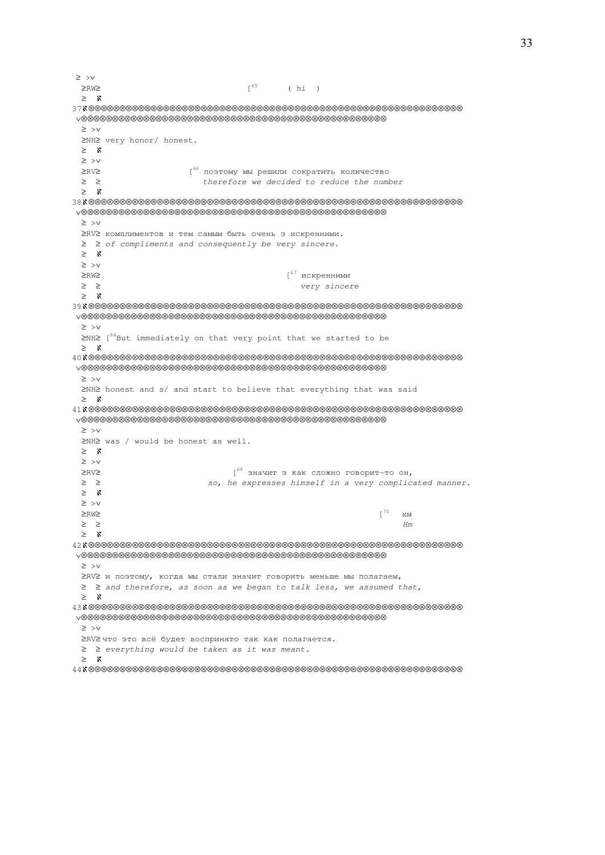≥ >∨  $\geq$ RW $\geq$  (hi) ≥ ℵ 37ℵ⊗⊗⊗⊗⊗⊗⊗⊗⊗⊗⊗⊗⊗⊗⊗⊗⊗⊗⊗⊗⊗⊗⊗⊗⊗⊗⊗⊗⊗⊗⊗⊗⊗⊗⊗⊗⊗⊗⊗⊗⊗⊗⊗⊗⊗⊗⊗⊗⊗⊗⊗⊗⊗⊗⊗⊗⊗⊗⊗⊗ ∨⊗⊗⊗⊗⊗⊗⊗⊗⊗⊗⊗⊗⊗⊗⊗⊗⊗⊗⊗⊗⊗⊗⊗⊗⊗⊗⊗⊗⊗⊗⊗⊗⊗⊗⊗⊗⊗⊗⊗⊗⊗⊗⊗⊗⊗⊗⊗⊗⊗ ≥ >∨ ≥NH≥ very honor/ honest. ≥ ℵ ≥ >∨ ≥RV≥ [<sup>66</sup> поэтому мы решили сократить количество ≥ ≥ therefore we decided to reduce the number ≥ ℵ 38ℵ⊗⊗⊗⊗⊗⊗⊗⊗⊗⊗⊗⊗⊗⊗⊗⊗⊗⊗⊗⊗⊗⊗⊗⊗⊗⊗⊗⊗⊗⊗⊗⊗⊗⊗⊗⊗⊗⊗⊗⊗⊗⊗⊗⊗⊗⊗⊗⊗⊗⊗⊗⊗⊗⊗⊗⊗⊗⊗⊗⊗ ∨⊗⊗⊗⊗⊗⊗⊗⊗⊗⊗⊗⊗⊗⊗⊗⊗⊗⊗⊗⊗⊗⊗⊗⊗⊗⊗⊗⊗⊗⊗⊗⊗⊗⊗⊗⊗⊗⊗⊗⊗⊗⊗⊗⊗⊗⊗⊗⊗⊗ ≥ >∨ ≥RV≥ комплиментов и тем самым быть очень э искренними. ≥ ≥ of compliments and consequently be very sincere. ≥ ℵ ≥ >∨ ≥RW≥ [<sup>67</sup> искренними ≥ ≥ very sincere ≥ ℵ 39ℵ⊗⊗⊗⊗⊗⊗⊗⊗⊗⊗⊗⊗⊗⊗⊗⊗⊗⊗⊗⊗⊗⊗⊗⊗⊗⊗⊗⊗⊗⊗⊗⊗⊗⊗⊗⊗⊗⊗⊗⊗⊗⊗⊗⊗⊗⊗⊗⊗⊗⊗⊗⊗⊗⊗⊗⊗⊗⊗⊗⊗ ∨⊗⊗⊗⊗⊗⊗⊗⊗⊗⊗⊗⊗⊗⊗⊗⊗⊗⊗⊗⊗⊗⊗⊗⊗⊗⊗⊗⊗⊗⊗⊗⊗⊗⊗⊗⊗⊗⊗⊗⊗⊗⊗⊗⊗⊗⊗⊗⊗⊗ ≥ >∨ ≥NH≥ [<sup>68</sup>But immediately on that very point that we started to be ≥ ℵ 40ℵ⊗⊗⊗⊗⊗⊗⊗⊗⊗⊗⊗⊗⊗⊗⊗⊗⊗⊗⊗⊗⊗⊗⊗⊗⊗⊗⊗⊗⊗⊗⊗⊗⊗⊗⊗⊗⊗⊗⊗⊗⊗⊗⊗⊗⊗⊗⊗⊗⊗⊗⊗⊗⊗⊗⊗⊗⊗⊗⊗⊗ ∨⊗⊗⊗⊗⊗⊗⊗⊗⊗⊗⊗⊗⊗⊗⊗⊗⊗⊗⊗⊗⊗⊗⊗⊗⊗⊗⊗⊗⊗⊗⊗⊗⊗⊗⊗⊗⊗⊗⊗⊗⊗⊗⊗⊗⊗⊗⊗⊗⊗ ≥ >∨ ≥NH≥ honest and s/ and start to believe that everything that was said ≥ ℵ 41ℵ⊗⊗⊗⊗⊗⊗⊗⊗⊗⊗⊗⊗⊗⊗⊗⊗⊗⊗⊗⊗⊗⊗⊗⊗⊗⊗⊗⊗⊗⊗⊗⊗⊗⊗⊗⊗⊗⊗⊗⊗⊗⊗⊗⊗⊗⊗⊗⊗⊗⊗⊗⊗⊗⊗⊗⊗⊗⊗⊗⊗ ∨⊗⊗⊗⊗⊗⊗⊗⊗⊗⊗⊗⊗⊗⊗⊗⊗⊗⊗⊗⊗⊗⊗⊗⊗⊗⊗⊗⊗⊗⊗⊗⊗⊗⊗⊗⊗⊗⊗⊗⊗⊗⊗⊗⊗⊗⊗⊗⊗⊗ ≥ >∨ ≥NH≥ was / would be honest as well. ≥ ℵ ≥ >∨  $≥$ RV≥  $[69]$  значит э как сложно говорит-то он, ≥ ≥ so, he expresses himself in a very complicated manner. ≥ ℵ ≥ >∨  $≥RW≥$  [<sup>70</sup> хм  $\geq$   $\geq$  Hm ≥ ℵ 42ℵ⊗⊗⊗⊗⊗⊗⊗⊗⊗⊗⊗⊗⊗⊗⊗⊗⊗⊗⊗⊗⊗⊗⊗⊗⊗⊗⊗⊗⊗⊗⊗⊗⊗⊗⊗⊗⊗⊗⊗⊗⊗⊗⊗⊗⊗⊗⊗⊗⊗⊗⊗⊗⊗⊗⊗⊗⊗⊗⊗⊗ ∨⊗⊗⊗⊗⊗⊗⊗⊗⊗⊗⊗⊗⊗⊗⊗⊗⊗⊗⊗⊗⊗⊗⊗⊗⊗⊗⊗⊗⊗⊗⊗⊗⊗⊗⊗⊗⊗⊗⊗⊗⊗⊗⊗⊗⊗⊗⊗⊗⊗ ≥ >∨ ≥RV≥ и поэтому, когда мы стали значит говорить меньше мы полагаем, ≥ ≥ and therefore, as soon as we began to talk less, we assumed that, ≥ ℵ 43ℵ⊗⊗⊗⊗⊗⊗⊗⊗⊗⊗⊗⊗⊗⊗⊗⊗⊗⊗⊗⊗⊗⊗⊗⊗⊗⊗⊗⊗⊗⊗⊗⊗⊗⊗⊗⊗⊗⊗⊗⊗⊗⊗⊗⊗⊗⊗⊗⊗⊗⊗⊗⊗⊗⊗⊗⊗⊗⊗⊗⊗ ∨⊗⊗⊗⊗⊗⊗⊗⊗⊗⊗⊗⊗⊗⊗⊗⊗⊗⊗⊗⊗⊗⊗⊗⊗⊗⊗⊗⊗⊗⊗⊗⊗⊗⊗⊗⊗⊗⊗⊗⊗⊗⊗⊗⊗⊗⊗⊗⊗⊗ ≥ >∨ ≥RV≥ что это всё будет воспринято так как полагается. ≥ ≥ everything would be taken as it was meant. ≥ ℵ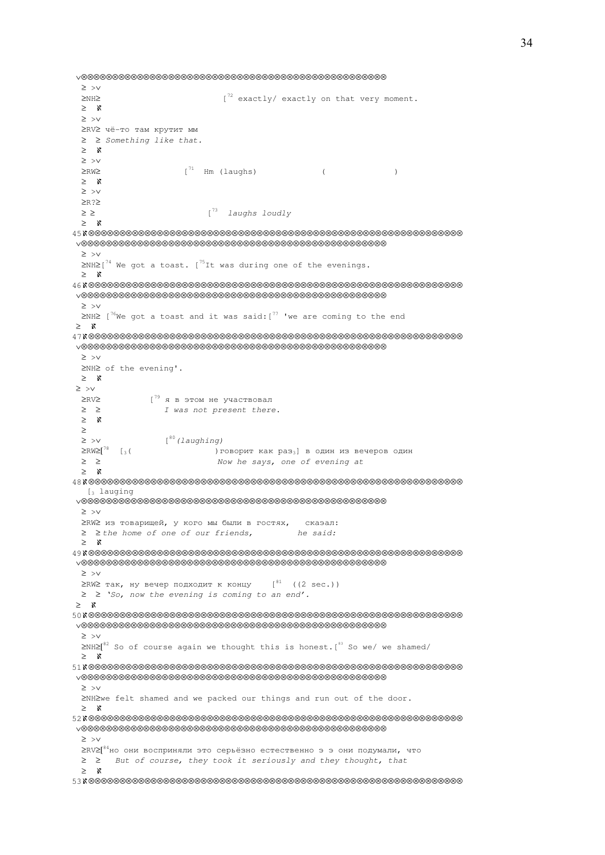```
 ∨⊗⊗⊗⊗⊗⊗⊗⊗⊗⊗⊗⊗⊗⊗⊗⊗⊗⊗⊗⊗⊗⊗⊗⊗⊗⊗⊗⊗⊗⊗⊗⊗⊗⊗⊗⊗⊗⊗⊗⊗⊗⊗⊗⊗⊗⊗⊗⊗⊗
  ≥ >∨ 
  ≥NH≥ [72 exactly/ exactly on that very moment. 
  ≥ ℵ 
  ≥ >∨ 
  ≥RV≥ чё-то там крутит мм
  ≥ ≥ Something like that. 
  ≥ ℵ 
  ≥ >∨ 
 \geq RW \geq [<sup>71</sup> Hm (laughs) ( )
  ≥ ℵ 
  ≥ >∨ 
  ≥R?≥ 
 \geq \geq \geq \qquad \qquad [<sup>73</sup> laughs loudly
  ≥ ℵ 
45ℵ⊗⊗⊗⊗⊗⊗⊗⊗⊗⊗⊗⊗⊗⊗⊗⊗⊗⊗⊗⊗⊗⊗⊗⊗⊗⊗⊗⊗⊗⊗⊗⊗⊗⊗⊗⊗⊗⊗⊗⊗⊗⊗⊗⊗⊗⊗⊗⊗⊗⊗⊗⊗⊗⊗⊗⊗⊗⊗⊗⊗ 
 ∨⊗⊗⊗⊗⊗⊗⊗⊗⊗⊗⊗⊗⊗⊗⊗⊗⊗⊗⊗⊗⊗⊗⊗⊗⊗⊗⊗⊗⊗⊗⊗⊗⊗⊗⊗⊗⊗⊗⊗⊗⊗⊗⊗⊗⊗⊗⊗⊗⊗
  ≥ >∨ 
\geq NH\geq[<sup>74</sup> We got a toast. [<sup>75</sup>It was during one of the evenings.
  ≥ ℵ 
46ℵ⊗⊗⊗⊗⊗⊗⊗⊗⊗⊗⊗⊗⊗⊗⊗⊗⊗⊗⊗⊗⊗⊗⊗⊗⊗⊗⊗⊗⊗⊗⊗⊗⊗⊗⊗⊗⊗⊗⊗⊗⊗⊗⊗⊗⊗⊗⊗⊗⊗⊗⊗⊗⊗⊗⊗⊗⊗⊗⊗⊗ 
 ∨⊗⊗⊗⊗⊗⊗⊗⊗⊗⊗⊗⊗⊗⊗⊗⊗⊗⊗⊗⊗⊗⊗⊗⊗⊗⊗⊗⊗⊗⊗⊗⊗⊗⊗⊗⊗⊗⊗⊗⊗⊗⊗⊗⊗⊗⊗⊗⊗⊗
  ≥ >∨ 
 ≥NH≥ [^{76}We got a toast and it was said: [^{77} 'we are coming to the end
 ≥ ℵ 
47ℵ⊗⊗⊗⊗⊗⊗⊗⊗⊗⊗⊗⊗⊗⊗⊗⊗⊗⊗⊗⊗⊗⊗⊗⊗⊗⊗⊗⊗⊗⊗⊗⊗⊗⊗⊗⊗⊗⊗⊗⊗⊗⊗⊗⊗⊗⊗⊗⊗⊗⊗⊗⊗⊗⊗⊗⊗⊗⊗⊗⊗ 
 ∨⊗⊗⊗⊗⊗⊗⊗⊗⊗⊗⊗⊗⊗⊗⊗⊗⊗⊗⊗⊗⊗⊗⊗⊗⊗⊗⊗⊗⊗⊗⊗⊗⊗⊗⊗⊗⊗⊗⊗⊗⊗⊗⊗⊗⊗⊗⊗⊗⊗
  ≥ >∨ 
  ≥NH≥ of the evening'. 
  ≥ ℵ 
 ≥ >∨ 
  ≥RV≥ [79 я в этом не участвовал
  ≥ ≥ I was not present there. 
  ≥ ℵ 
  ≥
 ≥ > v [<sup>80</sup> (laughing)<br>≥RW≥[^{78} [<sub>3</sub> ( ) Γ) говорит как раз<sub>3</sub>] в один из вечеров один
  ≥ ≥ Now he says, one of evening at 
  ≥ ℵ 
48ℵ⊗⊗⊗⊗⊗⊗⊗⊗⊗⊗⊗⊗⊗⊗⊗⊗⊗⊗⊗⊗⊗⊗⊗⊗⊗⊗⊗⊗⊗⊗⊗⊗⊗⊗⊗⊗⊗⊗⊗⊗⊗⊗⊗⊗⊗⊗⊗⊗⊗⊗⊗⊗⊗⊗⊗⊗⊗⊗⊗⊗ 
  [3 lauging]
  ∨⊗⊗⊗⊗⊗⊗⊗⊗⊗⊗⊗⊗⊗⊗⊗⊗⊗⊗⊗⊗⊗⊗⊗⊗⊗⊗⊗⊗⊗⊗⊗⊗⊗⊗⊗⊗⊗⊗⊗⊗⊗⊗⊗⊗⊗⊗⊗⊗⊗
  ≥ >∨ 
  ≥RW≥ из товарищей, у кого мы были в гостях, скаэал: 
 ≥ ≥ the home of one of our friends, he said:
  ≥ ℵ 
49ℵ⊗⊗⊗⊗⊗⊗⊗⊗⊗⊗⊗⊗⊗⊗⊗⊗⊗⊗⊗⊗⊗⊗⊗⊗⊗⊗⊗⊗⊗⊗⊗⊗⊗⊗⊗⊗⊗⊗⊗⊗⊗⊗⊗⊗⊗⊗⊗⊗⊗⊗⊗⊗⊗⊗⊗⊗⊗⊗⊗⊗ 
 ∨⊗⊗⊗⊗⊗⊗⊗⊗⊗⊗⊗⊗⊗⊗⊗⊗⊗⊗⊗⊗⊗⊗⊗⊗⊗⊗⊗⊗⊗⊗⊗⊗⊗⊗⊗⊗⊗⊗⊗⊗⊗⊗⊗⊗⊗⊗⊗⊗⊗
  ≥ >∨ 
 ≥RW≥ так, ну вечер подходит к концу [81 \ (2 \ sec.)) ≥ ≥ 'So, now the evening is coming to an end'.
 ≥ ℵ 
50ℵ⊗⊗⊗⊗⊗⊗⊗⊗⊗⊗⊗⊗⊗⊗⊗⊗⊗⊗⊗⊗⊗⊗⊗⊗⊗⊗⊗⊗⊗⊗⊗⊗⊗⊗⊗⊗⊗⊗⊗⊗⊗⊗⊗⊗⊗⊗⊗⊗⊗⊗⊗⊗⊗⊗⊗⊗⊗⊗⊗⊗ 
 ∨⊗⊗⊗⊗⊗⊗⊗⊗⊗⊗⊗⊗⊗⊗⊗⊗⊗⊗⊗⊗⊗⊗⊗⊗⊗⊗⊗⊗⊗⊗⊗⊗⊗⊗⊗⊗⊗⊗⊗⊗⊗⊗⊗⊗⊗⊗⊗⊗⊗
  ≥ >∨ 
 ≥NH≥[<sup>82</sup> So of course again we thought this is honest.[<sup>83</sup> So we/ we shamed/
  ≥ ℵ 
51ℵ⊗⊗⊗⊗⊗⊗⊗⊗⊗⊗⊗⊗⊗⊗⊗⊗⊗⊗⊗⊗⊗⊗⊗⊗⊗⊗⊗⊗⊗⊗⊗⊗⊗⊗⊗⊗⊗⊗⊗⊗⊗⊗⊗⊗⊗⊗⊗⊗⊗⊗⊗⊗⊗⊗⊗⊗⊗⊗⊗⊗ 
 ∨⊗⊗⊗⊗⊗⊗⊗⊗⊗⊗⊗⊗⊗⊗⊗⊗⊗⊗⊗⊗⊗⊗⊗⊗⊗⊗⊗⊗⊗⊗⊗⊗⊗⊗⊗⊗⊗⊗⊗⊗⊗⊗⊗⊗⊗⊗⊗⊗⊗
  ≥ >∨ 
  ≥NH≥we felt shamed and we packed our things and run out of the door. 
  ≥ ℵ 
52ℵ⊗⊗⊗⊗⊗⊗⊗⊗⊗⊗⊗⊗⊗⊗⊗⊗⊗⊗⊗⊗⊗⊗⊗⊗⊗⊗⊗⊗⊗⊗⊗⊗⊗⊗⊗⊗⊗⊗⊗⊗⊗⊗⊗⊗⊗⊗⊗⊗⊗⊗⊗⊗⊗⊗⊗⊗⊗⊗⊗⊗ 
 ∨⊗⊗⊗⊗⊗⊗⊗⊗⊗⊗⊗⊗⊗⊗⊗⊗⊗⊗⊗⊗⊗⊗⊗⊗⊗⊗⊗⊗⊗⊗⊗⊗⊗⊗⊗⊗⊗⊗⊗⊗⊗⊗⊗⊗⊗⊗⊗⊗⊗
  ≥ >∨ 
  ≥RV≥[84но они восприняли это серьёзно естественно э э они подумали, что 
  ≥ ≥ But of course, they took it seriously and they thought, that 
  ≥ ℵ 
53ℵ⊗⊗⊗⊗⊗⊗⊗⊗⊗⊗⊗⊗⊗⊗⊗⊗⊗⊗⊗⊗⊗⊗⊗⊗⊗⊗⊗⊗⊗⊗⊗⊗⊗⊗⊗⊗⊗⊗⊗⊗⊗⊗⊗⊗⊗⊗⊗⊗⊗⊗⊗⊗⊗⊗⊗⊗⊗⊗⊗⊗
```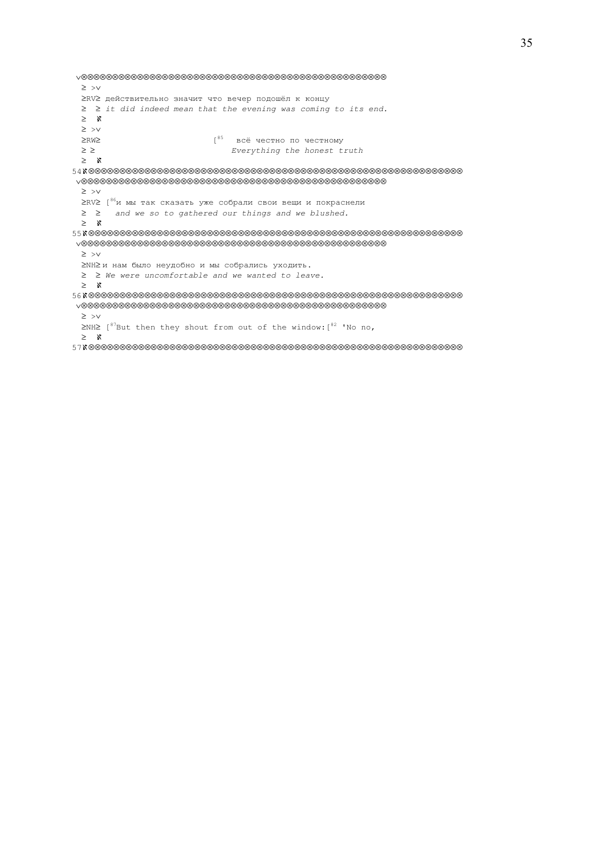∨⊗⊗⊗⊗⊗⊗⊗⊗⊗⊗⊗⊗⊗⊗⊗⊗⊗⊗⊗⊗⊗⊗⊗⊗⊗⊗⊗⊗⊗⊗⊗⊗⊗⊗⊗⊗⊗⊗⊗⊗⊗⊗⊗⊗⊗⊗⊗⊗⊗ ≥ >∨ ≥RV≥ действительно значит что вечер подошёл к концу ≥ ≥ it did indeed mean that the evening was coming to its end. ≥ ℵ ≥ >∨ ≥RW≥ [<sup>85</sup>всё честно по честному ≥ ≥ Everything the honest truth ≥ ℵ 54ℵ⊗⊗⊗⊗⊗⊗⊗⊗⊗⊗⊗⊗⊗⊗⊗⊗⊗⊗⊗⊗⊗⊗⊗⊗⊗⊗⊗⊗⊗⊗⊗⊗⊗⊗⊗⊗⊗⊗⊗⊗⊗⊗⊗⊗⊗⊗⊗⊗⊗⊗⊗⊗⊗⊗⊗⊗⊗⊗⊗⊗ ∨⊗⊗⊗⊗⊗⊗⊗⊗⊗⊗⊗⊗⊗⊗⊗⊗⊗⊗⊗⊗⊗⊗⊗⊗⊗⊗⊗⊗⊗⊗⊗⊗⊗⊗⊗⊗⊗⊗⊗⊗⊗⊗⊗⊗⊗⊗⊗⊗⊗ ≥ >∨ ≥RV≥ [<sup>86</sup>и мы так сказать уже собрали свои вещи и покраснели ≥ ≥ and we so to gathered our things and we blushed. ≥ ℵ 55ℵ⊗⊗⊗⊗⊗⊗⊗⊗⊗⊗⊗⊗⊗⊗⊗⊗⊗⊗⊗⊗⊗⊗⊗⊗⊗⊗⊗⊗⊗⊗⊗⊗⊗⊗⊗⊗⊗⊗⊗⊗⊗⊗⊗⊗⊗⊗⊗⊗⊗⊗⊗⊗⊗⊗⊗⊗⊗⊗⊗⊗ ∨⊗⊗⊗⊗⊗⊗⊗⊗⊗⊗⊗⊗⊗⊗⊗⊗⊗⊗⊗⊗⊗⊗⊗⊗⊗⊗⊗⊗⊗⊗⊗⊗⊗⊗⊗⊗⊗⊗⊗⊗⊗⊗⊗⊗⊗⊗⊗⊗⊗ ≥ >∨ ≥NH≥ и нам было неудобно и мы собрались уходить. ≥ ≥ We were uncomfortable and we wanted to leave. ≥ ℵ 56ℵ⊗⊗⊗⊗⊗⊗⊗⊗⊗⊗⊗⊗⊗⊗⊗⊗⊗⊗⊗⊗⊗⊗⊗⊗⊗⊗⊗⊗⊗⊗⊗⊗⊗⊗⊗⊗⊗⊗⊗⊗⊗⊗⊗⊗⊗⊗⊗⊗⊗⊗⊗⊗⊗⊗⊗⊗⊗⊗⊗⊗ ∨⊗⊗⊗⊗⊗⊗⊗⊗⊗⊗⊗⊗⊗⊗⊗⊗⊗⊗⊗⊗⊗⊗⊗⊗⊗⊗⊗⊗⊗⊗⊗⊗⊗⊗⊗⊗⊗⊗⊗⊗⊗⊗⊗⊗⊗⊗⊗⊗⊗ ≥ >∨ ≥NH≥ [<sup>87</sup>But then they shout from out of the window: [<sup>82</sup> 'No no, ≥ ℵ